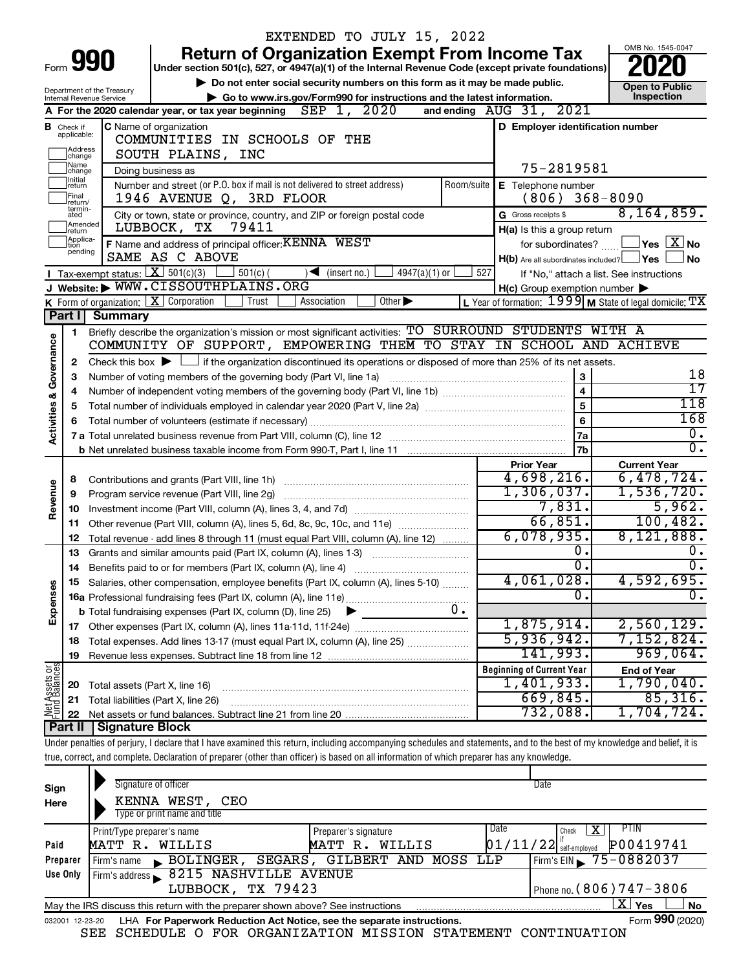|                                |                               |                                                                                                 |                                                                             |                | EXTENDED TO JULY 15, 2022                                                                                                                                                                                                                                                                                                |                                              |           |                                                     |                                                             |  |  |  |  |
|--------------------------------|-------------------------------|-------------------------------------------------------------------------------------------------|-----------------------------------------------------------------------------|----------------|--------------------------------------------------------------------------------------------------------------------------------------------------------------------------------------------------------------------------------------------------------------------------------------------------------------------------|----------------------------------------------|-----------|-----------------------------------------------------|-------------------------------------------------------------|--|--|--|--|
|                                |                               |                                                                                                 |                                                                             |                | <b>Return of Organization Exempt From Income Tax</b>                                                                                                                                                                                                                                                                     |                                              |           |                                                     | OMB No. 1545-0047                                           |  |  |  |  |
|                                |                               | Form 990                                                                                        |                                                                             |                | Under section 501(c), 527, or 4947(a)(1) of the Internal Revenue Code (except private foundations)                                                                                                                                                                                                                       |                                              |           |                                                     |                                                             |  |  |  |  |
|                                |                               |                                                                                                 |                                                                             |                | Do not enter social security numbers on this form as it may be made public.                                                                                                                                                                                                                                              |                                              |           |                                                     | <b>Open to Public</b>                                       |  |  |  |  |
|                                |                               | Department of the Treasury<br>Internal Revenue Service                                          |                                                                             |                | Go to www.irs.gov/Form990 for instructions and the latest information.                                                                                                                                                                                                                                                   |                                              |           |                                                     | Inspection                                                  |  |  |  |  |
|                                |                               |                                                                                                 | A For the 2020 calendar year, or tax year beginning                         |                | SEP 1, 2020                                                                                                                                                                                                                                                                                                              | and ending $\overline{A} \overline{U} G$ 31, |           | 2021                                                |                                                             |  |  |  |  |
|                                | <b>B</b> Check if applicable: |                                                                                                 | <b>C</b> Name of organization                                               |                |                                                                                                                                                                                                                                                                                                                          |                                              |           | D Employer identification number                    |                                                             |  |  |  |  |
|                                | Address                       |                                                                                                 | COMMUNITIES IN SCHOOLS OF THE                                               |                |                                                                                                                                                                                                                                                                                                                          |                                              |           |                                                     |                                                             |  |  |  |  |
|                                | change<br> Name               |                                                                                                 | SOUTH PLAINS, INC                                                           |                |                                                                                                                                                                                                                                                                                                                          |                                              |           |                                                     |                                                             |  |  |  |  |
|                                | change<br>Initial             | Doing business as<br>Number and street (or P.O. box if mail is not delivered to street address) | 75-2819581                                                                  |                |                                                                                                                                                                                                                                                                                                                          |                                              |           |                                                     |                                                             |  |  |  |  |
|                                | return<br>Final               | E Telephone number<br>$(806)$ 368-8090                                                          |                                                                             |                |                                                                                                                                                                                                                                                                                                                          |                                              |           |                                                     |                                                             |  |  |  |  |
|                                | return/<br>termin-            |                                                                                                 | 1946 AVENUE Q, 3RD FLOOR                                                    |                | City or town, state or province, country, and ZIP or foreign postal code                                                                                                                                                                                                                                                 |                                              |           |                                                     | 8, 164, 859.                                                |  |  |  |  |
|                                | ated<br>Amended               | LUBBOCK, TX                                                                                     | G Gross receipts \$                                                         |                |                                                                                                                                                                                                                                                                                                                          |                                              |           |                                                     |                                                             |  |  |  |  |
|                                | Ireturn<br>Applica-<br>Ition  |                                                                                                 | 79411<br>F Name and address of principal officer: KENNA WEST                |                |                                                                                                                                                                                                                                                                                                                          |                                              |           | H(a) Is this a group return<br>for subordinates?    | $\sqrt{}$ Yes $\sqrt{ \text{X}}$ No                         |  |  |  |  |
|                                | pending                       |                                                                                                 | SAME AS C ABOVE                                                             |                |                                                                                                                                                                                                                                                                                                                          |                                              |           | $H(b)$ Are all subordinates included? $\Box$ Yes    | ∫ No                                                        |  |  |  |  |
|                                |                               |                                                                                                 | Tax-exempt status: $X \ 501(c)(3)$ 501(c)(                                  |                | $4947(a)(1)$ or<br>$\sqrt{\frac{1}{1}}$ (insert no.)                                                                                                                                                                                                                                                                     |                                              | 527       |                                                     | If "No," attach a list. See instructions                    |  |  |  |  |
|                                |                               |                                                                                                 | J Website: WWW.CISSOUTHPLAINS.ORG                                           |                |                                                                                                                                                                                                                                                                                                                          |                                              |           | $H(c)$ Group exemption number $\blacktriangleright$ |                                                             |  |  |  |  |
|                                |                               |                                                                                                 | <b>K</b> Form of organization: $\boxed{\mathbf{X}}$ Corporation             | Trust          | Other $\blacktriangleright$<br>Association                                                                                                                                                                                                                                                                               |                                              |           |                                                     | L Year of formation: $1999$ M State of legal domicile: $TX$ |  |  |  |  |
|                                | Part I                        | <b>Summary</b>                                                                                  |                                                                             |                |                                                                                                                                                                                                                                                                                                                          |                                              |           |                                                     |                                                             |  |  |  |  |
|                                | 1                             |                                                                                                 |                                                                             |                | Briefly describe the organization's mission or most significant activities: TO SURROUND STUDENTS WITH A                                                                                                                                                                                                                  |                                              |           |                                                     |                                                             |  |  |  |  |
| Governance                     |                               |                                                                                                 |                                                                             |                | COMMUNITY OF SUPPORT, EMPOWERING THEM TO STAY IN SCHOOL AND ACHIEVE                                                                                                                                                                                                                                                      |                                              |           |                                                     |                                                             |  |  |  |  |
|                                | 2                             |                                                                                                 |                                                                             |                | Check this box $\blacktriangleright$ $\Box$ if the organization discontinued its operations or disposed of more than 25% of its net assets.                                                                                                                                                                              |                                              |           |                                                     |                                                             |  |  |  |  |
|                                | з                             |                                                                                                 | Number of voting members of the governing body (Part VI, line 1a)           |                |                                                                                                                                                                                                                                                                                                                          |                                              |           | 3                                                   | 18                                                          |  |  |  |  |
|                                | 4                             |                                                                                                 |                                                                             |                |                                                                                                                                                                                                                                                                                                                          |                                              |           | $\overline{\mathbf{4}}$                             | $\overline{17}$<br>118                                      |  |  |  |  |
| <b>Activities &amp;</b>        | 5                             |                                                                                                 |                                                                             |                |                                                                                                                                                                                                                                                                                                                          | 5                                            |           |                                                     |                                                             |  |  |  |  |
|                                | 6                             |                                                                                                 |                                                                             | $6\phantom{a}$ |                                                                                                                                                                                                                                                                                                                          |                                              |           |                                                     |                                                             |  |  |  |  |
|                                |                               |                                                                                                 |                                                                             |                |                                                                                                                                                                                                                                                                                                                          |                                              |           | 7a                                                  | $\overline{0}$ .                                            |  |  |  |  |
|                                |                               |                                                                                                 |                                                                             |                |                                                                                                                                                                                                                                                                                                                          |                                              |           | 7b                                                  | $\overline{0}$ .                                            |  |  |  |  |
|                                |                               |                                                                                                 |                                                                             |                |                                                                                                                                                                                                                                                                                                                          |                                              |           | <b>Prior Year</b>                                   | <b>Current Year</b><br>6,478,724.                           |  |  |  |  |
|                                | 8                             |                                                                                                 |                                                                             |                |                                                                                                                                                                                                                                                                                                                          |                                              |           | 4,698,216.<br>1,306,037.                            | 1,536,720.                                                  |  |  |  |  |
| Revenue                        | 9                             |                                                                                                 | Program service revenue (Part VIII, line 2g)                                |                |                                                                                                                                                                                                                                                                                                                          |                                              |           | 7,831.                                              | 5,962.                                                      |  |  |  |  |
|                                | 10                            |                                                                                                 | 11 Other revenue (Part VIII, column (A), lines 5, 6d, 8c, 9c, 10c, and 11e) |                |                                                                                                                                                                                                                                                                                                                          | 66,851.                                      | 100, 482. |                                                     |                                                             |  |  |  |  |
|                                | 12                            |                                                                                                 |                                                                             |                | Total revenue - add lines 8 through 11 (must equal Part VIII, column (A), line 12)                                                                                                                                                                                                                                       |                                              |           | 6,078,935.                                          | 8,121,888.                                                  |  |  |  |  |
|                                | 13                            |                                                                                                 |                                                                             |                | Grants and similar amounts paid (Part IX, column (A), lines 1-3)                                                                                                                                                                                                                                                         |                                              |           | 0.                                                  | 0.                                                          |  |  |  |  |
|                                |                               |                                                                                                 |                                                                             |                |                                                                                                                                                                                                                                                                                                                          |                                              |           | σ.                                                  | $\overline{0}$ .                                            |  |  |  |  |
|                                |                               |                                                                                                 |                                                                             |                | Salaries, other compensation, employee benefits (Part IX, column (A), lines 5-10)                                                                                                                                                                                                                                        |                                              |           | 4,061,028.                                          | 4,592,695.                                                  |  |  |  |  |
| Expenses                       |                               |                                                                                                 |                                                                             |                |                                                                                                                                                                                                                                                                                                                          |                                              |           | $\overline{0}$ .                                    | σ.                                                          |  |  |  |  |
|                                |                               |                                                                                                 | <b>b</b> Total fundraising expenses (Part IX, column (D), line 25)          |                |                                                                                                                                                                                                                                                                                                                          | 0.                                           |           |                                                     |                                                             |  |  |  |  |
|                                |                               |                                                                                                 |                                                                             |                |                                                                                                                                                                                                                                                                                                                          |                                              |           | 1,875,914.                                          | 2,560,129.                                                  |  |  |  |  |
|                                | 18                            |                                                                                                 |                                                                             |                | Total expenses. Add lines 13-17 (must equal Part IX, column (A), line 25)                                                                                                                                                                                                                                                |                                              |           | 5,936,942.                                          | 7,152,824.                                                  |  |  |  |  |
|                                | 19                            |                                                                                                 |                                                                             |                |                                                                                                                                                                                                                                                                                                                          |                                              |           | 141,993.                                            | 969,064.                                                    |  |  |  |  |
| Net Assets or<br>Fund Balances |                               |                                                                                                 |                                                                             |                |                                                                                                                                                                                                                                                                                                                          |                                              |           | <b>Beginning of Current Year</b>                    | <b>End of Year</b>                                          |  |  |  |  |
|                                | 20                            |                                                                                                 | Total assets (Part X, line 16)                                              |                |                                                                                                                                                                                                                                                                                                                          |                                              |           | 1,401,933.                                          | 1,790,040.                                                  |  |  |  |  |
|                                | 21                            |                                                                                                 | Total liabilities (Part X, line 26)                                         |                |                                                                                                                                                                                                                                                                                                                          |                                              |           | 669,845.                                            | 85,316.                                                     |  |  |  |  |
|                                | 22                            |                                                                                                 |                                                                             |                |                                                                                                                                                                                                                                                                                                                          |                                              |           | 732,088.                                            | 1,704,724.                                                  |  |  |  |  |
|                                | Part II                       | <b>Signature Block</b>                                                                          |                                                                             |                |                                                                                                                                                                                                                                                                                                                          |                                              |           |                                                     |                                                             |  |  |  |  |
|                                |                               |                                                                                                 |                                                                             |                | Under penalties of perjury, I declare that I have examined this return, including accompanying schedules and statements, and to the best of my knowledge and belief, it is<br>true, correct, and complete. Declaration of preparer (other than officer) is based on all information of which preparer has any knowledge. |                                              |           |                                                     |                                                             |  |  |  |  |
|                                |                               |                                                                                                 |                                                                             |                |                                                                                                                                                                                                                                                                                                                          |                                              |           |                                                     |                                                             |  |  |  |  |
| Sign                           |                               |                                                                                                 | Signature of officer                                                        |                |                                                                                                                                                                                                                                                                                                                          |                                              |           | Date                                                |                                                             |  |  |  |  |
| Here                           |                               |                                                                                                 | KENNA WEST, CEO                                                             |                |                                                                                                                                                                                                                                                                                                                          |                                              |           |                                                     |                                                             |  |  |  |  |
|                                |                               |                                                                                                 | Type or print name and title                                                |                |                                                                                                                                                                                                                                                                                                                          |                                              |           |                                                     |                                                             |  |  |  |  |
|                                |                               | Print/Type preparer's name                                                                      |                                                                             |                | Preparer's signature                                                                                                                                                                                                                                                                                                     |                                              | Date      | <u>x</u><br>Check                                   | <b>PTIN</b>                                                 |  |  |  |  |
| Paid                           |                               |                                                                                                 | MATT R. WILLIS                                                              |                | MATT R. WILLIS                                                                                                                                                                                                                                                                                                           |                                              |           | $01/11/22$ $^{\text{II}}$ self-employed             | P00419741                                                   |  |  |  |  |
|                                | Preparer                      | Firm's name                                                                                     | $\blacktriangleright$ BOLINGER,                                             |                | SEGARS, GILBERT AND MOSS                                                                                                                                                                                                                                                                                                 |                                              | LLP       | Firm's $EIN$                                        | 75-0882037                                                  |  |  |  |  |
|                                | Use Only                      |                                                                                                 | Firm's address 8215 NASHVILLE AVENUE                                        |                |                                                                                                                                                                                                                                                                                                                          |                                              |           |                                                     |                                                             |  |  |  |  |
|                                |                               |                                                                                                 | LUBBOCK, TX 79423                                                           |                |                                                                                                                                                                                                                                                                                                                          |                                              |           |                                                     | Phone no. (806) 747-3806                                    |  |  |  |  |

| May the IRS discuss this return with the preparer shown above? See instructions        | <sup>γ</sup> ∣ γes ∴ | No              |
|----------------------------------------------------------------------------------------|----------------------|-----------------|
| 032001 12-23-20 LHA For Paperwork Reduction Act Notice, see the separate instructions. |                      | Form 990 (2020) |

**Yes No**  $\boxed{\text{X}}$   $\text{Yes}$   $\boxed{\phantom{0}}$ 

Phone no.

SEE SCHEDULE O FOR ORGANIZATION MISSION STATEMENT CONTINUATION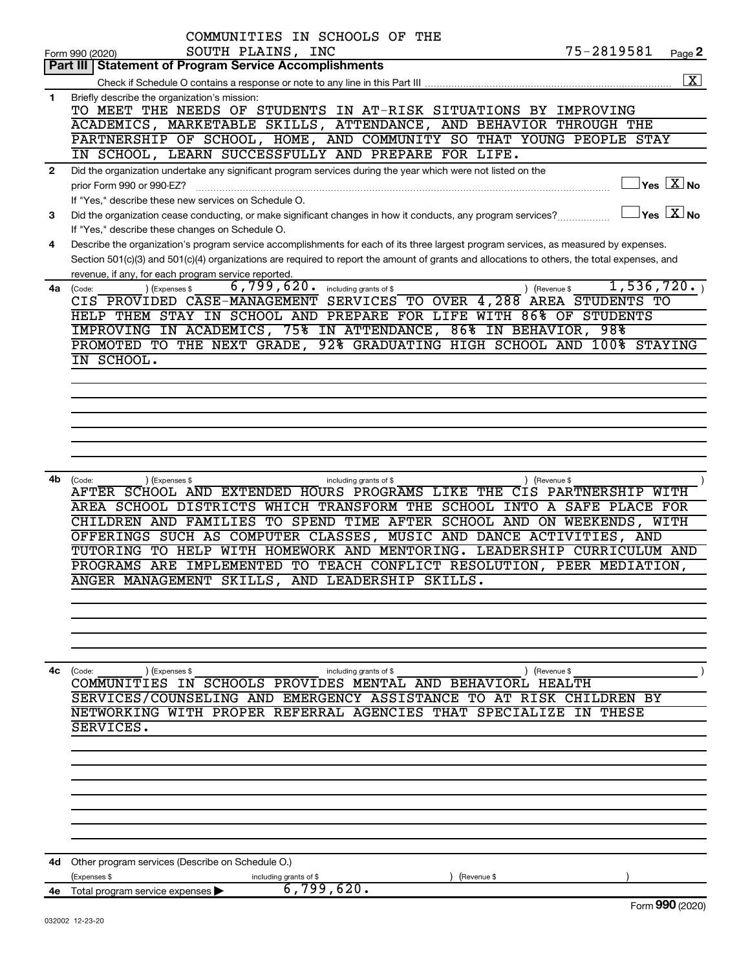|                | COMMUNITIES IN SCHOOLS OF THE                                                                                                                                   |
|----------------|-----------------------------------------------------------------------------------------------------------------------------------------------------------------|
|                | 75-2819581<br>SOUTH PLAINS, INC<br>Page 2<br>Form 990 (2020)                                                                                                    |
|                | Part III   Statement of Program Service Accomplishments<br>$\boxed{\textbf{X}}$<br>Check if Schedule O contains a response or note to any line in this Part III |
| $\mathbf{1}$   | Briefly describe the organization's mission:                                                                                                                    |
|                | TO MEET THE NEEDS OF STUDENTS IN AT-RISK SITUATIONS BY IMPROVING                                                                                                |
|                | ACADEMICS, MARKETABLE SKILLS, ATTENDANCE, AND BEHAVIOR THROUGH THE                                                                                              |
|                | PARTNERSHIP OF SCHOOL, HOME, AND COMMUNITY SO THAT YOUNG PEOPLE STAY                                                                                            |
|                | IN SCHOOL, LEARN SUCCESSFULLY AND PREPARE FOR LIFE.                                                                                                             |
|                |                                                                                                                                                                 |
| $\overline{2}$ | Did the organization undertake any significant program services during the year which were not listed on the<br>$\sqrt{\mathsf{Yes}\ \mathbf{X}}$ No            |
|                | prior Form 990 or 990-EZ?                                                                                                                                       |
|                | If "Yes," describe these new services on Schedule O.                                                                                                            |
| 3              | $\sqrt{\mathsf{Yes}\ \mathbf{X}}$ No<br>Did the organization cease conducting, or make significant changes in how it conducts, any program services?            |
|                | If "Yes," describe these changes on Schedule O.                                                                                                                 |
| 4              | Describe the organization's program service accomplishments for each of its three largest program services, as measured by expenses.                            |
|                | Section 501(c)(3) and 501(c)(4) organizations are required to report the amount of grants and allocations to others, the total expenses, and                    |
|                | revenue, if any, for each program service reported.                                                                                                             |
| 4a             | 1,536,720.<br>6,799,620.<br>(Expenses \$<br>including grants of \$<br>) (Revenue \$<br>(Code:                                                                   |
|                | SERVICES TO OVER 4, 288 AREA STUDENTS TO<br>CIS PROVIDED CASE-MANAGEMENT                                                                                        |
|                | HELP THEM STAY IN SCHOOL AND PREPARE FOR LIFE WITH 86% OF STUDENTS                                                                                              |
|                | IMPROVING IN ACADEMICS, 75% IN ATTENDANCE, 86% IN BEHAVIOR, 98%                                                                                                 |
|                | 92% GRADUATING HIGH SCHOOL AND 100% STAYING<br>PROMOTED TO THE NEXT GRADE,                                                                                      |
|                | IN SCHOOL.                                                                                                                                                      |
|                |                                                                                                                                                                 |
|                |                                                                                                                                                                 |
|                |                                                                                                                                                                 |
|                |                                                                                                                                                                 |
|                |                                                                                                                                                                 |
|                |                                                                                                                                                                 |
|                |                                                                                                                                                                 |
| 4b             | (Code:<br>(Expenses \$<br>) (Revenue \$<br>including grants of \$                                                                                               |
|                | AFTER SCHOOL AND EXTENDED HOURS PROGRAMS LIKE THE CIS PARTNERSHIP WITH                                                                                          |
|                | AREA SCHOOL DISTRICTS WHICH TRANSFORM THE SCHOOL INTO A SAFE PLACE FOR                                                                                          |
|                | CHILDREN AND FAMILIES TO SPEND TIME AFTER SCHOOL AND ON WEEKENDS, WITH                                                                                          |
|                | OFFERINGS SUCH AS COMPUTER CLASSES, MUSIC AND DANCE ACTIVITIES, AND                                                                                             |
|                | TUTORING TO HELP WITH HOMEWORK AND MENTORING. LEADERSHIP CURRICULUM AND                                                                                         |
|                | PROGRAMS ARE IMPLEMENTED TO TEACH CONFLICT RESOLUTION, PEER MEDIATION,                                                                                          |
|                | ANGER MANAGEMENT SKILLS, AND LEADERSHIP SKILLS.                                                                                                                 |
|                |                                                                                                                                                                 |
|                |                                                                                                                                                                 |
|                |                                                                                                                                                                 |
|                |                                                                                                                                                                 |
|                |                                                                                                                                                                 |
|                |                                                                                                                                                                 |
| 4с             | ) (Revenue \$<br>(Code:<br>(Expenses \$<br>including grants of \$<br>COMMUNITIES IN SCHOOLS PROVIDES MENTAL AND BEHAVIORL HEALTH                                |
|                | SERVICES/COUNSELING AND EMERGENCY ASSISTANCE TO AT RISK CHILDREN BY                                                                                             |
|                | NETWORKING WITH PROPER REFERRAL AGENCIES THAT SPECIALIZE IN THESE                                                                                               |
|                | SERVICES.                                                                                                                                                       |
|                |                                                                                                                                                                 |
|                |                                                                                                                                                                 |
|                |                                                                                                                                                                 |
|                |                                                                                                                                                                 |
|                |                                                                                                                                                                 |
|                |                                                                                                                                                                 |
|                |                                                                                                                                                                 |
|                |                                                                                                                                                                 |
|                |                                                                                                                                                                 |
|                | 4d Other program services (Describe on Schedule O.)                                                                                                             |
|                | (Expenses \$<br>(Revenue \$<br>including grants of \$                                                                                                           |
|                | 6,799,620.<br>4e Total program service expenses                                                                                                                 |
|                | Form 990 (2020)                                                                                                                                                 |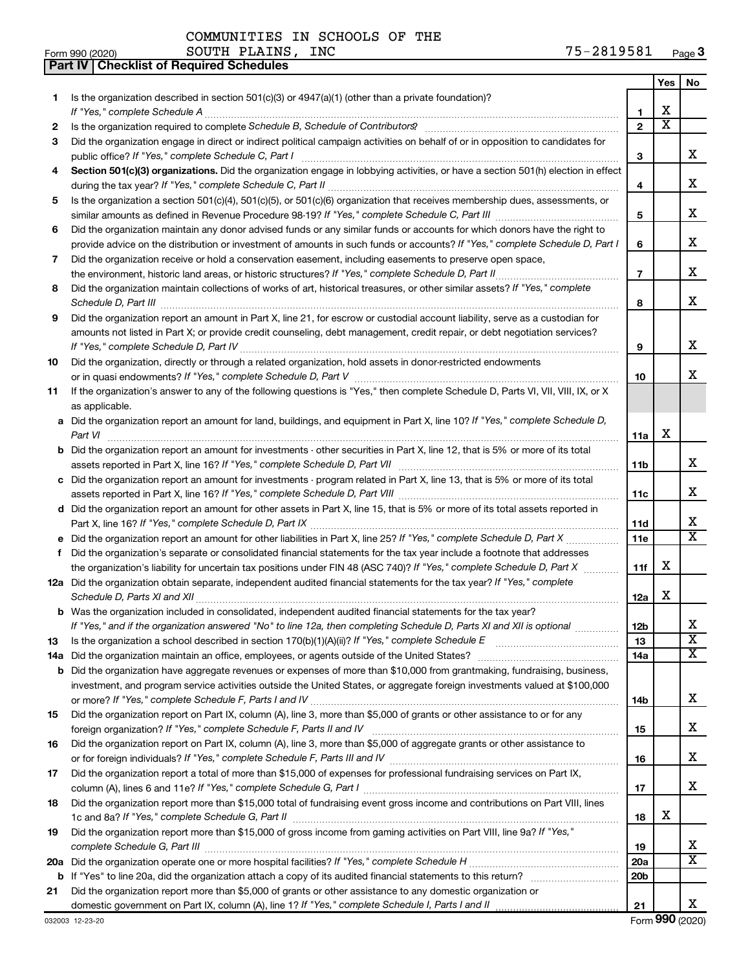**Part IV Checklist of Required Schedules**

| 1.<br>х<br>1<br>х<br>$\overline{2}$<br>2<br>Did the organization engage in direct or indirect political campaign activities on behalf of or in opposition to candidates for<br>3<br>x<br>public office? If "Yes," complete Schedule C, Part I<br>3<br>Section 501(c)(3) organizations. Did the organization engage in lobbying activities, or have a section 501(h) election in effect<br>4<br>x<br>4<br>Is the organization a section 501(c)(4), 501(c)(5), or 501(c)(6) organization that receives membership dues, assessments, or<br>5<br>х<br>5<br>Did the organization maintain any donor advised funds or any similar funds or accounts for which donors have the right to<br>6<br>х<br>provide advice on the distribution or investment of amounts in such funds or accounts? If "Yes," complete Schedule D, Part I<br>6<br>Did the organization receive or hold a conservation easement, including easements to preserve open space,<br>7<br>x<br>$\overline{7}$<br>Did the organization maintain collections of works of art, historical treasures, or other similar assets? If "Yes," complete<br>8<br>x<br>Schedule D, Part III <b>www.community.community.community.community.community.community.com</b><br>8<br>Did the organization report an amount in Part X, line 21, for escrow or custodial account liability, serve as a custodian for<br>9<br>amounts not listed in Part X; or provide credit counseling, debt management, credit repair, or debt negotiation services?<br>х<br>9<br>Did the organization, directly or through a related organization, hold assets in donor-restricted endowments<br>10<br>x<br>10<br>If the organization's answer to any of the following questions is "Yes," then complete Schedule D, Parts VI, VII, VIII, IX, or X<br>11<br>as applicable.<br>a Did the organization report an amount for land, buildings, and equipment in Part X, line 10? If "Yes," complete Schedule D,<br>х<br>Part VI<br>11a<br><b>b</b> Did the organization report an amount for investments - other securities in Part X, line 12, that is 5% or more of its total<br>x<br>11b<br>c Did the organization report an amount for investments - program related in Part X, line 13, that is 5% or more of its total<br>х<br>11c<br>d Did the organization report an amount for other assets in Part X, line 15, that is 5% or more of its total assets reported in<br>х<br>11d<br>$\overline{\mathbf{X}}$<br>11e<br>Did the organization's separate or consolidated financial statements for the tax year include a footnote that addresses<br>f<br>х<br>the organization's liability for uncertain tax positions under FIN 48 (ASC 740)? If "Yes," complete Schedule D, Part X<br>11f<br>12a Did the organization obtain separate, independent audited financial statements for the tax year? If "Yes," complete<br>х<br>12a<br><b>b</b> Was the organization included in consolidated, independent audited financial statements for the tax year?<br>If "Yes," and if the organization answered "No" to line 12a, then completing Schedule D, Parts XI and XII is optional<br>12 <sub>b</sub><br>$\overline{\mathbf{X}}$<br>13<br>13<br>X.<br>14a<br><b>b</b> Did the organization have aggregate revenues or expenses of more than \$10,000 from grantmaking, fundraising, business,<br>investment, and program service activities outside the United States, or aggregate foreign investments valued at \$100,000<br>х<br>14b<br>Did the organization report on Part IX, column (A), line 3, more than \$5,000 of grants or other assistance to or for any<br>15<br>x<br>15<br>Did the organization report on Part IX, column (A), line 3, more than \$5,000 of aggregate grants or other assistance to<br>16<br>x<br>16<br>Did the organization report a total of more than \$15,000 of expenses for professional fundraising services on Part IX,<br>17<br>х<br>17<br>Did the organization report more than \$15,000 total of fundraising event gross income and contributions on Part VIII, lines<br>18<br>x<br>18<br>Did the organization report more than \$15,000 of gross income from gaming activities on Part VIII, line 9a? If "Yes,"<br>19<br>x<br>19<br>x<br>20a<br>20 <sub>b</sub><br>Did the organization report more than \$5,000 of grants or other assistance to any domestic organization or<br>21<br>x<br>21 |                                                                                                     | Yes | No |
|---------------------------------------------------------------------------------------------------------------------------------------------------------------------------------------------------------------------------------------------------------------------------------------------------------------------------------------------------------------------------------------------------------------------------------------------------------------------------------------------------------------------------------------------------------------------------------------------------------------------------------------------------------------------------------------------------------------------------------------------------------------------------------------------------------------------------------------------------------------------------------------------------------------------------------------------------------------------------------------------------------------------------------------------------------------------------------------------------------------------------------------------------------------------------------------------------------------------------------------------------------------------------------------------------------------------------------------------------------------------------------------------------------------------------------------------------------------------------------------------------------------------------------------------------------------------------------------------------------------------------------------------------------------------------------------------------------------------------------------------------------------------------------------------------------------------------------------------------------------------------------------------------------------------------------------------------------------------------------------------------------------------------------------------------------------------------------------------------------------------------------------------------------------------------------------------------------------------------------------------------------------------------------------------------------------------------------------------------------------------------------------------------------------------------------------------------------------------------------------------------------------------------------------------------------------------------------------------------------------------------------------------------------------------------------------------------------------------------------------------------------------------------------------------------------------------------------------------------------------------------------------------------------------------------------------------------------------------------------------------------------------------------------------------------------------------------------------------------------------------------------------------------------------------------------------------------------------------------------------------------------------------------------------------------------------------------------------------------------------------------------------------------------------------------------------------------------------------------------------------------------------------------------------------------------------------------------------------------------------------------------------------------------------------------------------------------------------------------------------------------------------------------------------------------------------------------------------------------------------------------------------------------------------------------------------------------------------------------------------------------------------------------------------------------------------------------------------------------------------------------------------------------------------------------------------------------------------------------------------------------------------------------------------------------------------------------------------------------------------------|-----------------------------------------------------------------------------------------------------|-----|----|
|                                                                                                                                                                                                                                                                                                                                                                                                                                                                                                                                                                                                                                                                                                                                                                                                                                                                                                                                                                                                                                                                                                                                                                                                                                                                                                                                                                                                                                                                                                                                                                                                                                                                                                                                                                                                                                                                                                                                                                                                                                                                                                                                                                                                                                                                                                                                                                                                                                                                                                                                                                                                                                                                                                                                                                                                                                                                                                                                                                                                                                                                                                                                                                                                                                                                                                                                                                                                                                                                                                                                                                                                                                                                                                                                                                                                                                                                                                                                                                                                                                                                                                                                                                                                                                                                                                                                                                     | Is the organization described in section 501(c)(3) or 4947(a)(1) (other than a private foundation)? |     |    |
|                                                                                                                                                                                                                                                                                                                                                                                                                                                                                                                                                                                                                                                                                                                                                                                                                                                                                                                                                                                                                                                                                                                                                                                                                                                                                                                                                                                                                                                                                                                                                                                                                                                                                                                                                                                                                                                                                                                                                                                                                                                                                                                                                                                                                                                                                                                                                                                                                                                                                                                                                                                                                                                                                                                                                                                                                                                                                                                                                                                                                                                                                                                                                                                                                                                                                                                                                                                                                                                                                                                                                                                                                                                                                                                                                                                                                                                                                                                                                                                                                                                                                                                                                                                                                                                                                                                                                                     |                                                                                                     |     |    |
|                                                                                                                                                                                                                                                                                                                                                                                                                                                                                                                                                                                                                                                                                                                                                                                                                                                                                                                                                                                                                                                                                                                                                                                                                                                                                                                                                                                                                                                                                                                                                                                                                                                                                                                                                                                                                                                                                                                                                                                                                                                                                                                                                                                                                                                                                                                                                                                                                                                                                                                                                                                                                                                                                                                                                                                                                                                                                                                                                                                                                                                                                                                                                                                                                                                                                                                                                                                                                                                                                                                                                                                                                                                                                                                                                                                                                                                                                                                                                                                                                                                                                                                                                                                                                                                                                                                                                                     |                                                                                                     |     |    |
|                                                                                                                                                                                                                                                                                                                                                                                                                                                                                                                                                                                                                                                                                                                                                                                                                                                                                                                                                                                                                                                                                                                                                                                                                                                                                                                                                                                                                                                                                                                                                                                                                                                                                                                                                                                                                                                                                                                                                                                                                                                                                                                                                                                                                                                                                                                                                                                                                                                                                                                                                                                                                                                                                                                                                                                                                                                                                                                                                                                                                                                                                                                                                                                                                                                                                                                                                                                                                                                                                                                                                                                                                                                                                                                                                                                                                                                                                                                                                                                                                                                                                                                                                                                                                                                                                                                                                                     |                                                                                                     |     |    |
|                                                                                                                                                                                                                                                                                                                                                                                                                                                                                                                                                                                                                                                                                                                                                                                                                                                                                                                                                                                                                                                                                                                                                                                                                                                                                                                                                                                                                                                                                                                                                                                                                                                                                                                                                                                                                                                                                                                                                                                                                                                                                                                                                                                                                                                                                                                                                                                                                                                                                                                                                                                                                                                                                                                                                                                                                                                                                                                                                                                                                                                                                                                                                                                                                                                                                                                                                                                                                                                                                                                                                                                                                                                                                                                                                                                                                                                                                                                                                                                                                                                                                                                                                                                                                                                                                                                                                                     |                                                                                                     |     |    |
|                                                                                                                                                                                                                                                                                                                                                                                                                                                                                                                                                                                                                                                                                                                                                                                                                                                                                                                                                                                                                                                                                                                                                                                                                                                                                                                                                                                                                                                                                                                                                                                                                                                                                                                                                                                                                                                                                                                                                                                                                                                                                                                                                                                                                                                                                                                                                                                                                                                                                                                                                                                                                                                                                                                                                                                                                                                                                                                                                                                                                                                                                                                                                                                                                                                                                                                                                                                                                                                                                                                                                                                                                                                                                                                                                                                                                                                                                                                                                                                                                                                                                                                                                                                                                                                                                                                                                                     |                                                                                                     |     |    |
|                                                                                                                                                                                                                                                                                                                                                                                                                                                                                                                                                                                                                                                                                                                                                                                                                                                                                                                                                                                                                                                                                                                                                                                                                                                                                                                                                                                                                                                                                                                                                                                                                                                                                                                                                                                                                                                                                                                                                                                                                                                                                                                                                                                                                                                                                                                                                                                                                                                                                                                                                                                                                                                                                                                                                                                                                                                                                                                                                                                                                                                                                                                                                                                                                                                                                                                                                                                                                                                                                                                                                                                                                                                                                                                                                                                                                                                                                                                                                                                                                                                                                                                                                                                                                                                                                                                                                                     |                                                                                                     |     |    |
|                                                                                                                                                                                                                                                                                                                                                                                                                                                                                                                                                                                                                                                                                                                                                                                                                                                                                                                                                                                                                                                                                                                                                                                                                                                                                                                                                                                                                                                                                                                                                                                                                                                                                                                                                                                                                                                                                                                                                                                                                                                                                                                                                                                                                                                                                                                                                                                                                                                                                                                                                                                                                                                                                                                                                                                                                                                                                                                                                                                                                                                                                                                                                                                                                                                                                                                                                                                                                                                                                                                                                                                                                                                                                                                                                                                                                                                                                                                                                                                                                                                                                                                                                                                                                                                                                                                                                                     |                                                                                                     |     |    |
|                                                                                                                                                                                                                                                                                                                                                                                                                                                                                                                                                                                                                                                                                                                                                                                                                                                                                                                                                                                                                                                                                                                                                                                                                                                                                                                                                                                                                                                                                                                                                                                                                                                                                                                                                                                                                                                                                                                                                                                                                                                                                                                                                                                                                                                                                                                                                                                                                                                                                                                                                                                                                                                                                                                                                                                                                                                                                                                                                                                                                                                                                                                                                                                                                                                                                                                                                                                                                                                                                                                                                                                                                                                                                                                                                                                                                                                                                                                                                                                                                                                                                                                                                                                                                                                                                                                                                                     |                                                                                                     |     |    |
|                                                                                                                                                                                                                                                                                                                                                                                                                                                                                                                                                                                                                                                                                                                                                                                                                                                                                                                                                                                                                                                                                                                                                                                                                                                                                                                                                                                                                                                                                                                                                                                                                                                                                                                                                                                                                                                                                                                                                                                                                                                                                                                                                                                                                                                                                                                                                                                                                                                                                                                                                                                                                                                                                                                                                                                                                                                                                                                                                                                                                                                                                                                                                                                                                                                                                                                                                                                                                                                                                                                                                                                                                                                                                                                                                                                                                                                                                                                                                                                                                                                                                                                                                                                                                                                                                                                                                                     |                                                                                                     |     |    |
|                                                                                                                                                                                                                                                                                                                                                                                                                                                                                                                                                                                                                                                                                                                                                                                                                                                                                                                                                                                                                                                                                                                                                                                                                                                                                                                                                                                                                                                                                                                                                                                                                                                                                                                                                                                                                                                                                                                                                                                                                                                                                                                                                                                                                                                                                                                                                                                                                                                                                                                                                                                                                                                                                                                                                                                                                                                                                                                                                                                                                                                                                                                                                                                                                                                                                                                                                                                                                                                                                                                                                                                                                                                                                                                                                                                                                                                                                                                                                                                                                                                                                                                                                                                                                                                                                                                                                                     |                                                                                                     |     |    |
|                                                                                                                                                                                                                                                                                                                                                                                                                                                                                                                                                                                                                                                                                                                                                                                                                                                                                                                                                                                                                                                                                                                                                                                                                                                                                                                                                                                                                                                                                                                                                                                                                                                                                                                                                                                                                                                                                                                                                                                                                                                                                                                                                                                                                                                                                                                                                                                                                                                                                                                                                                                                                                                                                                                                                                                                                                                                                                                                                                                                                                                                                                                                                                                                                                                                                                                                                                                                                                                                                                                                                                                                                                                                                                                                                                                                                                                                                                                                                                                                                                                                                                                                                                                                                                                                                                                                                                     |                                                                                                     |     |    |
|                                                                                                                                                                                                                                                                                                                                                                                                                                                                                                                                                                                                                                                                                                                                                                                                                                                                                                                                                                                                                                                                                                                                                                                                                                                                                                                                                                                                                                                                                                                                                                                                                                                                                                                                                                                                                                                                                                                                                                                                                                                                                                                                                                                                                                                                                                                                                                                                                                                                                                                                                                                                                                                                                                                                                                                                                                                                                                                                                                                                                                                                                                                                                                                                                                                                                                                                                                                                                                                                                                                                                                                                                                                                                                                                                                                                                                                                                                                                                                                                                                                                                                                                                                                                                                                                                                                                                                     |                                                                                                     |     |    |
|                                                                                                                                                                                                                                                                                                                                                                                                                                                                                                                                                                                                                                                                                                                                                                                                                                                                                                                                                                                                                                                                                                                                                                                                                                                                                                                                                                                                                                                                                                                                                                                                                                                                                                                                                                                                                                                                                                                                                                                                                                                                                                                                                                                                                                                                                                                                                                                                                                                                                                                                                                                                                                                                                                                                                                                                                                                                                                                                                                                                                                                                                                                                                                                                                                                                                                                                                                                                                                                                                                                                                                                                                                                                                                                                                                                                                                                                                                                                                                                                                                                                                                                                                                                                                                                                                                                                                                     |                                                                                                     |     |    |
|                                                                                                                                                                                                                                                                                                                                                                                                                                                                                                                                                                                                                                                                                                                                                                                                                                                                                                                                                                                                                                                                                                                                                                                                                                                                                                                                                                                                                                                                                                                                                                                                                                                                                                                                                                                                                                                                                                                                                                                                                                                                                                                                                                                                                                                                                                                                                                                                                                                                                                                                                                                                                                                                                                                                                                                                                                                                                                                                                                                                                                                                                                                                                                                                                                                                                                                                                                                                                                                                                                                                                                                                                                                                                                                                                                                                                                                                                                                                                                                                                                                                                                                                                                                                                                                                                                                                                                     |                                                                                                     |     |    |
|                                                                                                                                                                                                                                                                                                                                                                                                                                                                                                                                                                                                                                                                                                                                                                                                                                                                                                                                                                                                                                                                                                                                                                                                                                                                                                                                                                                                                                                                                                                                                                                                                                                                                                                                                                                                                                                                                                                                                                                                                                                                                                                                                                                                                                                                                                                                                                                                                                                                                                                                                                                                                                                                                                                                                                                                                                                                                                                                                                                                                                                                                                                                                                                                                                                                                                                                                                                                                                                                                                                                                                                                                                                                                                                                                                                                                                                                                                                                                                                                                                                                                                                                                                                                                                                                                                                                                                     |                                                                                                     |     |    |
|                                                                                                                                                                                                                                                                                                                                                                                                                                                                                                                                                                                                                                                                                                                                                                                                                                                                                                                                                                                                                                                                                                                                                                                                                                                                                                                                                                                                                                                                                                                                                                                                                                                                                                                                                                                                                                                                                                                                                                                                                                                                                                                                                                                                                                                                                                                                                                                                                                                                                                                                                                                                                                                                                                                                                                                                                                                                                                                                                                                                                                                                                                                                                                                                                                                                                                                                                                                                                                                                                                                                                                                                                                                                                                                                                                                                                                                                                                                                                                                                                                                                                                                                                                                                                                                                                                                                                                     |                                                                                                     |     |    |
|                                                                                                                                                                                                                                                                                                                                                                                                                                                                                                                                                                                                                                                                                                                                                                                                                                                                                                                                                                                                                                                                                                                                                                                                                                                                                                                                                                                                                                                                                                                                                                                                                                                                                                                                                                                                                                                                                                                                                                                                                                                                                                                                                                                                                                                                                                                                                                                                                                                                                                                                                                                                                                                                                                                                                                                                                                                                                                                                                                                                                                                                                                                                                                                                                                                                                                                                                                                                                                                                                                                                                                                                                                                                                                                                                                                                                                                                                                                                                                                                                                                                                                                                                                                                                                                                                                                                                                     |                                                                                                     |     |    |
|                                                                                                                                                                                                                                                                                                                                                                                                                                                                                                                                                                                                                                                                                                                                                                                                                                                                                                                                                                                                                                                                                                                                                                                                                                                                                                                                                                                                                                                                                                                                                                                                                                                                                                                                                                                                                                                                                                                                                                                                                                                                                                                                                                                                                                                                                                                                                                                                                                                                                                                                                                                                                                                                                                                                                                                                                                                                                                                                                                                                                                                                                                                                                                                                                                                                                                                                                                                                                                                                                                                                                                                                                                                                                                                                                                                                                                                                                                                                                                                                                                                                                                                                                                                                                                                                                                                                                                     |                                                                                                     |     |    |
|                                                                                                                                                                                                                                                                                                                                                                                                                                                                                                                                                                                                                                                                                                                                                                                                                                                                                                                                                                                                                                                                                                                                                                                                                                                                                                                                                                                                                                                                                                                                                                                                                                                                                                                                                                                                                                                                                                                                                                                                                                                                                                                                                                                                                                                                                                                                                                                                                                                                                                                                                                                                                                                                                                                                                                                                                                                                                                                                                                                                                                                                                                                                                                                                                                                                                                                                                                                                                                                                                                                                                                                                                                                                                                                                                                                                                                                                                                                                                                                                                                                                                                                                                                                                                                                                                                                                                                     |                                                                                                     |     |    |
|                                                                                                                                                                                                                                                                                                                                                                                                                                                                                                                                                                                                                                                                                                                                                                                                                                                                                                                                                                                                                                                                                                                                                                                                                                                                                                                                                                                                                                                                                                                                                                                                                                                                                                                                                                                                                                                                                                                                                                                                                                                                                                                                                                                                                                                                                                                                                                                                                                                                                                                                                                                                                                                                                                                                                                                                                                                                                                                                                                                                                                                                                                                                                                                                                                                                                                                                                                                                                                                                                                                                                                                                                                                                                                                                                                                                                                                                                                                                                                                                                                                                                                                                                                                                                                                                                                                                                                     |                                                                                                     |     |    |
|                                                                                                                                                                                                                                                                                                                                                                                                                                                                                                                                                                                                                                                                                                                                                                                                                                                                                                                                                                                                                                                                                                                                                                                                                                                                                                                                                                                                                                                                                                                                                                                                                                                                                                                                                                                                                                                                                                                                                                                                                                                                                                                                                                                                                                                                                                                                                                                                                                                                                                                                                                                                                                                                                                                                                                                                                                                                                                                                                                                                                                                                                                                                                                                                                                                                                                                                                                                                                                                                                                                                                                                                                                                                                                                                                                                                                                                                                                                                                                                                                                                                                                                                                                                                                                                                                                                                                                     |                                                                                                     |     |    |
|                                                                                                                                                                                                                                                                                                                                                                                                                                                                                                                                                                                                                                                                                                                                                                                                                                                                                                                                                                                                                                                                                                                                                                                                                                                                                                                                                                                                                                                                                                                                                                                                                                                                                                                                                                                                                                                                                                                                                                                                                                                                                                                                                                                                                                                                                                                                                                                                                                                                                                                                                                                                                                                                                                                                                                                                                                                                                                                                                                                                                                                                                                                                                                                                                                                                                                                                                                                                                                                                                                                                                                                                                                                                                                                                                                                                                                                                                                                                                                                                                                                                                                                                                                                                                                                                                                                                                                     |                                                                                                     |     |    |
|                                                                                                                                                                                                                                                                                                                                                                                                                                                                                                                                                                                                                                                                                                                                                                                                                                                                                                                                                                                                                                                                                                                                                                                                                                                                                                                                                                                                                                                                                                                                                                                                                                                                                                                                                                                                                                                                                                                                                                                                                                                                                                                                                                                                                                                                                                                                                                                                                                                                                                                                                                                                                                                                                                                                                                                                                                                                                                                                                                                                                                                                                                                                                                                                                                                                                                                                                                                                                                                                                                                                                                                                                                                                                                                                                                                                                                                                                                                                                                                                                                                                                                                                                                                                                                                                                                                                                                     |                                                                                                     |     |    |
|                                                                                                                                                                                                                                                                                                                                                                                                                                                                                                                                                                                                                                                                                                                                                                                                                                                                                                                                                                                                                                                                                                                                                                                                                                                                                                                                                                                                                                                                                                                                                                                                                                                                                                                                                                                                                                                                                                                                                                                                                                                                                                                                                                                                                                                                                                                                                                                                                                                                                                                                                                                                                                                                                                                                                                                                                                                                                                                                                                                                                                                                                                                                                                                                                                                                                                                                                                                                                                                                                                                                                                                                                                                                                                                                                                                                                                                                                                                                                                                                                                                                                                                                                                                                                                                                                                                                                                     |                                                                                                     |     |    |
|                                                                                                                                                                                                                                                                                                                                                                                                                                                                                                                                                                                                                                                                                                                                                                                                                                                                                                                                                                                                                                                                                                                                                                                                                                                                                                                                                                                                                                                                                                                                                                                                                                                                                                                                                                                                                                                                                                                                                                                                                                                                                                                                                                                                                                                                                                                                                                                                                                                                                                                                                                                                                                                                                                                                                                                                                                                                                                                                                                                                                                                                                                                                                                                                                                                                                                                                                                                                                                                                                                                                                                                                                                                                                                                                                                                                                                                                                                                                                                                                                                                                                                                                                                                                                                                                                                                                                                     |                                                                                                     |     |    |
|                                                                                                                                                                                                                                                                                                                                                                                                                                                                                                                                                                                                                                                                                                                                                                                                                                                                                                                                                                                                                                                                                                                                                                                                                                                                                                                                                                                                                                                                                                                                                                                                                                                                                                                                                                                                                                                                                                                                                                                                                                                                                                                                                                                                                                                                                                                                                                                                                                                                                                                                                                                                                                                                                                                                                                                                                                                                                                                                                                                                                                                                                                                                                                                                                                                                                                                                                                                                                                                                                                                                                                                                                                                                                                                                                                                                                                                                                                                                                                                                                                                                                                                                                                                                                                                                                                                                                                     |                                                                                                     |     |    |
|                                                                                                                                                                                                                                                                                                                                                                                                                                                                                                                                                                                                                                                                                                                                                                                                                                                                                                                                                                                                                                                                                                                                                                                                                                                                                                                                                                                                                                                                                                                                                                                                                                                                                                                                                                                                                                                                                                                                                                                                                                                                                                                                                                                                                                                                                                                                                                                                                                                                                                                                                                                                                                                                                                                                                                                                                                                                                                                                                                                                                                                                                                                                                                                                                                                                                                                                                                                                                                                                                                                                                                                                                                                                                                                                                                                                                                                                                                                                                                                                                                                                                                                                                                                                                                                                                                                                                                     |                                                                                                     |     |    |
|                                                                                                                                                                                                                                                                                                                                                                                                                                                                                                                                                                                                                                                                                                                                                                                                                                                                                                                                                                                                                                                                                                                                                                                                                                                                                                                                                                                                                                                                                                                                                                                                                                                                                                                                                                                                                                                                                                                                                                                                                                                                                                                                                                                                                                                                                                                                                                                                                                                                                                                                                                                                                                                                                                                                                                                                                                                                                                                                                                                                                                                                                                                                                                                                                                                                                                                                                                                                                                                                                                                                                                                                                                                                                                                                                                                                                                                                                                                                                                                                                                                                                                                                                                                                                                                                                                                                                                     |                                                                                                     |     |    |
|                                                                                                                                                                                                                                                                                                                                                                                                                                                                                                                                                                                                                                                                                                                                                                                                                                                                                                                                                                                                                                                                                                                                                                                                                                                                                                                                                                                                                                                                                                                                                                                                                                                                                                                                                                                                                                                                                                                                                                                                                                                                                                                                                                                                                                                                                                                                                                                                                                                                                                                                                                                                                                                                                                                                                                                                                                                                                                                                                                                                                                                                                                                                                                                                                                                                                                                                                                                                                                                                                                                                                                                                                                                                                                                                                                                                                                                                                                                                                                                                                                                                                                                                                                                                                                                                                                                                                                     |                                                                                                     |     |    |
|                                                                                                                                                                                                                                                                                                                                                                                                                                                                                                                                                                                                                                                                                                                                                                                                                                                                                                                                                                                                                                                                                                                                                                                                                                                                                                                                                                                                                                                                                                                                                                                                                                                                                                                                                                                                                                                                                                                                                                                                                                                                                                                                                                                                                                                                                                                                                                                                                                                                                                                                                                                                                                                                                                                                                                                                                                                                                                                                                                                                                                                                                                                                                                                                                                                                                                                                                                                                                                                                                                                                                                                                                                                                                                                                                                                                                                                                                                                                                                                                                                                                                                                                                                                                                                                                                                                                                                     |                                                                                                     |     |    |
|                                                                                                                                                                                                                                                                                                                                                                                                                                                                                                                                                                                                                                                                                                                                                                                                                                                                                                                                                                                                                                                                                                                                                                                                                                                                                                                                                                                                                                                                                                                                                                                                                                                                                                                                                                                                                                                                                                                                                                                                                                                                                                                                                                                                                                                                                                                                                                                                                                                                                                                                                                                                                                                                                                                                                                                                                                                                                                                                                                                                                                                                                                                                                                                                                                                                                                                                                                                                                                                                                                                                                                                                                                                                                                                                                                                                                                                                                                                                                                                                                                                                                                                                                                                                                                                                                                                                                                     |                                                                                                     |     |    |
|                                                                                                                                                                                                                                                                                                                                                                                                                                                                                                                                                                                                                                                                                                                                                                                                                                                                                                                                                                                                                                                                                                                                                                                                                                                                                                                                                                                                                                                                                                                                                                                                                                                                                                                                                                                                                                                                                                                                                                                                                                                                                                                                                                                                                                                                                                                                                                                                                                                                                                                                                                                                                                                                                                                                                                                                                                                                                                                                                                                                                                                                                                                                                                                                                                                                                                                                                                                                                                                                                                                                                                                                                                                                                                                                                                                                                                                                                                                                                                                                                                                                                                                                                                                                                                                                                                                                                                     |                                                                                                     |     |    |
|                                                                                                                                                                                                                                                                                                                                                                                                                                                                                                                                                                                                                                                                                                                                                                                                                                                                                                                                                                                                                                                                                                                                                                                                                                                                                                                                                                                                                                                                                                                                                                                                                                                                                                                                                                                                                                                                                                                                                                                                                                                                                                                                                                                                                                                                                                                                                                                                                                                                                                                                                                                                                                                                                                                                                                                                                                                                                                                                                                                                                                                                                                                                                                                                                                                                                                                                                                                                                                                                                                                                                                                                                                                                                                                                                                                                                                                                                                                                                                                                                                                                                                                                                                                                                                                                                                                                                                     |                                                                                                     |     |    |
|                                                                                                                                                                                                                                                                                                                                                                                                                                                                                                                                                                                                                                                                                                                                                                                                                                                                                                                                                                                                                                                                                                                                                                                                                                                                                                                                                                                                                                                                                                                                                                                                                                                                                                                                                                                                                                                                                                                                                                                                                                                                                                                                                                                                                                                                                                                                                                                                                                                                                                                                                                                                                                                                                                                                                                                                                                                                                                                                                                                                                                                                                                                                                                                                                                                                                                                                                                                                                                                                                                                                                                                                                                                                                                                                                                                                                                                                                                                                                                                                                                                                                                                                                                                                                                                                                                                                                                     |                                                                                                     |     |    |
|                                                                                                                                                                                                                                                                                                                                                                                                                                                                                                                                                                                                                                                                                                                                                                                                                                                                                                                                                                                                                                                                                                                                                                                                                                                                                                                                                                                                                                                                                                                                                                                                                                                                                                                                                                                                                                                                                                                                                                                                                                                                                                                                                                                                                                                                                                                                                                                                                                                                                                                                                                                                                                                                                                                                                                                                                                                                                                                                                                                                                                                                                                                                                                                                                                                                                                                                                                                                                                                                                                                                                                                                                                                                                                                                                                                                                                                                                                                                                                                                                                                                                                                                                                                                                                                                                                                                                                     |                                                                                                     |     |    |
|                                                                                                                                                                                                                                                                                                                                                                                                                                                                                                                                                                                                                                                                                                                                                                                                                                                                                                                                                                                                                                                                                                                                                                                                                                                                                                                                                                                                                                                                                                                                                                                                                                                                                                                                                                                                                                                                                                                                                                                                                                                                                                                                                                                                                                                                                                                                                                                                                                                                                                                                                                                                                                                                                                                                                                                                                                                                                                                                                                                                                                                                                                                                                                                                                                                                                                                                                                                                                                                                                                                                                                                                                                                                                                                                                                                                                                                                                                                                                                                                                                                                                                                                                                                                                                                                                                                                                                     |                                                                                                     |     |    |
|                                                                                                                                                                                                                                                                                                                                                                                                                                                                                                                                                                                                                                                                                                                                                                                                                                                                                                                                                                                                                                                                                                                                                                                                                                                                                                                                                                                                                                                                                                                                                                                                                                                                                                                                                                                                                                                                                                                                                                                                                                                                                                                                                                                                                                                                                                                                                                                                                                                                                                                                                                                                                                                                                                                                                                                                                                                                                                                                                                                                                                                                                                                                                                                                                                                                                                                                                                                                                                                                                                                                                                                                                                                                                                                                                                                                                                                                                                                                                                                                                                                                                                                                                                                                                                                                                                                                                                     |                                                                                                     |     |    |
|                                                                                                                                                                                                                                                                                                                                                                                                                                                                                                                                                                                                                                                                                                                                                                                                                                                                                                                                                                                                                                                                                                                                                                                                                                                                                                                                                                                                                                                                                                                                                                                                                                                                                                                                                                                                                                                                                                                                                                                                                                                                                                                                                                                                                                                                                                                                                                                                                                                                                                                                                                                                                                                                                                                                                                                                                                                                                                                                                                                                                                                                                                                                                                                                                                                                                                                                                                                                                                                                                                                                                                                                                                                                                                                                                                                                                                                                                                                                                                                                                                                                                                                                                                                                                                                                                                                                                                     |                                                                                                     |     |    |
|                                                                                                                                                                                                                                                                                                                                                                                                                                                                                                                                                                                                                                                                                                                                                                                                                                                                                                                                                                                                                                                                                                                                                                                                                                                                                                                                                                                                                                                                                                                                                                                                                                                                                                                                                                                                                                                                                                                                                                                                                                                                                                                                                                                                                                                                                                                                                                                                                                                                                                                                                                                                                                                                                                                                                                                                                                                                                                                                                                                                                                                                                                                                                                                                                                                                                                                                                                                                                                                                                                                                                                                                                                                                                                                                                                                                                                                                                                                                                                                                                                                                                                                                                                                                                                                                                                                                                                     |                                                                                                     |     |    |
|                                                                                                                                                                                                                                                                                                                                                                                                                                                                                                                                                                                                                                                                                                                                                                                                                                                                                                                                                                                                                                                                                                                                                                                                                                                                                                                                                                                                                                                                                                                                                                                                                                                                                                                                                                                                                                                                                                                                                                                                                                                                                                                                                                                                                                                                                                                                                                                                                                                                                                                                                                                                                                                                                                                                                                                                                                                                                                                                                                                                                                                                                                                                                                                                                                                                                                                                                                                                                                                                                                                                                                                                                                                                                                                                                                                                                                                                                                                                                                                                                                                                                                                                                                                                                                                                                                                                                                     |                                                                                                     |     |    |
|                                                                                                                                                                                                                                                                                                                                                                                                                                                                                                                                                                                                                                                                                                                                                                                                                                                                                                                                                                                                                                                                                                                                                                                                                                                                                                                                                                                                                                                                                                                                                                                                                                                                                                                                                                                                                                                                                                                                                                                                                                                                                                                                                                                                                                                                                                                                                                                                                                                                                                                                                                                                                                                                                                                                                                                                                                                                                                                                                                                                                                                                                                                                                                                                                                                                                                                                                                                                                                                                                                                                                                                                                                                                                                                                                                                                                                                                                                                                                                                                                                                                                                                                                                                                                                                                                                                                                                     |                                                                                                     |     |    |
|                                                                                                                                                                                                                                                                                                                                                                                                                                                                                                                                                                                                                                                                                                                                                                                                                                                                                                                                                                                                                                                                                                                                                                                                                                                                                                                                                                                                                                                                                                                                                                                                                                                                                                                                                                                                                                                                                                                                                                                                                                                                                                                                                                                                                                                                                                                                                                                                                                                                                                                                                                                                                                                                                                                                                                                                                                                                                                                                                                                                                                                                                                                                                                                                                                                                                                                                                                                                                                                                                                                                                                                                                                                                                                                                                                                                                                                                                                                                                                                                                                                                                                                                                                                                                                                                                                                                                                     |                                                                                                     |     |    |
|                                                                                                                                                                                                                                                                                                                                                                                                                                                                                                                                                                                                                                                                                                                                                                                                                                                                                                                                                                                                                                                                                                                                                                                                                                                                                                                                                                                                                                                                                                                                                                                                                                                                                                                                                                                                                                                                                                                                                                                                                                                                                                                                                                                                                                                                                                                                                                                                                                                                                                                                                                                                                                                                                                                                                                                                                                                                                                                                                                                                                                                                                                                                                                                                                                                                                                                                                                                                                                                                                                                                                                                                                                                                                                                                                                                                                                                                                                                                                                                                                                                                                                                                                                                                                                                                                                                                                                     |                                                                                                     |     |    |
|                                                                                                                                                                                                                                                                                                                                                                                                                                                                                                                                                                                                                                                                                                                                                                                                                                                                                                                                                                                                                                                                                                                                                                                                                                                                                                                                                                                                                                                                                                                                                                                                                                                                                                                                                                                                                                                                                                                                                                                                                                                                                                                                                                                                                                                                                                                                                                                                                                                                                                                                                                                                                                                                                                                                                                                                                                                                                                                                                                                                                                                                                                                                                                                                                                                                                                                                                                                                                                                                                                                                                                                                                                                                                                                                                                                                                                                                                                                                                                                                                                                                                                                                                                                                                                                                                                                                                                     |                                                                                                     |     |    |
|                                                                                                                                                                                                                                                                                                                                                                                                                                                                                                                                                                                                                                                                                                                                                                                                                                                                                                                                                                                                                                                                                                                                                                                                                                                                                                                                                                                                                                                                                                                                                                                                                                                                                                                                                                                                                                                                                                                                                                                                                                                                                                                                                                                                                                                                                                                                                                                                                                                                                                                                                                                                                                                                                                                                                                                                                                                                                                                                                                                                                                                                                                                                                                                                                                                                                                                                                                                                                                                                                                                                                                                                                                                                                                                                                                                                                                                                                                                                                                                                                                                                                                                                                                                                                                                                                                                                                                     |                                                                                                     |     |    |
|                                                                                                                                                                                                                                                                                                                                                                                                                                                                                                                                                                                                                                                                                                                                                                                                                                                                                                                                                                                                                                                                                                                                                                                                                                                                                                                                                                                                                                                                                                                                                                                                                                                                                                                                                                                                                                                                                                                                                                                                                                                                                                                                                                                                                                                                                                                                                                                                                                                                                                                                                                                                                                                                                                                                                                                                                                                                                                                                                                                                                                                                                                                                                                                                                                                                                                                                                                                                                                                                                                                                                                                                                                                                                                                                                                                                                                                                                                                                                                                                                                                                                                                                                                                                                                                                                                                                                                     |                                                                                                     |     |    |
|                                                                                                                                                                                                                                                                                                                                                                                                                                                                                                                                                                                                                                                                                                                                                                                                                                                                                                                                                                                                                                                                                                                                                                                                                                                                                                                                                                                                                                                                                                                                                                                                                                                                                                                                                                                                                                                                                                                                                                                                                                                                                                                                                                                                                                                                                                                                                                                                                                                                                                                                                                                                                                                                                                                                                                                                                                                                                                                                                                                                                                                                                                                                                                                                                                                                                                                                                                                                                                                                                                                                                                                                                                                                                                                                                                                                                                                                                                                                                                                                                                                                                                                                                                                                                                                                                                                                                                     |                                                                                                     |     |    |
|                                                                                                                                                                                                                                                                                                                                                                                                                                                                                                                                                                                                                                                                                                                                                                                                                                                                                                                                                                                                                                                                                                                                                                                                                                                                                                                                                                                                                                                                                                                                                                                                                                                                                                                                                                                                                                                                                                                                                                                                                                                                                                                                                                                                                                                                                                                                                                                                                                                                                                                                                                                                                                                                                                                                                                                                                                                                                                                                                                                                                                                                                                                                                                                                                                                                                                                                                                                                                                                                                                                                                                                                                                                                                                                                                                                                                                                                                                                                                                                                                                                                                                                                                                                                                                                                                                                                                                     |                                                                                                     |     |    |
|                                                                                                                                                                                                                                                                                                                                                                                                                                                                                                                                                                                                                                                                                                                                                                                                                                                                                                                                                                                                                                                                                                                                                                                                                                                                                                                                                                                                                                                                                                                                                                                                                                                                                                                                                                                                                                                                                                                                                                                                                                                                                                                                                                                                                                                                                                                                                                                                                                                                                                                                                                                                                                                                                                                                                                                                                                                                                                                                                                                                                                                                                                                                                                                                                                                                                                                                                                                                                                                                                                                                                                                                                                                                                                                                                                                                                                                                                                                                                                                                                                                                                                                                                                                                                                                                                                                                                                     |                                                                                                     |     |    |
|                                                                                                                                                                                                                                                                                                                                                                                                                                                                                                                                                                                                                                                                                                                                                                                                                                                                                                                                                                                                                                                                                                                                                                                                                                                                                                                                                                                                                                                                                                                                                                                                                                                                                                                                                                                                                                                                                                                                                                                                                                                                                                                                                                                                                                                                                                                                                                                                                                                                                                                                                                                                                                                                                                                                                                                                                                                                                                                                                                                                                                                                                                                                                                                                                                                                                                                                                                                                                                                                                                                                                                                                                                                                                                                                                                                                                                                                                                                                                                                                                                                                                                                                                                                                                                                                                                                                                                     |                                                                                                     |     |    |
|                                                                                                                                                                                                                                                                                                                                                                                                                                                                                                                                                                                                                                                                                                                                                                                                                                                                                                                                                                                                                                                                                                                                                                                                                                                                                                                                                                                                                                                                                                                                                                                                                                                                                                                                                                                                                                                                                                                                                                                                                                                                                                                                                                                                                                                                                                                                                                                                                                                                                                                                                                                                                                                                                                                                                                                                                                                                                                                                                                                                                                                                                                                                                                                                                                                                                                                                                                                                                                                                                                                                                                                                                                                                                                                                                                                                                                                                                                                                                                                                                                                                                                                                                                                                                                                                                                                                                                     |                                                                                                     |     |    |
|                                                                                                                                                                                                                                                                                                                                                                                                                                                                                                                                                                                                                                                                                                                                                                                                                                                                                                                                                                                                                                                                                                                                                                                                                                                                                                                                                                                                                                                                                                                                                                                                                                                                                                                                                                                                                                                                                                                                                                                                                                                                                                                                                                                                                                                                                                                                                                                                                                                                                                                                                                                                                                                                                                                                                                                                                                                                                                                                                                                                                                                                                                                                                                                                                                                                                                                                                                                                                                                                                                                                                                                                                                                                                                                                                                                                                                                                                                                                                                                                                                                                                                                                                                                                                                                                                                                                                                     |                                                                                                     |     |    |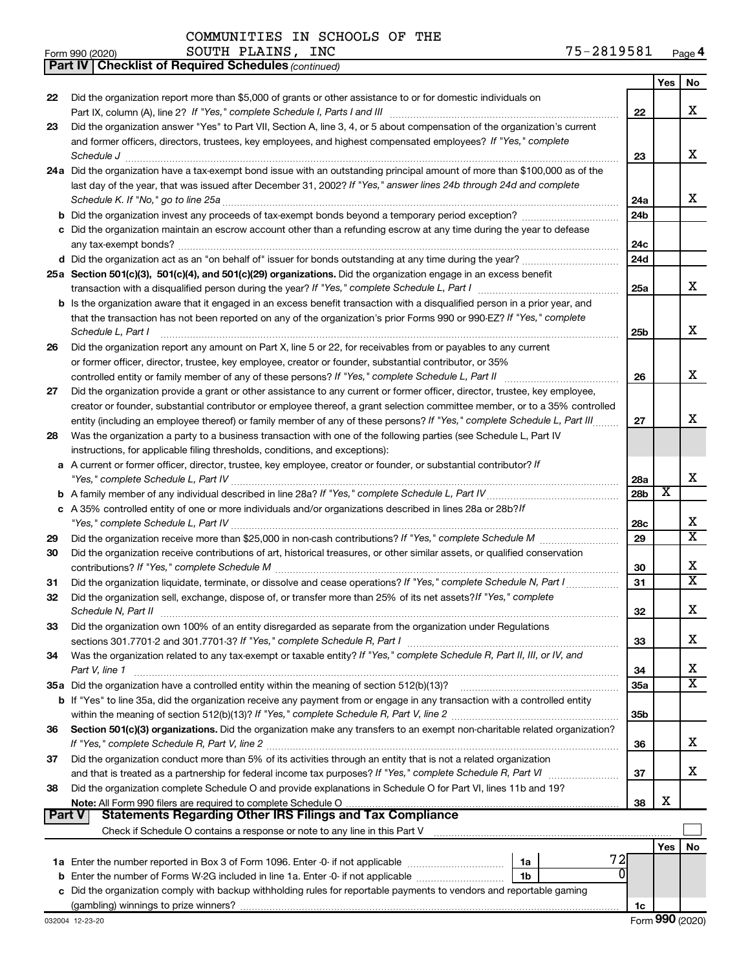|               | <b>Part IV   Checklist of Required Schedules (continued)</b>                                                                                                                                                                            |                 |     |                         |
|---------------|-----------------------------------------------------------------------------------------------------------------------------------------------------------------------------------------------------------------------------------------|-----------------|-----|-------------------------|
|               |                                                                                                                                                                                                                                         |                 | Yes | No                      |
| 22            | Did the organization report more than \$5,000 of grants or other assistance to or for domestic individuals on                                                                                                                           |                 |     |                         |
|               |                                                                                                                                                                                                                                         | 22              |     | x                       |
| 23            | Did the organization answer "Yes" to Part VII, Section A, line 3, 4, or 5 about compensation of the organization's current                                                                                                              |                 |     |                         |
|               | and former officers, directors, trustees, key employees, and highest compensated employees? If "Yes," complete                                                                                                                          |                 |     |                         |
|               | Schedule J <b>Example 2 Constant Constructs</b> 2 <b>Constant Constant Constant Constant Constant Constant Constant Constant Constant Constant Constant Constant Constant Constant Constant Constant Constant Constant Constant Con</b> | 23              |     | x                       |
|               | 24a Did the organization have a tax-exempt bond issue with an outstanding principal amount of more than \$100,000 as of the                                                                                                             |                 |     |                         |
|               | last day of the year, that was issued after December 31, 2002? If "Yes," answer lines 24b through 24d and complete                                                                                                                      |                 |     |                         |
|               |                                                                                                                                                                                                                                         | 24a             |     | X.                      |
|               |                                                                                                                                                                                                                                         | 24 <sub>b</sub> |     |                         |
|               | c Did the organization maintain an escrow account other than a refunding escrow at any time during the year to defease                                                                                                                  |                 |     |                         |
|               |                                                                                                                                                                                                                                         | 24c             |     |                         |
|               |                                                                                                                                                                                                                                         | 24 <sub>d</sub> |     |                         |
|               | 25a Section 501(c)(3), 501(c)(4), and 501(c)(29) organizations. Did the organization engage in an excess benefit                                                                                                                        |                 |     |                         |
|               |                                                                                                                                                                                                                                         | 25a             |     | x                       |
|               | b Is the organization aware that it engaged in an excess benefit transaction with a disqualified person in a prior year, and                                                                                                            |                 |     |                         |
|               | that the transaction has not been reported on any of the organization's prior Forms 990 or 990-EZ? If "Yes," complete                                                                                                                   |                 |     |                         |
|               | Schedule L, Part I                                                                                                                                                                                                                      | 25b             |     | х                       |
| 26            | Did the organization report any amount on Part X, line 5 or 22, for receivables from or payables to any current                                                                                                                         |                 |     |                         |
|               | or former officer, director, trustee, key employee, creator or founder, substantial contributor, or 35%                                                                                                                                 |                 |     |                         |
|               | controlled entity or family member of any of these persons? If "Yes," complete Schedule L, Part II                                                                                                                                      | 26              |     | x                       |
| 27            | Did the organization provide a grant or other assistance to any current or former officer, director, trustee, key employee,                                                                                                             |                 |     |                         |
|               | creator or founder, substantial contributor or employee thereof, a grant selection committee member, or to a 35% controlled                                                                                                             |                 |     |                         |
|               | entity (including an employee thereof) or family member of any of these persons? If "Yes," complete Schedule L, Part III                                                                                                                | 27              |     | x                       |
| 28            | Was the organization a party to a business transaction with one of the following parties (see Schedule L, Part IV                                                                                                                       |                 |     |                         |
|               | instructions, for applicable filing thresholds, conditions, and exceptions):                                                                                                                                                            |                 |     |                         |
|               | a A current or former officer, director, trustee, key employee, creator or founder, or substantial contributor? If                                                                                                                      |                 |     |                         |
|               |                                                                                                                                                                                                                                         | 28a             |     | x                       |
|               |                                                                                                                                                                                                                                         | 28 <sub>b</sub> | X   |                         |
|               | c A 35% controlled entity of one or more individuals and/or organizations described in lines 28a or 28b?/f                                                                                                                              |                 |     |                         |
|               |                                                                                                                                                                                                                                         | 28c             |     | х                       |
| 29            |                                                                                                                                                                                                                                         | 29              |     | $\overline{\text{X}}$   |
| 30            | Did the organization receive contributions of art, historical treasures, or other similar assets, or qualified conservation                                                                                                             |                 |     |                         |
|               |                                                                                                                                                                                                                                         | 30              |     | x                       |
|               | Did the organization liquidate, terminate, or dissolve and cease operations? If "Yes," complete Schedule N, Part I                                                                                                                      | 31              |     | X                       |
| 31            |                                                                                                                                                                                                                                         |                 |     |                         |
| 32            | Did the organization sell, exchange, dispose of, or transfer more than 25% of its net assets? If "Yes," complete<br>Schedule N, Part II                                                                                                 | 32              |     |                         |
|               | Did the organization own 100% of an entity disregarded as separate from the organization under Regulations                                                                                                                              |                 |     | ▵                       |
| 33            |                                                                                                                                                                                                                                         | 33              |     | х                       |
|               |                                                                                                                                                                                                                                         |                 |     |                         |
| 34            | Was the organization related to any tax-exempt or taxable entity? If "Yes," complete Schedule R, Part II, III, or IV, and                                                                                                               |                 |     | x                       |
|               | Part V, line 1<br>35a Did the organization have a controlled entity within the meaning of section 512(b)(13)?                                                                                                                           | 34<br>35a       |     | $\overline{\textbf{x}}$ |
|               |                                                                                                                                                                                                                                         |                 |     |                         |
|               | b If "Yes" to line 35a, did the organization receive any payment from or engage in any transaction with a controlled entity                                                                                                             | 35b             |     |                         |
|               |                                                                                                                                                                                                                                         |                 |     |                         |
| 36            | Section 501(c)(3) organizations. Did the organization make any transfers to an exempt non-charitable related organization?                                                                                                              | 36              |     | x                       |
|               | Did the organization conduct more than 5% of its activities through an entity that is not a related organization                                                                                                                        |                 |     |                         |
| 37            |                                                                                                                                                                                                                                         | 37              |     | х                       |
|               |                                                                                                                                                                                                                                         |                 |     |                         |
| 38            | Did the organization complete Schedule O and provide explanations in Schedule O for Part VI, lines 11b and 19?                                                                                                                          |                 | х   |                         |
| <b>Part V</b> | Note: All Form 990 filers are required to complete Schedule O.                                                                                                                                                                          | 38              |     |                         |
|               | Check if Schedule O contains a response or note to any line in this Part V [11] [12] Check if Schedule O contains a response or note to any line in this Part V                                                                         |                 |     |                         |
|               |                                                                                                                                                                                                                                         |                 |     |                         |
|               | 72                                                                                                                                                                                                                                      |                 | Yes | No                      |
|               | 1a<br>01                                                                                                                                                                                                                                |                 |     |                         |
|               | Enter the number of Forms W-2G included in line 1a. Enter -0- if not applicable<br>1b                                                                                                                                                   |                 |     |                         |
|               | c Did the organization comply with backup withholding rules for reportable payments to vendors and reportable gaming                                                                                                                    |                 |     |                         |
|               |                                                                                                                                                                                                                                         | 1c              |     |                         |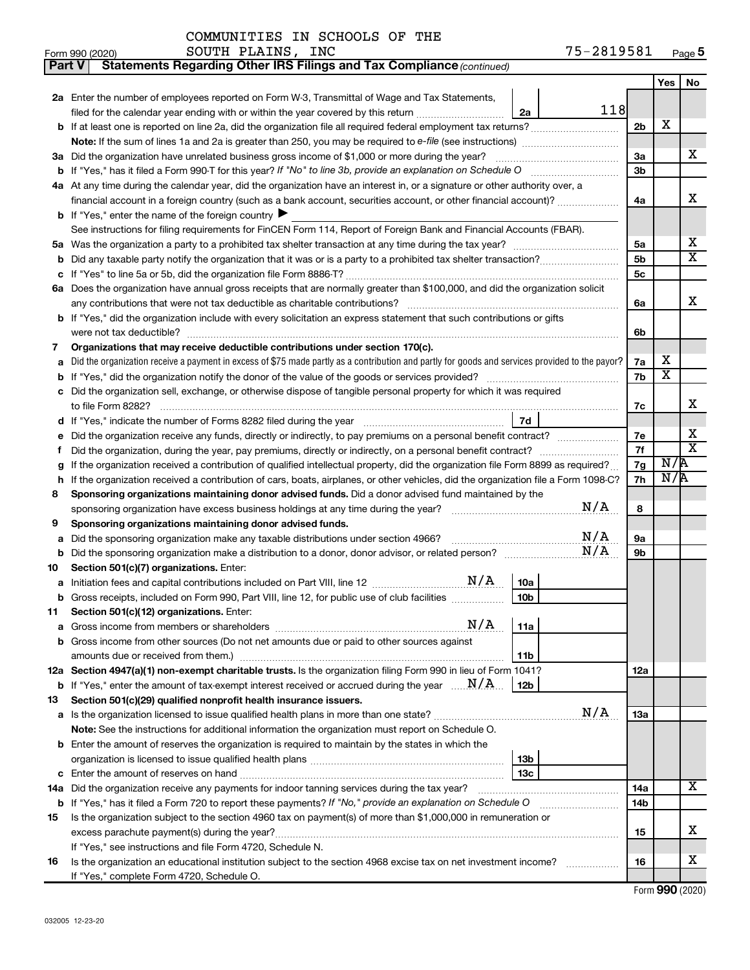| COMMUNITIES IN SCHOOLS OF THE |  |  |  |
|-------------------------------|--|--|--|
|-------------------------------|--|--|--|

| Part V | Statements Regarding Other IRS Filings and Tax Compliance (continued)                                                                           |     |                         |                         |  |  |  |  |  |  |  |
|--------|-------------------------------------------------------------------------------------------------------------------------------------------------|-----|-------------------------|-------------------------|--|--|--|--|--|--|--|
|        |                                                                                                                                                 |     | Yes                     | No                      |  |  |  |  |  |  |  |
|        | 2a Enter the number of employees reported on Form W-3, Transmittal of Wage and Tax Statements,                                                  |     |                         |                         |  |  |  |  |  |  |  |
|        | 118<br>filed for the calendar year ending with or within the year covered by this return<br>2a                                                  |     |                         |                         |  |  |  |  |  |  |  |
|        |                                                                                                                                                 | 2b  | X                       |                         |  |  |  |  |  |  |  |
|        | Note: If the sum of lines 1a and 2a is greater than 250, you may be required to e-file (see instructions) <i></i>                               |     |                         |                         |  |  |  |  |  |  |  |
|        | 3a Did the organization have unrelated business gross income of \$1,000 or more during the year?                                                | За  |                         | х                       |  |  |  |  |  |  |  |
| b      |                                                                                                                                                 | Зb  |                         |                         |  |  |  |  |  |  |  |
|        | 4a At any time during the calendar year, did the organization have an interest in, or a signature or other authority over, a                    |     |                         |                         |  |  |  |  |  |  |  |
|        |                                                                                                                                                 | 4a  |                         | x                       |  |  |  |  |  |  |  |
|        | <b>b</b> If "Yes," enter the name of the foreign country $\blacktriangleright$                                                                  |     |                         |                         |  |  |  |  |  |  |  |
|        | See instructions for filing requirements for FinCEN Form 114, Report of Foreign Bank and Financial Accounts (FBAR).                             |     |                         |                         |  |  |  |  |  |  |  |
| 5a     |                                                                                                                                                 | 5a  |                         | х                       |  |  |  |  |  |  |  |
| b      |                                                                                                                                                 |     |                         |                         |  |  |  |  |  |  |  |
| с      |                                                                                                                                                 | 5c  |                         |                         |  |  |  |  |  |  |  |
|        | 6a Does the organization have annual gross receipts that are normally greater than \$100,000, and did the organization solicit                  |     |                         |                         |  |  |  |  |  |  |  |
|        |                                                                                                                                                 | 6a  |                         | x                       |  |  |  |  |  |  |  |
|        | <b>b</b> If "Yes," did the organization include with every solicitation an express statement that such contributions or gifts                   |     |                         |                         |  |  |  |  |  |  |  |
|        |                                                                                                                                                 | 6b  |                         |                         |  |  |  |  |  |  |  |
| 7      | Organizations that may receive deductible contributions under section 170(c).                                                                   |     |                         |                         |  |  |  |  |  |  |  |
| а      | Did the organization receive a payment in excess of \$75 made partly as a contribution and partly for goods and services provided to the payor? | 7a  | х                       |                         |  |  |  |  |  |  |  |
| b      |                                                                                                                                                 | 7b  | $\overline{\textbf{x}}$ |                         |  |  |  |  |  |  |  |
| с      | Did the organization sell, exchange, or otherwise dispose of tangible personal property for which it was required                               |     |                         |                         |  |  |  |  |  |  |  |
|        |                                                                                                                                                 | 7c  |                         | х                       |  |  |  |  |  |  |  |
|        | 7d                                                                                                                                              |     |                         | х                       |  |  |  |  |  |  |  |
| е      | Did the organization receive any funds, directly or indirectly, to pay premiums on a personal benefit contract?                                 |     |                         |                         |  |  |  |  |  |  |  |
| f.     |                                                                                                                                                 | 7f  |                         | $\overline{\texttt{x}}$ |  |  |  |  |  |  |  |
| g      | If the organization received a contribution of qualified intellectual property, did the organization file Form 8899 as required?                | 7g  | N/R                     |                         |  |  |  |  |  |  |  |
| h      | If the organization received a contribution of cars, boats, airplanes, or other vehicles, did the organization file a Form 1098-C?              | 7h  | N/R                     |                         |  |  |  |  |  |  |  |
| 8      | Sponsoring organizations maintaining donor advised funds. Did a donor advised fund maintained by the                                            |     |                         |                         |  |  |  |  |  |  |  |
|        | N/A                                                                                                                                             | 8   |                         |                         |  |  |  |  |  |  |  |
| 9      | Sponsoring organizations maintaining donor advised funds.                                                                                       |     |                         |                         |  |  |  |  |  |  |  |
| а      | N/A<br>Did the sponsoring organization make any taxable distributions under section 4966?                                                       | 9а  |                         |                         |  |  |  |  |  |  |  |
| b      | N/A                                                                                                                                             | 9b  |                         |                         |  |  |  |  |  |  |  |
| 10     | Section 501(c)(7) organizations. Enter:                                                                                                         |     |                         |                         |  |  |  |  |  |  |  |
| а      | N/A<br>10a                                                                                                                                      |     |                         |                         |  |  |  |  |  |  |  |
|        | 10 <sub>b</sub><br>b Gross receipts, included on Form 990, Part VIII, line 12, for public use of club facilities                                |     |                         |                         |  |  |  |  |  |  |  |
| 11     | Section 501(c)(12) organizations. Enter:                                                                                                        |     |                         |                         |  |  |  |  |  |  |  |
| а      | N/A<br>11a                                                                                                                                      |     |                         |                         |  |  |  |  |  |  |  |
|        | b Gross income from other sources (Do not net amounts due or paid to other sources against                                                      |     |                         |                         |  |  |  |  |  |  |  |
|        | 11b                                                                                                                                             |     |                         |                         |  |  |  |  |  |  |  |
|        | 12a Section 4947(a)(1) non-exempt charitable trusts. Is the organization filing Form 990 in lieu of Form 1041?                                  | 12a |                         |                         |  |  |  |  |  |  |  |
|        | <b>b</b> If "Yes," enter the amount of tax-exempt interest received or accrued during the year $\ldots \mathbf{N}/\mathbf{A}$ .<br>12b          |     |                         |                         |  |  |  |  |  |  |  |
| 13     | Section 501(c)(29) qualified nonprofit health insurance issuers.                                                                                |     |                         |                         |  |  |  |  |  |  |  |
| а      | N/A<br>Is the organization licensed to issue qualified health plans in more than one state?                                                     | 1За |                         |                         |  |  |  |  |  |  |  |
|        | Note: See the instructions for additional information the organization must report on Schedule O.                                               |     |                         |                         |  |  |  |  |  |  |  |
|        | <b>b</b> Enter the amount of reserves the organization is required to maintain by the states in which the                                       |     |                         |                         |  |  |  |  |  |  |  |
|        | 13b                                                                                                                                             |     |                         |                         |  |  |  |  |  |  |  |
| с      | 13 <sub>c</sub>                                                                                                                                 |     |                         | x                       |  |  |  |  |  |  |  |
| 14a    | Did the organization receive any payments for indoor tanning services during the tax year?                                                      | 14a |                         |                         |  |  |  |  |  |  |  |
| b      | If "Yes," has it filed a Form 720 to report these payments? If "No," provide an explanation on Schedule O                                       | 14b |                         |                         |  |  |  |  |  |  |  |
| 15     | Is the organization subject to the section 4960 tax on payment(s) of more than \$1,000,000 in remuneration or                                   |     |                         |                         |  |  |  |  |  |  |  |
|        |                                                                                                                                                 | 15  |                         | х                       |  |  |  |  |  |  |  |
|        | If "Yes," see instructions and file Form 4720, Schedule N.                                                                                      |     |                         | х                       |  |  |  |  |  |  |  |
| 16     | Is the organization an educational institution subject to the section 4968 excise tax on net investment income?                                 | 16  |                         |                         |  |  |  |  |  |  |  |
|        | If "Yes," complete Form 4720, Schedule O.                                                                                                       |     |                         |                         |  |  |  |  |  |  |  |

Form (2020) **990**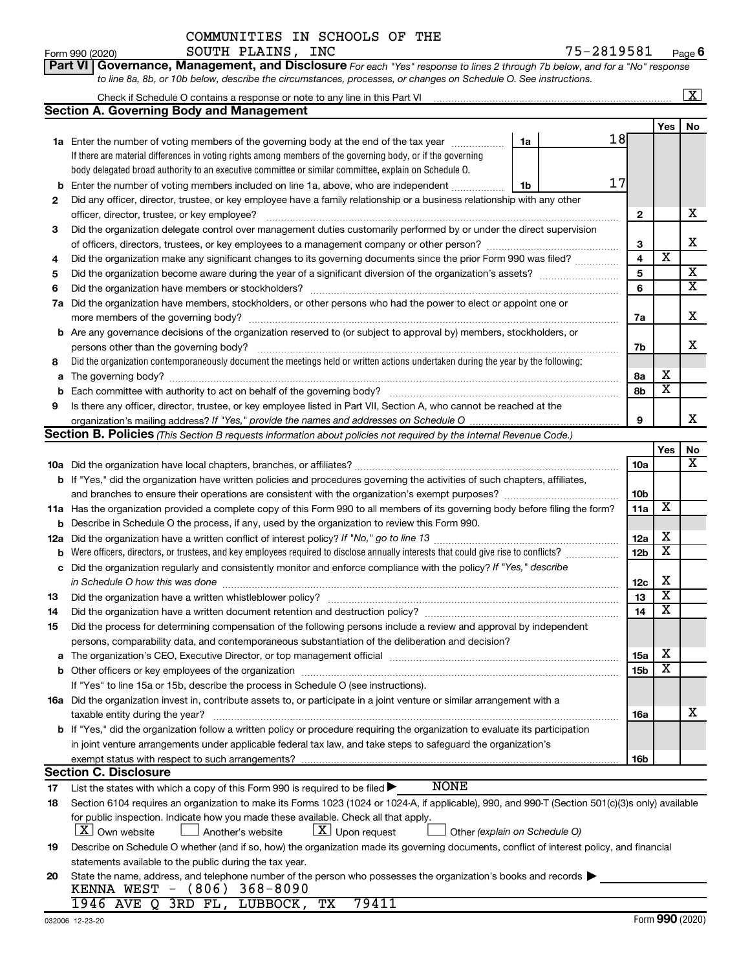|             | to line 8a, 8b, or 10b below, describe the circumstances, processes, or changes on Schedule O. See instructions.                                 |              |                         |                         |  |  |  |  |  |  |
|-------------|--------------------------------------------------------------------------------------------------------------------------------------------------|--------------|-------------------------|-------------------------|--|--|--|--|--|--|
|             | Check if Schedule O contains a response or note to any line in this Part VI                                                                      |              |                         | $\boxed{\text{X}}$      |  |  |  |  |  |  |
|             | <b>Section A. Governing Body and Management</b>                                                                                                  |              |                         |                         |  |  |  |  |  |  |
|             |                                                                                                                                                  |              | Yes                     | No                      |  |  |  |  |  |  |
|             | 18<br>1a<br>1a Enter the number of voting members of the governing body at the end of the tax year                                               |              |                         |                         |  |  |  |  |  |  |
|             | If there are material differences in voting rights among members of the governing body, or if the governing                                      |              |                         |                         |  |  |  |  |  |  |
|             | body delegated broad authority to an executive committee or similar committee, explain on Schedule O.                                            |              |                         |                         |  |  |  |  |  |  |
| b           | 17<br>Enter the number of voting members included on line 1a, above, who are independent<br>1b                                                   |              |                         |                         |  |  |  |  |  |  |
| 2           | Did any officer, director, trustee, or key employee have a family relationship or a business relationship with any other                         |              |                         |                         |  |  |  |  |  |  |
|             | officer, director, trustee, or key employee?                                                                                                     | $\mathbf{2}$ |                         | х                       |  |  |  |  |  |  |
| 3           | Did the organization delegate control over management duties customarily performed by or under the direct supervision                            |              |                         |                         |  |  |  |  |  |  |
|             |                                                                                                                                                  | 3            |                         | X                       |  |  |  |  |  |  |
| 4           | Did the organization make any significant changes to its governing documents since the prior Form 990 was filed?                                 | 4            | $\overline{\textbf{x}}$ |                         |  |  |  |  |  |  |
| 5           |                                                                                                                                                  | 5            |                         | $\overline{\mathbf{X}}$ |  |  |  |  |  |  |
| 6           |                                                                                                                                                  | 6            |                         | $\overline{\textbf{x}}$ |  |  |  |  |  |  |
| 7a          | Did the organization have members, stockholders, or other persons who had the power to elect or appoint one or                                   |              |                         |                         |  |  |  |  |  |  |
|             |                                                                                                                                                  | 7a           |                         | X                       |  |  |  |  |  |  |
| b           | Are any governance decisions of the organization reserved to (or subject to approval by) members, stockholders, or                               |              |                         |                         |  |  |  |  |  |  |
|             | persons other than the governing body?                                                                                                           | 7b           |                         | х                       |  |  |  |  |  |  |
| 8           | Did the organization contemporaneously document the meetings held or written actions undertaken during the year by the following:                |              |                         |                         |  |  |  |  |  |  |
| a           |                                                                                                                                                  | 8а           | х                       |                         |  |  |  |  |  |  |
| $\mathbf b$ |                                                                                                                                                  | 8b           | $\overline{\mathbf{X}}$ |                         |  |  |  |  |  |  |
| 9           | Is there any officer, director, trustee, or key employee listed in Part VII, Section A, who cannot be reached at the                             |              |                         |                         |  |  |  |  |  |  |
|             |                                                                                                                                                  | 9            |                         | x                       |  |  |  |  |  |  |
|             | Section B. Policies (This Section B requests information about policies not required by the Internal Revenue Code.)                              |              |                         |                         |  |  |  |  |  |  |
|             |                                                                                                                                                  |              | Yes                     | No                      |  |  |  |  |  |  |
|             |                                                                                                                                                  | 10a          |                         | x                       |  |  |  |  |  |  |
|             | <b>b</b> If "Yes," did the organization have written policies and procedures governing the activities of such chapters, affiliates,              |              |                         |                         |  |  |  |  |  |  |
|             |                                                                                                                                                  | 10b          |                         |                         |  |  |  |  |  |  |
|             | 11a Has the organization provided a complete copy of this Form 990 to all members of its governing body before filing the form?                  | 11a          | X                       |                         |  |  |  |  |  |  |
| b           | Describe in Schedule O the process, if any, used by the organization to review this Form 990.                                                    |              |                         |                         |  |  |  |  |  |  |
| 12a         |                                                                                                                                                  | 12a          | X                       |                         |  |  |  |  |  |  |
| b           | Were officers, directors, or trustees, and key employees required to disclose annually interests that could give rise to conflicts?              | 12b          | $\overline{\mathbf{X}}$ |                         |  |  |  |  |  |  |
| с           | Did the organization regularly and consistently monitor and enforce compliance with the policy? If "Yes," describe                               |              |                         |                         |  |  |  |  |  |  |
|             | in Schedule O how this was done                                                                                                                  | 12c          | X                       |                         |  |  |  |  |  |  |
| 13          |                                                                                                                                                  | 13           | $\overline{\mathbf{X}}$ |                         |  |  |  |  |  |  |
| 14          |                                                                                                                                                  | 14           | $\overline{\textbf{x}}$ |                         |  |  |  |  |  |  |
| 15          | Did the process for determining compensation of the following persons include a review and approval by independent                               |              |                         |                         |  |  |  |  |  |  |
|             | persons, comparability data, and contemporaneous substantiation of the deliberation and decision?                                                |              |                         |                         |  |  |  |  |  |  |
|             |                                                                                                                                                  | 15a          | X                       |                         |  |  |  |  |  |  |
|             |                                                                                                                                                  | 15b          | $\overline{\textbf{x}}$ |                         |  |  |  |  |  |  |
|             | If "Yes" to line 15a or 15b, describe the process in Schedule O (see instructions).                                                              |              |                         |                         |  |  |  |  |  |  |
|             | 16a Did the organization invest in, contribute assets to, or participate in a joint venture or similar arrangement with a                        |              |                         |                         |  |  |  |  |  |  |
|             | taxable entity during the year?                                                                                                                  | 16a          |                         | x                       |  |  |  |  |  |  |
|             | b If "Yes," did the organization follow a written policy or procedure requiring the organization to evaluate its participation                   |              |                         |                         |  |  |  |  |  |  |
|             | in joint venture arrangements under applicable federal tax law, and take steps to safeguard the organization's                                   |              |                         |                         |  |  |  |  |  |  |
|             | exempt status with respect to such arrangements?                                                                                                 | 16b          |                         |                         |  |  |  |  |  |  |
|             | <b>Section C. Disclosure</b>                                                                                                                     |              |                         |                         |  |  |  |  |  |  |
| 17          | <b>NONE</b><br>List the states with which a copy of this Form 990 is required to be filed >                                                      |              |                         |                         |  |  |  |  |  |  |
| 18          | Section 6104 requires an organization to make its Forms 1023 (1024 or 1024-A, if applicable), 990, and 990-T (Section 501(c)(3)s only) available |              |                         |                         |  |  |  |  |  |  |
|             | for public inspection. Indicate how you made these available. Check all that apply.                                                              |              |                         |                         |  |  |  |  |  |  |
|             | <b>X</b> Own website<br>$ \underline{X} $ Upon request<br>Another's website<br>Other (explain on Schedule O)                                     |              |                         |                         |  |  |  |  |  |  |
| 19          | Describe on Schedule O whether (and if so, how) the organization made its governing documents, conflict of interest policy, and financial        |              |                         |                         |  |  |  |  |  |  |
|             | statements available to the public during the tax year.                                                                                          |              |                         |                         |  |  |  |  |  |  |

**Part VI** Governance, Management, and Disclosure For each "Yes" response to lines 2 through 7b below, and for a "No" response

Form 990 (2020) Page SOUTH PLAINS, INC 75-2819581

COMMUNITIES IN SCHOOLS OF THE

| KENNA WEST - (806) 368-8090          |  | 20 State the name, address, and telephone number of the person who possesses the organization's books and records $\blacktriangleright$ |
|--------------------------------------|--|-----------------------------------------------------------------------------------------------------------------------------------------|
| 1946 AVE O 3RD FL, LUBBOCK, TX 79411 |  |                                                                                                                                         |

**6**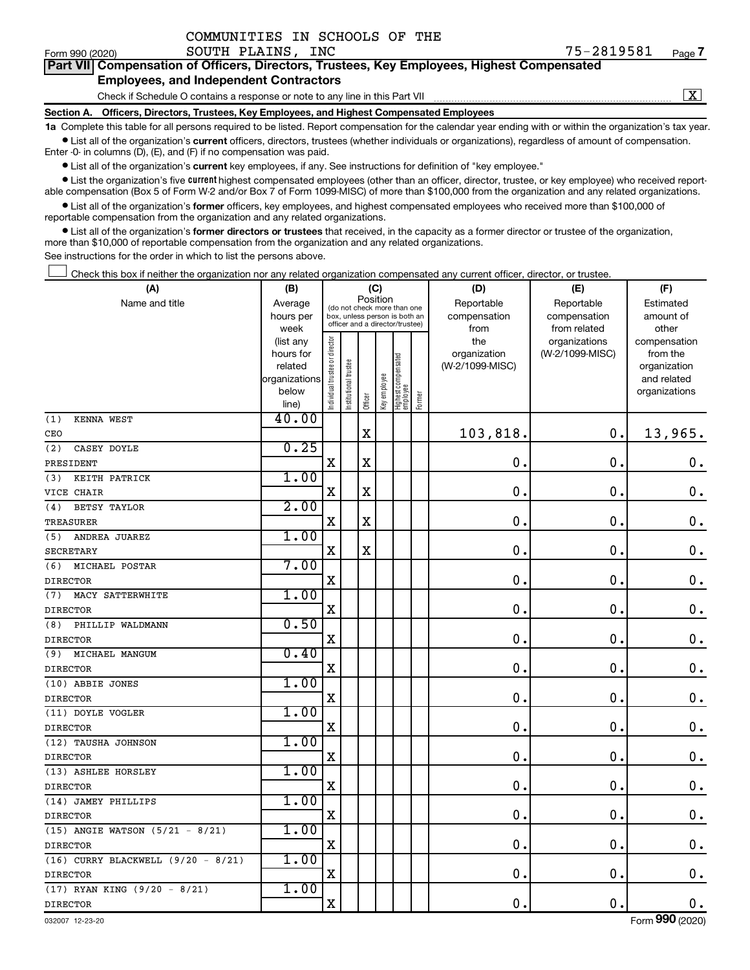| Form 990 (2020) | SOUTH PLAINS, INC                                                                                                                                          | 75-2819581 | Page 7 |
|-----------------|------------------------------------------------------------------------------------------------------------------------------------------------------------|------------|--------|
|                 | Part VII Compensation of Officers, Directors, Trustees, Key Employees, Highest Compensated                                                                 |            |        |
|                 | <b>Employees, and Independent Contractors</b>                                                                                                              |            |        |
|                 | Check if Schedule O contains a response or note to any line in this Part VII                                                                               |            |        |
|                 | Section A. Officers, Directors, Trustees, Key Employees, and Highest Compensated Employees                                                                 |            |        |
|                 | 1a Complete this table for all persons required to be listed. Report compensation for the calendar year ending with or within the organization's tax year. |            |        |

 $\bullet$  List all of the organization's current officers, directors, trustees (whether individuals or organizations), regardless of amount of compensation.

Enter -0- in columns (D), (E), and (F) if no compensation was paid.

**•** List all of the organization's current key employees, if any. See instructions for definition of "key employee."

COMMUNITIES IN SCHOOLS OF THE

• List the organization's five *current* highest compensated employees (other than an officer, director, trustee, or key employee) who received reportable compensation (Box 5 of Form W-2 and/or Box 7 of Form 1099-MISC) of more than \$100,000 from the organization and any related organizations.

 $\bullet$  List all of the organization's former officers, key employees, and highest compensated employees who received more than \$100,000 of reportable compensation from the organization and any related organizations.

**•** List all of the organization's former directors or trustees that received, in the capacity as a former director or trustee of the organization, more than \$10,000 of reportable compensation from the organization and any related organizations.

See instructions for the order in which to list the persons above.

Check this box if neither the organization nor any related organization compensated any current officer, director, or trustee. †

| (A)                                    | (B)                    | (C)                                     |                                                                  |             |              |                                 |        | (D)                 | (E)                              | (F)                      |  |  |
|----------------------------------------|------------------------|-----------------------------------------|------------------------------------------------------------------|-------------|--------------|---------------------------------|--------|---------------------|----------------------------------|--------------------------|--|--|
| Name and title                         | Average                | Position<br>(do not check more than one |                                                                  |             |              |                                 |        | Reportable          | Estimated                        |                          |  |  |
|                                        | hours per              |                                         | box, unless person is both an<br>officer and a director/trustee) |             |              |                                 |        | compensation        | compensation                     | amount of                |  |  |
|                                        | week                   |                                         |                                                                  |             |              |                                 |        | from                | from related                     | other                    |  |  |
|                                        | (list any<br>hours for |                                         |                                                                  |             |              |                                 |        | the<br>organization | organizations<br>(W-2/1099-MISC) | compensation<br>from the |  |  |
|                                        | related                |                                         |                                                                  |             |              |                                 |        | (W-2/1099-MISC)     |                                  | organization             |  |  |
|                                        | organizations          |                                         | trustee                                                          |             |              |                                 |        |                     |                                  | and related              |  |  |
|                                        | below                  | Individual trustee or director          | Institutional ti                                                 |             | Key employee | Highest compensated<br>employee |        |                     |                                  | organizations            |  |  |
|                                        | line)                  |                                         |                                                                  | Officer     |              |                                 | Former |                     |                                  |                          |  |  |
| (1)<br>KENNA WEST                      | 40.00                  |                                         |                                                                  |             |              |                                 |        |                     |                                  |                          |  |  |
| CEO                                    |                        |                                         |                                                                  | $\mathbf X$ |              |                                 |        | 103,818.            | $\mathbf 0$ .                    | 13,965.                  |  |  |
| (2)<br>CASEY DOYLE                     | 0.25                   |                                         |                                                                  |             |              |                                 |        |                     |                                  |                          |  |  |
| PRESIDENT                              |                        | $\mathbf x$                             |                                                                  | X           |              |                                 |        | $\mathbf 0$ .       | $\mathbf 0$ .                    | $\mathbf 0$ .            |  |  |
| KEITH PATRICK<br>(3)                   | 1.00                   |                                         |                                                                  |             |              |                                 |        |                     |                                  |                          |  |  |
| VICE CHAIR                             |                        | $\mathbf X$                             |                                                                  | $\mathbf X$ |              |                                 |        | $\mathbf 0$ .       | $\mathbf 0$ .                    | $\boldsymbol{0}$ .       |  |  |
| <b>BETSY TAYLOR</b><br>(4)             | 2.00                   |                                         |                                                                  |             |              |                                 |        |                     |                                  |                          |  |  |
| <b>TREASURER</b>                       |                        | $\mathbf X$                             |                                                                  | X           |              |                                 |        | $\mathbf 0$ .       | $\mathbf 0$ .                    | $\mathbf 0$ .            |  |  |
| ANDREA JUAREZ<br>(5)                   | 1.00                   |                                         |                                                                  |             |              |                                 |        |                     |                                  |                          |  |  |
| <b>SECRETARY</b>                       |                        | $\mathbf X$                             |                                                                  | $\mathbf X$ |              |                                 |        | $\mathbf 0$ .       | $\mathbf 0$ .                    | $\boldsymbol{0}$ .       |  |  |
| (6)<br>MICHAEL POSTAR                  | 7.00                   |                                         |                                                                  |             |              |                                 |        |                     |                                  |                          |  |  |
| <b>DIRECTOR</b>                        |                        | $\mathbf X$                             |                                                                  |             |              |                                 |        | $\mathbf 0$ .       | $\mathbf 0$ .                    | $0$ .                    |  |  |
| MACY SATTERWHITE<br>(7)                | 1.00                   |                                         |                                                                  |             |              |                                 |        |                     |                                  |                          |  |  |
| <b>DIRECTOR</b>                        |                        | $\mathbf X$                             |                                                                  |             |              |                                 |        | $\mathbf 0$ .       | $\mathbf 0$ .                    | $\mathbf 0$ .            |  |  |
| PHILLIP WALDMANN<br>(8)                | 0.50                   |                                         |                                                                  |             |              |                                 |        |                     |                                  |                          |  |  |
| <b>DIRECTOR</b>                        |                        | $\mathbf X$                             |                                                                  |             |              |                                 |        | $\mathbf 0$ .       | $\mathbf 0$ .                    | $\mathbf 0$ .            |  |  |
| MICHAEL MANGUM<br>(9)                  | 0.40                   |                                         |                                                                  |             |              |                                 |        |                     |                                  |                          |  |  |
| <b>DIRECTOR</b>                        |                        | $\mathbf X$                             |                                                                  |             |              |                                 |        | 0.                  | $\mathbf 0$ .                    | $\mathbf 0$ .            |  |  |
| (10) ABBIE JONES                       | 1.00                   |                                         |                                                                  |             |              |                                 |        |                     |                                  |                          |  |  |
| <b>DIRECTOR</b>                        |                        | $\mathbf X$                             |                                                                  |             |              |                                 |        | $\mathbf 0$ .       | $\mathbf 0$ .                    | $\mathbf 0$ .            |  |  |
| (11) DOYLE VOGLER                      | 1.00                   |                                         |                                                                  |             |              |                                 |        |                     |                                  |                          |  |  |
| <b>DIRECTOR</b>                        |                        | $\mathbf X$                             |                                                                  |             |              |                                 |        | 0.                  | $\mathbf 0$ .                    | $\mathbf 0$ .            |  |  |
| (12) TAUSHA JOHNSON                    | 1.00                   |                                         |                                                                  |             |              |                                 |        |                     |                                  |                          |  |  |
| <b>DIRECTOR</b>                        |                        | $\mathbf X$                             |                                                                  |             |              |                                 |        | 0.                  | $\mathbf 0$ .                    | $\mathbf 0$ .            |  |  |
| (13) ASHLEE HORSLEY                    | 1.00                   |                                         |                                                                  |             |              |                                 |        |                     |                                  |                          |  |  |
| <b>DIRECTOR</b>                        |                        | X                                       |                                                                  |             |              |                                 |        | 0.                  | $\mathbf 0$ .                    | $\mathbf 0$ .            |  |  |
| (14) JAMEY PHILLIPS                    | 1.00                   |                                         |                                                                  |             |              |                                 |        |                     |                                  |                          |  |  |
| <b>DIRECTOR</b>                        |                        | $\mathbf X$                             |                                                                  |             |              |                                 |        | $\mathbf 0$ .       | $\mathbf 0$ .                    | $\mathbf 0$ .            |  |  |
| (15) ANGIE WATSON (5/21 - 8/21)        | 1.00                   |                                         |                                                                  |             |              |                                 |        |                     |                                  |                          |  |  |
| <b>DIRECTOR</b>                        |                        | $\mathbf X$                             |                                                                  |             |              |                                 |        | 0.                  | $\mathbf 0$ .                    | 0.                       |  |  |
| $(16)$ CURRY BLACKWELL $(9/20 - 8/21)$ | 1.00                   |                                         |                                                                  |             |              |                                 |        |                     |                                  |                          |  |  |
| <b>DIRECTOR</b>                        |                        | $\mathbf X$                             |                                                                  |             |              |                                 |        | 0.                  | $\mathbf 0$ .                    | $\mathbf 0$ .            |  |  |
| $(17)$ RYAN KING $(9/20 - 8/21)$       | 1.00                   |                                         |                                                                  |             |              |                                 |        |                     |                                  |                          |  |  |
| <b>DIRECTOR</b>                        |                        | $\mathbf X$                             |                                                                  |             |              |                                 |        | $\mathbf 0$ .       | $\mathbf 0$ .                    | 0.                       |  |  |
|                                        |                        |                                         |                                                                  |             |              |                                 |        |                     |                                  | $\overline{\phantom{a}}$ |  |  |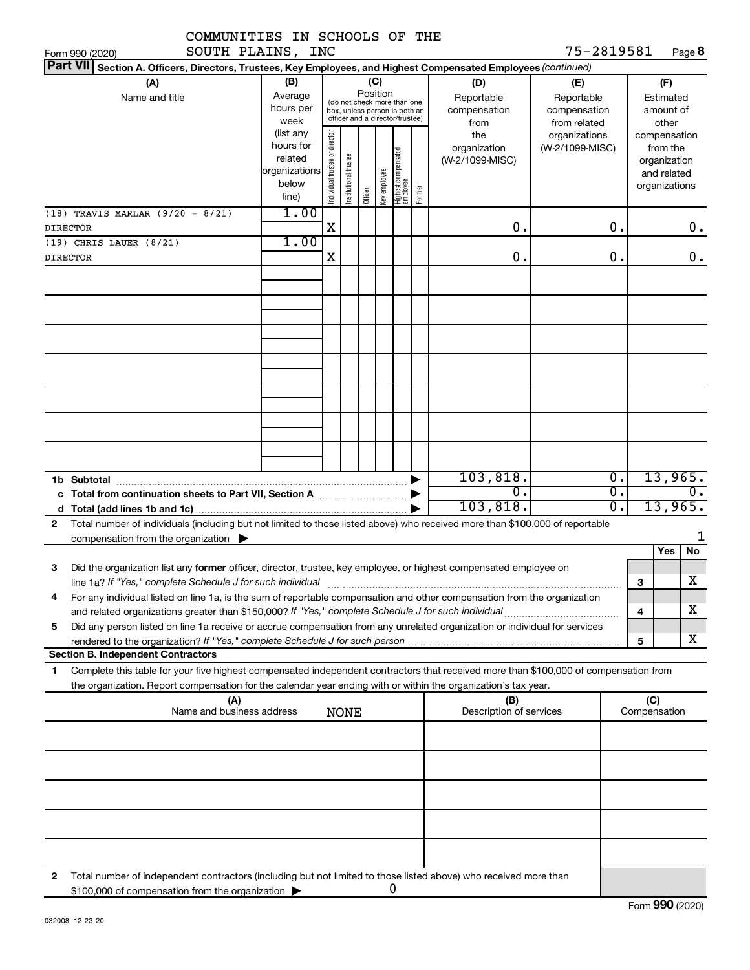| COMMUNITIES IN SCHOOLS OF THE                                                                                                                                                                                                                               |                                                         |                                |                       |                 |              |                                                                                                 |        |                                                  |                                                                    |                        |                                                          |               |
|-------------------------------------------------------------------------------------------------------------------------------------------------------------------------------------------------------------------------------------------------------------|---------------------------------------------------------|--------------------------------|-----------------------|-----------------|--------------|-------------------------------------------------------------------------------------------------|--------|--------------------------------------------------|--------------------------------------------------------------------|------------------------|----------------------------------------------------------|---------------|
| SOUTH PLAINS, INC<br>Form 990 (2020)<br><b>Part VII</b>                                                                                                                                                                                                     |                                                         |                                |                       |                 |              |                                                                                                 |        |                                                  | 75-2819581                                                         |                        | Page 8                                                   |               |
| Section A. Officers, Directors, Trustees, Key Employees, and Highest Compensated Employees (continued)                                                                                                                                                      |                                                         |                                |                       |                 |              |                                                                                                 |        |                                                  |                                                                    |                        |                                                          |               |
| (A)<br>Name and title                                                                                                                                                                                                                                       | (B)<br>Average<br>hours per<br>week<br>(list any        |                                |                       | (C)<br>Position |              | (do not check more than one<br>box, unless person is both an<br>officer and a director/trustee) |        | (D)<br>Reportable<br>compensation<br>from<br>the | (E)<br>Reportable<br>compensation<br>from related<br>organizations |                        | (F)<br>Estimated<br>amount of<br>other<br>compensation   |               |
|                                                                                                                                                                                                                                                             | hours for<br>related<br>organizations<br>below<br>line) | Individual trustee or director | Institutional trustee | Officer         | key employee | Highest compensated<br>employee                                                                 | Former | organization<br>(W-2/1099-MISC)                  | (W-2/1099-MISC)                                                    |                        | from the<br>organization<br>and related<br>organizations |               |
| $(18)$ TRAVIS MARLAR $(9/20 - 8/21)$<br><b>DIRECTOR</b>                                                                                                                                                                                                     | 1.00                                                    | X                              |                       |                 |              |                                                                                                 |        | 0.                                               | $\mathbf 0$ .                                                      |                        |                                                          | 0.            |
| (19) CHRIS LAUER (8/21)                                                                                                                                                                                                                                     | 1.00                                                    |                                |                       |                 |              |                                                                                                 |        |                                                  |                                                                    |                        |                                                          |               |
| <b>DIRECTOR</b>                                                                                                                                                                                                                                             |                                                         | Χ                              |                       |                 |              |                                                                                                 |        | 0.                                               | $\mathbf 0$ .                                                      |                        |                                                          | 0.            |
|                                                                                                                                                                                                                                                             |                                                         |                                |                       |                 |              |                                                                                                 |        |                                                  |                                                                    |                        |                                                          |               |
|                                                                                                                                                                                                                                                             |                                                         |                                |                       |                 |              |                                                                                                 |        |                                                  |                                                                    |                        |                                                          |               |
|                                                                                                                                                                                                                                                             |                                                         |                                |                       |                 |              |                                                                                                 |        |                                                  |                                                                    |                        |                                                          |               |
|                                                                                                                                                                                                                                                             |                                                         |                                |                       |                 |              |                                                                                                 |        |                                                  |                                                                    |                        |                                                          |               |
|                                                                                                                                                                                                                                                             |                                                         |                                |                       |                 |              |                                                                                                 |        |                                                  |                                                                    |                        |                                                          |               |
|                                                                                                                                                                                                                                                             |                                                         |                                |                       |                 |              |                                                                                                 |        | 103, 818.<br>$\overline{0}$ .                    |                                                                    | 0.<br>$\overline{0}$ . | 13,965.                                                  | $\mathbf 0$ . |
|                                                                                                                                                                                                                                                             |                                                         |                                |                       |                 |              |                                                                                                 |        | 103,818.                                         |                                                                    | $\overline{0}$ .       | 13,965.                                                  |               |
| Total number of individuals (including but not limited to those listed above) who received more than \$100,000 of reportable<br>$\mathbf{2}$<br>compensation from the organization $\blacktriangleright$                                                    |                                                         |                                |                       |                 |              |                                                                                                 |        |                                                  |                                                                    |                        |                                                          |               |
| Did the organization list any former officer, director, trustee, key employee, or highest compensated employee on<br>з<br>line 1a? If "Yes," complete Schedule J for such individual                                                                        |                                                         |                                |                       |                 |              |                                                                                                 |        |                                                  |                                                                    | 3                      | Yes<br>No<br>х                                           |               |
| For any individual listed on line 1a, is the sum of reportable compensation and other compensation from the organization<br>4                                                                                                                               |                                                         |                                |                       |                 |              |                                                                                                 |        |                                                  |                                                                    | 4                      | х                                                        |               |
| Did any person listed on line 1a receive or accrue compensation from any unrelated organization or individual for services<br>5                                                                                                                             |                                                         |                                |                       |                 |              |                                                                                                 |        |                                                  |                                                                    |                        |                                                          |               |
| <b>Section B. Independent Contractors</b>                                                                                                                                                                                                                   |                                                         |                                |                       |                 |              |                                                                                                 |        |                                                  |                                                                    | 5                      | X                                                        |               |
| Complete this table for your five highest compensated independent contractors that received more than \$100,000 of compensation from<br>1<br>the organization. Report compensation for the calendar year ending with or within the organization's tax year. |                                                         |                                |                       |                 |              |                                                                                                 |        |                                                  |                                                                    |                        |                                                          |               |
| (A)<br>Name and business address                                                                                                                                                                                                                            |                                                         |                                | <b>NONE</b>           |                 |              |                                                                                                 |        | (B)<br>Description of services                   |                                                                    |                        | (C)<br>Compensation                                      |               |
|                                                                                                                                                                                                                                                             |                                                         |                                |                       |                 |              |                                                                                                 |        |                                                  |                                                                    |                        |                                                          |               |
|                                                                                                                                                                                                                                                             |                                                         |                                |                       |                 |              |                                                                                                 |        |                                                  |                                                                    |                        |                                                          |               |
|                                                                                                                                                                                                                                                             |                                                         |                                |                       |                 |              |                                                                                                 |        |                                                  |                                                                    |                        |                                                          |               |
| 2 Total number of independent contractors (including but not limited to those listed above) who received more than                                                                                                                                          |                                                         |                                |                       |                 |              |                                                                                                 |        |                                                  |                                                                    |                        |                                                          |               |

**2** Total number of independent contractors (including but not limited to those listed above) who received more than \$100,000 of compensation from the organization  $\blacktriangleright$ 0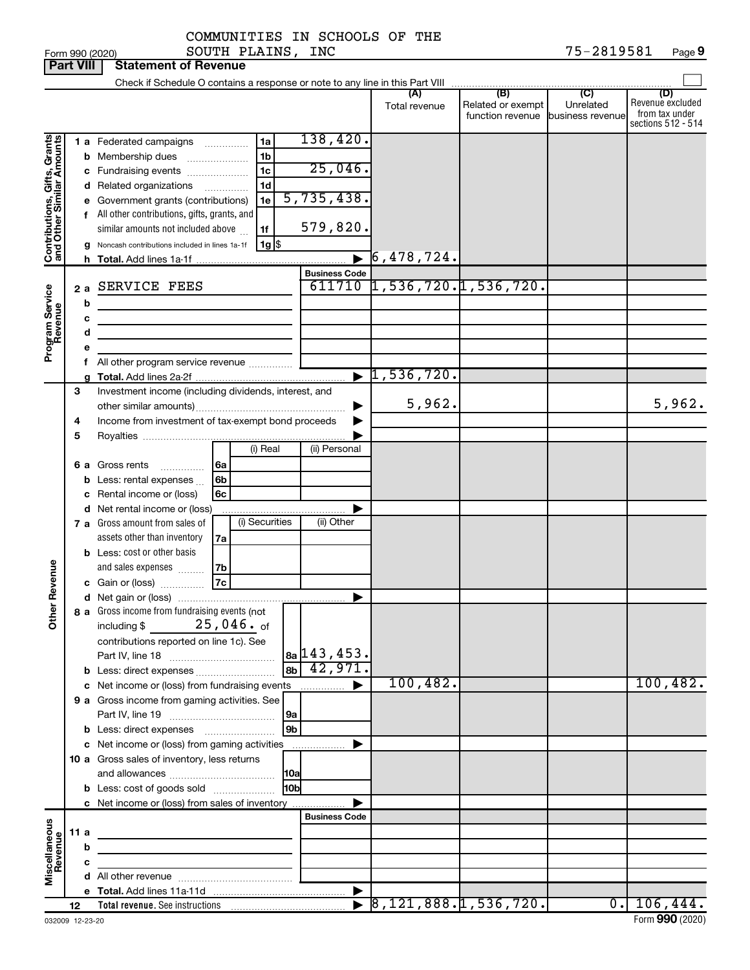|                 | COMMUNITIES IN SCHOOLS OF THE |            |      |
|-----------------|-------------------------------|------------|------|
| Form 990 (2020) | SOUTH PLAINS,<br>INC          | 75-2819581 | Page |

| <b>Part VIII</b>                                          |        |         | <b>Statement of Revenue</b>                                                                                                                                                                                                                                                                                                                                                                     |                                               |                                       |                                                               |                             |                                                                 |
|-----------------------------------------------------------|--------|---------|-------------------------------------------------------------------------------------------------------------------------------------------------------------------------------------------------------------------------------------------------------------------------------------------------------------------------------------------------------------------------------------------------|-----------------------------------------------|---------------------------------------|---------------------------------------------------------------|-----------------------------|-----------------------------------------------------------------|
|                                                           |        |         |                                                                                                                                                                                                                                                                                                                                                                                                 |                                               |                                       |                                                               |                             |                                                                 |
|                                                           |        |         |                                                                                                                                                                                                                                                                                                                                                                                                 |                                               | (A)<br>Total revenue                  | (B)<br>Related or exempt<br>function revenue business revenue | $\overline{C}$<br>Unrelated | (D)<br>Revenue excluded<br>from tax under<br>sections 512 - 514 |
| Contributions, Gifts, Grants<br>and Other Similar Amounts |        | b       | 1 a Federated campaigns<br>1a<br>Membership dues<br>1b<br>$\ldots \ldots \ldots \ldots \ldots$<br>1 <sub>c</sub><br>c Fundraising events<br>d Related organizations<br>1d<br>.<br>1e<br>e Government grants (contributions)<br>f All other contributions, gifts, grants, and<br>similar amounts not included above<br>1f<br>Noncash contributions included in lines 1a-1f<br>$1g$ $\frac{1}{3}$ | 138,420.<br>25,046.<br>5,735,438.<br>579,820. |                                       |                                                               |                             |                                                                 |
|                                                           |        |         |                                                                                                                                                                                                                                                                                                                                                                                                 | $\blacksquare$                                | $\sqrt{6}$ , 478, 724.                |                                                               |                             |                                                                 |
|                                                           |        | 2a<br>b | SERVICE FEES                                                                                                                                                                                                                                                                                                                                                                                    | <b>Business Code</b>                          | 611710 1,536,720.1,536,720.           |                                                               |                             |                                                                 |
| Program Service<br>Revenue                                |        | с<br>d  | the control of the control of the control of the control of the                                                                                                                                                                                                                                                                                                                                 |                                               |                                       |                                                               |                             |                                                                 |
|                                                           |        | е       | f All other program service revenue                                                                                                                                                                                                                                                                                                                                                             |                                               |                                       |                                                               |                             |                                                                 |
|                                                           |        |         |                                                                                                                                                                                                                                                                                                                                                                                                 |                                               | $\blacktriangleright$ 1,536,720.      |                                                               |                             |                                                                 |
|                                                           | 3<br>4 |         | Investment income (including dividends, interest, and<br>Income from investment of tax-exempt bond proceeds                                                                                                                                                                                                                                                                                     |                                               | 5,962.                                |                                                               |                             | 5,962.                                                          |
|                                                           | 5      |         |                                                                                                                                                                                                                                                                                                                                                                                                 |                                               |                                       |                                                               |                             |                                                                 |
|                                                           |        | 6а      | (i) Real<br>Gross rents<br>6а<br>Less: rental expenses<br>6b                                                                                                                                                                                                                                                                                                                                    | (ii) Personal                                 |                                       |                                                               |                             |                                                                 |
|                                                           |        | с       | Rental income or (loss)<br>6c<br>d Net rental income or (loss)<br>(i) Securities<br><b>7 a</b> Gross amount from sales of                                                                                                                                                                                                                                                                       | (ii) Other                                    |                                       |                                                               |                             |                                                                 |
| Revenue                                                   |        |         | assets other than inventory<br>7a<br><b>b</b> Less: cost or other basis<br>and sales expenses<br>7b<br>7c<br>c Gain or (loss)                                                                                                                                                                                                                                                                   |                                               |                                       |                                                               |                             |                                                                 |
|                                                           |        |         |                                                                                                                                                                                                                                                                                                                                                                                                 | ▶                                             |                                       |                                                               |                             |                                                                 |
| $\tilde{\epsilon}$                                        |        |         | 8 a Gross income from fundraising events (not<br>$25$ ,046. $_{\rm of}$<br>including \$<br>contributions reported on line 1c). See                                                                                                                                                                                                                                                              | $ a_2 $ 143, 453.                             |                                       |                                                               |                             |                                                                 |
|                                                           |        |         | ab <br><b>b</b> Less: direct expenses <i>manually contained</i>                                                                                                                                                                                                                                                                                                                                 | 142,971.                                      |                                       |                                                               |                             |                                                                 |
|                                                           |        |         |                                                                                                                                                                                                                                                                                                                                                                                                 |                                               | 100, 482.                             |                                                               |                             | 100, 482.                                                       |
|                                                           |        |         | 9 a Gross income from gaming activities. See                                                                                                                                                                                                                                                                                                                                                    |                                               |                                       |                                                               |                             |                                                                 |
|                                                           |        |         | l 9a                                                                                                                                                                                                                                                                                                                                                                                            |                                               |                                       |                                                               |                             |                                                                 |
|                                                           |        |         | 9 <sub>b</sub><br>c Net income or (loss) from gaming activities                                                                                                                                                                                                                                                                                                                                 |                                               |                                       |                                                               |                             |                                                                 |
|                                                           |        |         | 10 a Gross sales of inventory, less returns                                                                                                                                                                                                                                                                                                                                                     |                                               |                                       |                                                               |                             |                                                                 |
|                                                           |        |         |                                                                                                                                                                                                                                                                                                                                                                                                 |                                               |                                       |                                                               |                             |                                                                 |
|                                                           |        |         | 10bl<br><b>b</b> Less: cost of goods sold                                                                                                                                                                                                                                                                                                                                                       |                                               |                                       |                                                               |                             |                                                                 |
|                                                           |        |         | c Net income or (loss) from sales of inventory                                                                                                                                                                                                                                                                                                                                                  |                                               |                                       |                                                               |                             |                                                                 |
|                                                           |        |         |                                                                                                                                                                                                                                                                                                                                                                                                 | <b>Business Code</b>                          |                                       |                                                               |                             |                                                                 |
| Miscellaneous<br>Revenue                                  | 11 a   | b       | <u> 1989 - Johann Stein, mars an deus an deus Amerikaansk kommunister (</u>                                                                                                                                                                                                                                                                                                                     |                                               |                                       |                                                               |                             |                                                                 |
|                                                           |        | с       | the control of the control of the control of                                                                                                                                                                                                                                                                                                                                                    |                                               |                                       |                                                               |                             |                                                                 |
|                                                           |        |         |                                                                                                                                                                                                                                                                                                                                                                                                 |                                               |                                       |                                                               |                             |                                                                 |
|                                                           |        |         |                                                                                                                                                                                                                                                                                                                                                                                                 | $\blacktriangleright$                         |                                       |                                                               |                             |                                                                 |
|                                                           | 12     |         |                                                                                                                                                                                                                                                                                                                                                                                                 |                                               | $\triangleright$ 8,121,888.1,536,720. |                                                               |                             | 0.106,444.                                                      |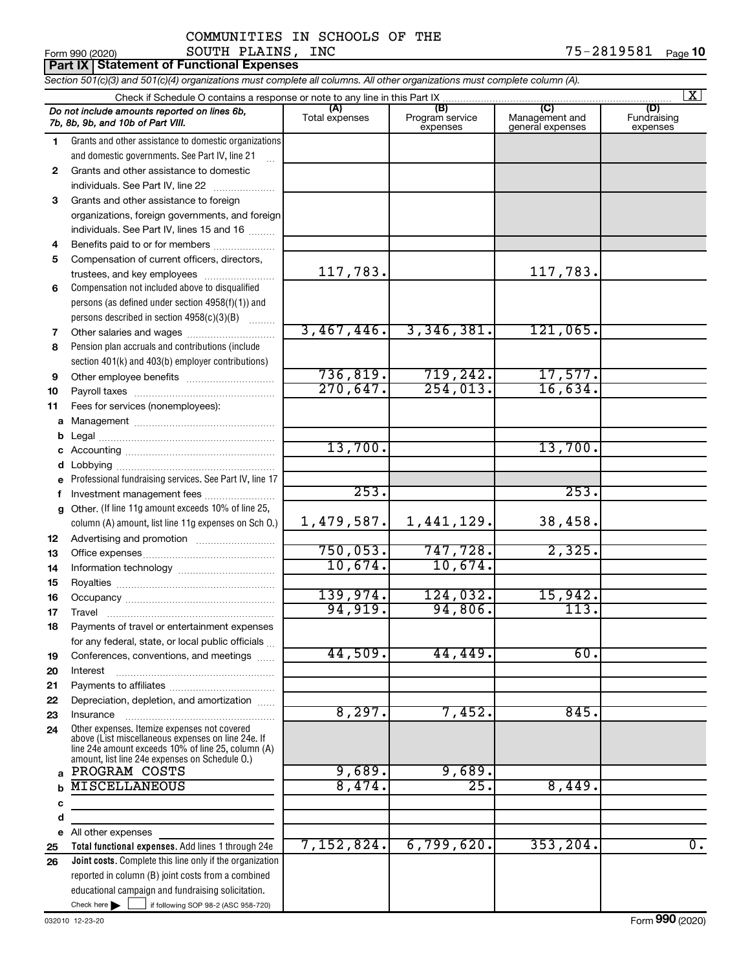|              | SOUTH PLAINS,<br>Form 990 (2020)                                                                                                                                                                           | INC                   |                                    |                                    | 75-2819581<br>Page 10   |
|--------------|------------------------------------------------------------------------------------------------------------------------------------------------------------------------------------------------------------|-----------------------|------------------------------------|------------------------------------|-------------------------|
|              | <b>Part IX   Statement of Functional Expenses</b>                                                                                                                                                          |                       |                                    |                                    |                         |
|              | Section 501(c)(3) and 501(c)(4) organizations must complete all columns. All other organizations must complete column (A).                                                                                 |                       |                                    |                                    |                         |
|              |                                                                                                                                                                                                            |                       |                                    | (C)                                | $\mathbf{X}$<br>(D)     |
|              | Do not include amounts reported on lines 6b,<br>7b, 8b, 9b, and 10b of Part VIII.                                                                                                                          | (A)<br>Total expenses | (B)<br>Program service<br>expenses | Management and<br>general expenses | Fundraising<br>expenses |
| 1.           | Grants and other assistance to domestic organizations                                                                                                                                                      |                       |                                    |                                    |                         |
|              | and domestic governments. See Part IV, line 21                                                                                                                                                             |                       |                                    |                                    |                         |
| $\mathbf{2}$ | Grants and other assistance to domestic                                                                                                                                                                    |                       |                                    |                                    |                         |
|              | individuals. See Part IV, line 22                                                                                                                                                                          |                       |                                    |                                    |                         |
| 3            | Grants and other assistance to foreign                                                                                                                                                                     |                       |                                    |                                    |                         |
|              | organizations, foreign governments, and foreign                                                                                                                                                            |                       |                                    |                                    |                         |
|              | individuals. See Part IV, lines 15 and 16                                                                                                                                                                  |                       |                                    |                                    |                         |
| 4<br>5       | Benefits paid to or for members<br>Compensation of current officers, directors,                                                                                                                            |                       |                                    |                                    |                         |
|              | trustees, and key employees                                                                                                                                                                                | 117,783.              |                                    | 117,783.                           |                         |
| 6            | Compensation not included above to disqualified                                                                                                                                                            |                       |                                    |                                    |                         |
|              | persons (as defined under section 4958(f)(1)) and                                                                                                                                                          |                       |                                    |                                    |                         |
|              | persons described in section 4958(c)(3)(B)                                                                                                                                                                 |                       |                                    |                                    |                         |
| 7            | Other salaries and wages                                                                                                                                                                                   | 3,467,446.            | 3,346,381.                         | 121,065.                           |                         |
| 8            | Pension plan accruals and contributions (include                                                                                                                                                           |                       |                                    |                                    |                         |
|              | section 401(k) and 403(b) employer contributions)                                                                                                                                                          |                       |                                    |                                    |                         |
| 9            |                                                                                                                                                                                                            | 736, 819.             | 719,242.                           | 17,577.                            |                         |
| 10           |                                                                                                                                                                                                            | 270,647.              | 254,013.                           | 16,634.                            |                         |
| 11           | Fees for services (nonemployees):                                                                                                                                                                          |                       |                                    |                                    |                         |
| a            |                                                                                                                                                                                                            |                       |                                    |                                    |                         |
| b            |                                                                                                                                                                                                            |                       |                                    |                                    |                         |
| c            |                                                                                                                                                                                                            | 13,700.               |                                    | 13,700.                            |                         |
| d            |                                                                                                                                                                                                            |                       |                                    |                                    |                         |
| e            | Professional fundraising services. See Part IV, line 17                                                                                                                                                    | 253.                  |                                    | 253.                               |                         |
| f            | Investment management fees                                                                                                                                                                                 |                       |                                    |                                    |                         |
| g            | Other. (If line 11g amount exceeds 10% of line 25,                                                                                                                                                         | 1,479,587.            | 1,441,129.                         | 38,458.                            |                         |
|              | column (A) amount, list line 11g expenses on Sch O.)                                                                                                                                                       |                       |                                    |                                    |                         |
| 12<br>13     |                                                                                                                                                                                                            | 750,053.              | 747,728.                           | 2,325.                             |                         |
| 14           |                                                                                                                                                                                                            | 10,674.               | 10,674.                            |                                    |                         |
| 15           |                                                                                                                                                                                                            |                       |                                    |                                    |                         |
| 16           |                                                                                                                                                                                                            | 139,974.              | 124,032.                           | 15,942.                            |                         |
| 17           | Travel                                                                                                                                                                                                     | 94,919.               | 94,806.                            | 113.                               |                         |
| 18           | Payments of travel or entertainment expenses                                                                                                                                                               |                       |                                    |                                    |                         |
|              | for any federal, state, or local public officials                                                                                                                                                          |                       |                                    |                                    |                         |
| 19           | Conferences, conventions, and meetings                                                                                                                                                                     | 44,509.               | 44,449.                            | 60.                                |                         |
| 20           | Interest                                                                                                                                                                                                   |                       |                                    |                                    |                         |
| 21           |                                                                                                                                                                                                            |                       |                                    |                                    |                         |
| 22           | Depreciation, depletion, and amortization                                                                                                                                                                  | 8,297.                |                                    |                                    |                         |
| 23           | Insurance                                                                                                                                                                                                  |                       | 7,452.                             | 845.                               |                         |
| 24           | Other expenses. Itemize expenses not covered<br>above (List miscellaneous expenses on line 24e. If<br>line 24e amount exceeds 10% of line 25, column (A)<br>amount, list line 24e expenses on Schedule O.) |                       |                                    |                                    |                         |
| a            | PROGRAM COSTS                                                                                                                                                                                              | 9,689.                | 9,689.                             |                                    |                         |
| $\mathbf b$  | <b>MISCELLANEOUS</b>                                                                                                                                                                                       | 8,474.                | 25.                                | 8,449.                             |                         |
| c            |                                                                                                                                                                                                            |                       |                                    |                                    |                         |
| d            |                                                                                                                                                                                                            |                       |                                    |                                    |                         |
| е            | All other expenses                                                                                                                                                                                         |                       |                                    |                                    |                         |
| 25           | Total functional expenses. Add lines 1 through 24e                                                                                                                                                         | 7,152,824.            | 6,799,620.                         | 353, 204.                          | $\overline{0}$ .        |
| 26           | Joint costs. Complete this line only if the organization                                                                                                                                                   |                       |                                    |                                    |                         |
|              | reported in column (B) joint costs from a combined                                                                                                                                                         |                       |                                    |                                    |                         |
|              | educational campaign and fundraising solicitation.                                                                                                                                                         |                       |                                    |                                    |                         |

Check here  $\blacktriangleright$ 

Check here  $\begin{array}{c} \begin{array}{|c} \hline \end{array} \end{array}$  if following SOP 98-2 (ASC 958-720)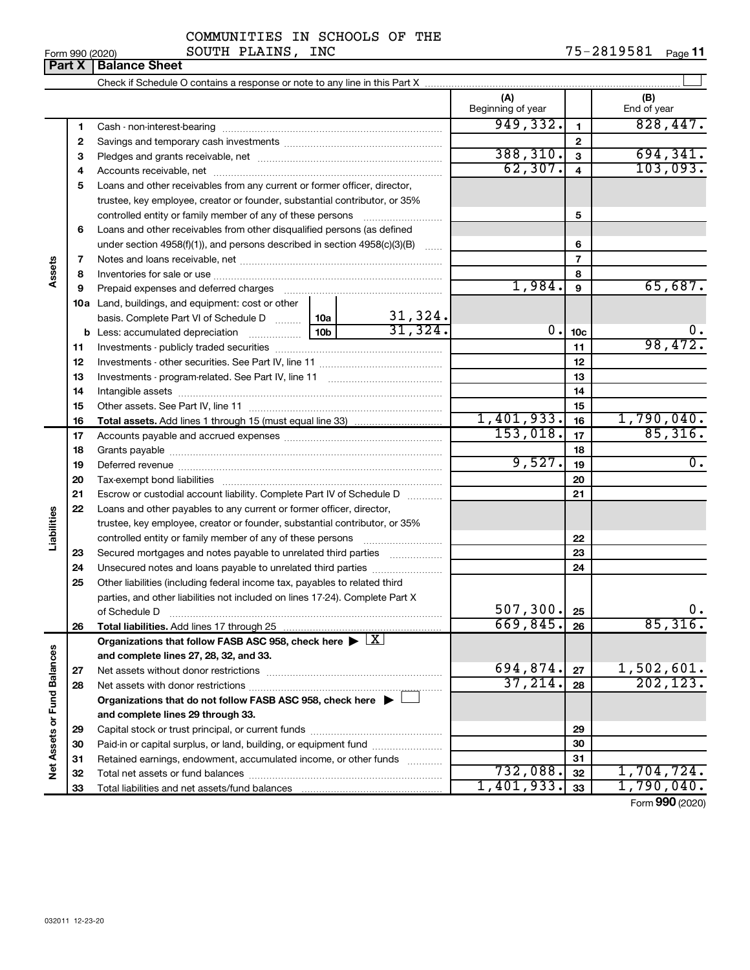|                 | COMMUNITIES IN SCHOOLS OF<br>THE |            |         |
|-----------------|----------------------------------|------------|---------|
| Form 990 (2020) | INC<br>PLAINS<br>SOUTH           | 75-2819581 | Page 11 |

|                             | Part X   | <b>Balance Sheet</b>                                                                                                                                                                                                           |           |         |                          |                  |                                           |
|-----------------------------|----------|--------------------------------------------------------------------------------------------------------------------------------------------------------------------------------------------------------------------------------|-----------|---------|--------------------------|------------------|-------------------------------------------|
|                             |          |                                                                                                                                                                                                                                |           |         |                          |                  |                                           |
|                             |          |                                                                                                                                                                                                                                |           |         | (A)<br>Beginning of year |                  | (B)<br>End of year                        |
|                             | 1        |                                                                                                                                                                                                                                |           |         | 949,332.                 | 1                | 828,447.                                  |
|                             | 2        |                                                                                                                                                                                                                                |           |         |                          | $\mathbf{2}$     |                                           |
|                             | 3        |                                                                                                                                                                                                                                | 388, 310. | 3       | 694, 341.                |                  |                                           |
|                             | 4        |                                                                                                                                                                                                                                |           |         | 62, 307.                 | $\overline{4}$   | 103,093.                                  |
|                             | 5        | Loans and other receivables from any current or former officer, director,                                                                                                                                                      |           |         |                          |                  |                                           |
|                             |          | trustee, key employee, creator or founder, substantial contributor, or 35%                                                                                                                                                     |           |         |                          |                  |                                           |
|                             |          | controlled entity or family member of any of these persons <i>manufolded</i> entity or family member of any of these persons                                                                                                   |           |         |                          | 5                |                                           |
|                             | 6        | Loans and other receivables from other disqualified persons (as defined                                                                                                                                                        |           |         |                          |                  |                                           |
|                             |          | under section 4958(f)(1)), and persons described in section 4958(c)(3)(B) $\ldots$                                                                                                                                             |           | 6       |                          |                  |                                           |
|                             | 7        |                                                                                                                                                                                                                                |           |         |                          | $\overline{7}$   |                                           |
| Assets                      | 8        |                                                                                                                                                                                                                                |           |         |                          | 8                |                                           |
|                             | 9        | Prepaid expenses and deferred charges [11] matter continuum matter and referred charges [11] matter continuum matter continuum matter and continuum matter continuum matter continuum matter continuum matter continuum matter |           | 1,984.  | 9                        | 65,687.          |                                           |
|                             |          | <b>10a</b> Land, buildings, and equipment: cost or other                                                                                                                                                                       |           |         |                          |                  |                                           |
|                             |          | basis. Complete Part VI of Schedule D  10a                                                                                                                                                                                     |           | 31,324. |                          |                  |                                           |
|                             |          |                                                                                                                                                                                                                                |           | 31,324. | 0.                       | 10 <sub>c</sub>  | Ο.                                        |
|                             | 11       |                                                                                                                                                                                                                                |           |         |                          | 11               | 98,472.                                   |
|                             | 12       |                                                                                                                                                                                                                                |           | 12      |                          |                  |                                           |
|                             | 13       |                                                                                                                                                                                                                                |           | 13      |                          |                  |                                           |
|                             | 14       |                                                                                                                                                                                                                                |           | 14      |                          |                  |                                           |
|                             | 15       |                                                                                                                                                                                                                                |           |         |                          | 15               |                                           |
|                             | 16       |                                                                                                                                                                                                                                |           |         | 1,401,933.<br>153,018.   | 16               | 1,790,040.<br>85,316.                     |
|                             | 17       |                                                                                                                                                                                                                                |           | 17      |                          |                  |                                           |
|                             | 18       |                                                                                                                                                                                                                                |           | 9,527.  | 18                       | $\overline{0}$ . |                                           |
|                             | 19       | Deferred revenue manual contracts and contracts are all the contracts and contracts are contracted and contracts are contracted and contract are contracted and contract are contracted and contract are contracted and contra |           |         |                          | 19<br>20         |                                           |
|                             | 20<br>21 |                                                                                                                                                                                                                                |           |         |                          | 21               |                                           |
|                             | 22       | Escrow or custodial account liability. Complete Part IV of Schedule D<br>Loans and other payables to any current or former officer, director,                                                                                  |           |         |                          |                  |                                           |
| Liabilities                 |          | trustee, key employee, creator or founder, substantial contributor, or 35%                                                                                                                                                     |           |         |                          |                  |                                           |
|                             |          | controlled entity or family member of any of these persons <i>manufolder in the controlled</i>                                                                                                                                 |           |         |                          | 22               |                                           |
|                             | 23       | Secured mortgages and notes payable to unrelated third parties                                                                                                                                                                 |           |         |                          | 23               |                                           |
|                             | 24       |                                                                                                                                                                                                                                |           |         |                          | 24               |                                           |
|                             | 25       | Other liabilities (including federal income tax, payables to related third                                                                                                                                                     |           |         |                          |                  |                                           |
|                             |          | parties, and other liabilities not included on lines 17-24). Complete Part X                                                                                                                                                   |           |         |                          |                  |                                           |
|                             |          | of Schedule D                                                                                                                                                                                                                  |           |         | 507, 300.                | 25               | $0 \cdot$                                 |
|                             | 26       | Total liabilities. Add lines 17 through 25                                                                                                                                                                                     |           |         | 669,845.                 | 26               | 85,316.                                   |
|                             |          | Organizations that follow FASB ASC 958, check here $\blacktriangleright \lfloor \underline{X} \rfloor$                                                                                                                         |           |         |                          |                  |                                           |
|                             |          | and complete lines 27, 28, 32, and 33.                                                                                                                                                                                         |           |         |                          |                  |                                           |
|                             | 27       |                                                                                                                                                                                                                                |           |         | 694,874.                 | 27               | 1,502,601.                                |
|                             | 28       |                                                                                                                                                                                                                                |           |         | 37, 214.                 | 28               | 202, 123.                                 |
|                             |          | Organizations that do not follow FASB ASC 958, check here $\blacktriangleright \perp$                                                                                                                                          |           |         |                          |                  |                                           |
|                             |          | and complete lines 29 through 33.                                                                                                                                                                                              |           |         |                          |                  |                                           |
| Net Assets or Fund Balances | 29       |                                                                                                                                                                                                                                |           |         |                          | 29               |                                           |
|                             | 30       | Paid-in or capital surplus, or land, building, or equipment fund                                                                                                                                                               |           |         |                          | 30               |                                           |
|                             | 31       | Retained earnings, endowment, accumulated income, or other funds                                                                                                                                                               |           |         |                          | 31               |                                           |
|                             | 32       |                                                                                                                                                                                                                                |           |         | 732,088.                 | 32               | 1,704,724.                                |
|                             | 33       |                                                                                                                                                                                                                                |           |         | 1,401,933.               | 33               | 1,790,040.<br>$T_{\text{sum}}$ 000 (2020) |

Form (2020) **990**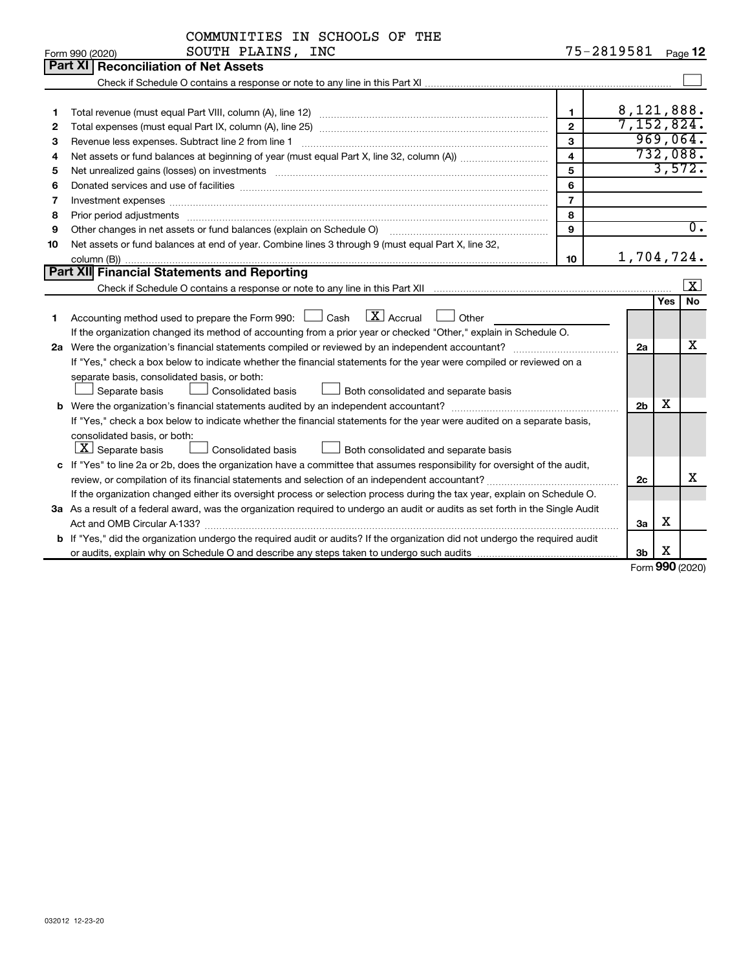| 75-2819581<br>SOUTH PLAINS, INC<br>Page 12<br>Form 990 (2020)<br><b>Part XI</b><br><b>Reconciliation of Net Assets</b>                                                                                                                             |                   |
|----------------------------------------------------------------------------------------------------------------------------------------------------------------------------------------------------------------------------------------------------|-------------------|
|                                                                                                                                                                                                                                                    |                   |
|                                                                                                                                                                                                                                                    |                   |
|                                                                                                                                                                                                                                                    |                   |
|                                                                                                                                                                                                                                                    |                   |
| 8,121,888.<br>1<br>1                                                                                                                                                                                                                               |                   |
| 7,152,824.<br>$\mathbf{2}$<br>2                                                                                                                                                                                                                    |                   |
| 969,064.<br>3<br>Revenue less expenses. Subtract line 2 from line 1<br>3                                                                                                                                                                           |                   |
| 732,088.<br>$\overline{\mathbf{4}}$<br>4                                                                                                                                                                                                           |                   |
| 3,572.<br>5<br>Net unrealized gains (losses) on investments [11] matter contracts and the state of the state of the state of the state of the state of the state of the state of the state of the state of the state of the state of the stat<br>5 |                   |
| 6<br>6                                                                                                                                                                                                                                             |                   |
| $\overline{7}$<br>Investment expenses www.communication.com/www.communication.com/www.communication.com/www.com<br>7                                                                                                                               |                   |
| 8<br>8<br>Prior period adjustments www.communication.communication.communication.com/                                                                                                                                                              |                   |
| Other changes in net assets or fund balances (explain on Schedule O) manufactured controller changes in net assets or fund balances (explain on Schedule O)<br>9<br>9                                                                              | $\overline{0}$ .  |
| Net assets or fund balances at end of year. Combine lines 3 through 9 (must equal Part X, line 32,<br>10                                                                                                                                           |                   |
| 1,704,724.<br>10                                                                                                                                                                                                                                   |                   |
| <b>Part XII Financial Statements and Reporting</b>                                                                                                                                                                                                 |                   |
| Check if Schedule O contains a response or note to any line in this Part XII must consumed the containment of                                                                                                                                      | $\vert$ X $\vert$ |
| Yes                                                                                                                                                                                                                                                | <b>No</b>         |
| $X$ Accrual<br>Accounting method used to prepare the Form 990: $\Box$ Cash<br>Other<br>1.                                                                                                                                                          |                   |
| If the organization changed its method of accounting from a prior year or checked "Other," explain in Schedule O.                                                                                                                                  |                   |
| 2a Were the organization's financial statements compiled or reviewed by an independent accountant?<br>2a                                                                                                                                           | х                 |
| If "Yes," check a box below to indicate whether the financial statements for the year were compiled or reviewed on a                                                                                                                               |                   |
| separate basis, consolidated basis, or both:                                                                                                                                                                                                       |                   |
| Separate basis<br>Consolidated basis<br>Both consolidated and separate basis                                                                                                                                                                       |                   |
| х<br>2 <sub>b</sub>                                                                                                                                                                                                                                |                   |
| If "Yes," check a box below to indicate whether the financial statements for the year were audited on a separate basis,                                                                                                                            |                   |
| consolidated basis, or both:                                                                                                                                                                                                                       |                   |
| $ \mathbf{X} $ Separate basis<br>Consolidated basis<br>Both consolidated and separate basis                                                                                                                                                        |                   |
| c If "Yes" to line 2a or 2b, does the organization have a committee that assumes responsibility for oversight of the audit,                                                                                                                        |                   |
| review, or compilation of its financial statements and selection of an independent accountant?<br>2c                                                                                                                                               | X                 |
| If the organization changed either its oversight process or selection process during the tax year, explain on Schedule O.                                                                                                                          |                   |
| 3a As a result of a federal award, was the organization required to undergo an audit or audits as set forth in the Single Audit                                                                                                                    |                   |
| х<br>3a                                                                                                                                                                                                                                            |                   |
| b If "Yes," did the organization undergo the required audit or audits? If the organization did not undergo the required audit                                                                                                                      |                   |
| х<br>3b<br>$000 \text{ hours}$                                                                                                                                                                                                                     |                   |

Form (2020) **990**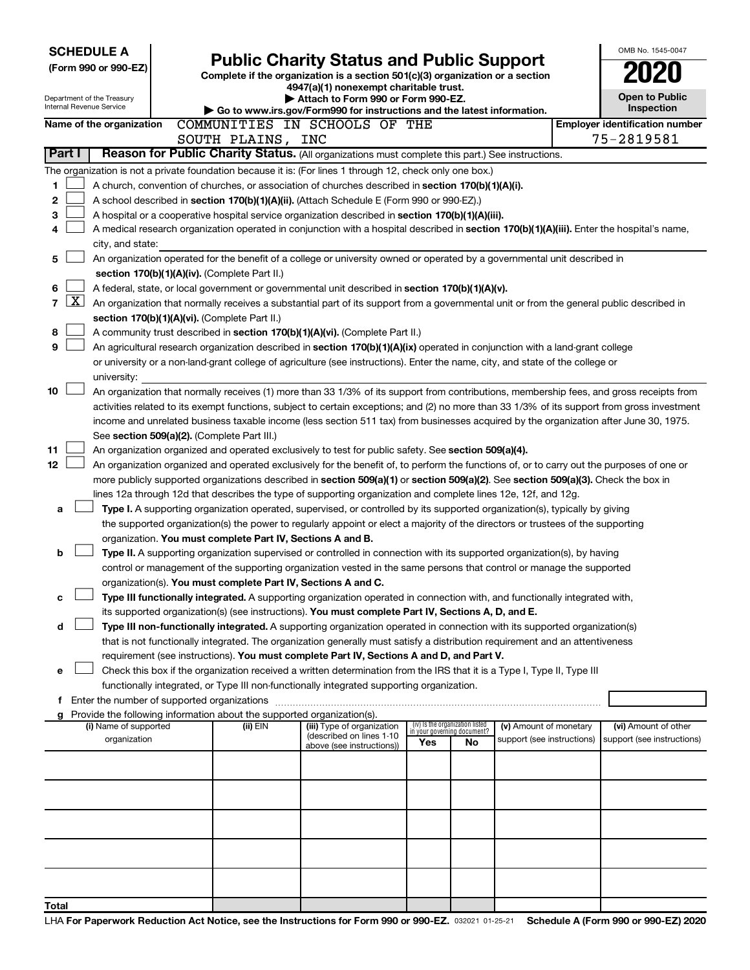|                | <b>SCHEDULE A</b>                                                                                |  |                                                                        |                                                                                                                                                                                                                                               |                                                                |    |                            |  | OMB No. 1545-0047                     |
|----------------|--------------------------------------------------------------------------------------------------|--|------------------------------------------------------------------------|-----------------------------------------------------------------------------------------------------------------------------------------------------------------------------------------------------------------------------------------------|----------------------------------------------------------------|----|----------------------------|--|---------------------------------------|
|                | (Form 990 or 990-EZ)                                                                             |  |                                                                        | <b>Public Charity Status and Public Support</b><br>Complete if the organization is a section 501(c)(3) organization or a section                                                                                                              |                                                                |    |                            |  |                                       |
|                |                                                                                                  |  |                                                                        | 4947(a)(1) nonexempt charitable trust.                                                                                                                                                                                                        |                                                                |    |                            |  |                                       |
|                | Department of the Treasury<br>Internal Revenue Service                                           |  |                                                                        | Attach to Form 990 or Form 990-EZ.                                                                                                                                                                                                            |                                                                |    |                            |  | <b>Open to Public</b><br>Inspection   |
|                | Name of the organization                                                                         |  |                                                                        | Go to www.irs.gov/Form990 for instructions and the latest information.<br>COMMUNITIES IN SCHOOLS OF THE                                                                                                                                       |                                                                |    |                            |  | <b>Employer identification number</b> |
|                |                                                                                                  |  | SOUTH PLAINS, INC                                                      |                                                                                                                                                                                                                                               |                                                                |    |                            |  | 75-2819581                            |
| Part I         | Reason for Public Charity Status. (All organizations must complete this part.) See instructions. |  |                                                                        |                                                                                                                                                                                                                                               |                                                                |    |                            |  |                                       |
|                |                                                                                                  |  |                                                                        | The organization is not a private foundation because it is: (For lines 1 through 12, check only one box.)                                                                                                                                     |                                                                |    |                            |  |                                       |
| 1              |                                                                                                  |  |                                                                        | A church, convention of churches, or association of churches described in section 170(b)(1)(A)(i).                                                                                                                                            |                                                                |    |                            |  |                                       |
| 2              |                                                                                                  |  |                                                                        | A school described in section 170(b)(1)(A)(ii). (Attach Schedule E (Form 990 or 990-EZ).)                                                                                                                                                     |                                                                |    |                            |  |                                       |
| 3              |                                                                                                  |  |                                                                        | A hospital or a cooperative hospital service organization described in section $170(b)(1)(A)(iii)$ .                                                                                                                                          |                                                                |    |                            |  |                                       |
| 4              |                                                                                                  |  |                                                                        | A medical research organization operated in conjunction with a hospital described in section 170(b)(1)(A)(iii). Enter the hospital's name,                                                                                                    |                                                                |    |                            |  |                                       |
|                | city, and state:                                                                                 |  |                                                                        |                                                                                                                                                                                                                                               |                                                                |    |                            |  |                                       |
| 5              |                                                                                                  |  |                                                                        | An organization operated for the benefit of a college or university owned or operated by a governmental unit described in                                                                                                                     |                                                                |    |                            |  |                                       |
|                |                                                                                                  |  | section 170(b)(1)(A)(iv). (Complete Part II.)                          |                                                                                                                                                                                                                                               |                                                                |    |                            |  |                                       |
| 6<br><u>x</u>  |                                                                                                  |  |                                                                        | A federal, state, or local government or governmental unit described in section 170(b)(1)(A)(v).                                                                                                                                              |                                                                |    |                            |  |                                       |
| $\overline{7}$ |                                                                                                  |  |                                                                        | An organization that normally receives a substantial part of its support from a governmental unit or from the general public described in                                                                                                     |                                                                |    |                            |  |                                       |
| 8              |                                                                                                  |  | section 170(b)(1)(A)(vi). (Complete Part II.)                          | A community trust described in section 170(b)(1)(A)(vi). (Complete Part II.)                                                                                                                                                                  |                                                                |    |                            |  |                                       |
| 9              |                                                                                                  |  |                                                                        | An agricultural research organization described in section 170(b)(1)(A)(ix) operated in conjunction with a land-grant college                                                                                                                 |                                                                |    |                            |  |                                       |
|                |                                                                                                  |  |                                                                        | or university or a non-land-grant college of agriculture (see instructions). Enter the name, city, and state of the college or                                                                                                                |                                                                |    |                            |  |                                       |
|                | university:                                                                                      |  |                                                                        |                                                                                                                                                                                                                                               |                                                                |    |                            |  |                                       |
| 10             |                                                                                                  |  |                                                                        | An organization that normally receives (1) more than 33 1/3% of its support from contributions, membership fees, and gross receipts from                                                                                                      |                                                                |    |                            |  |                                       |
|                |                                                                                                  |  |                                                                        | activities related to its exempt functions, subject to certain exceptions; and (2) no more than 33 1/3% of its support from gross investment                                                                                                  |                                                                |    |                            |  |                                       |
|                |                                                                                                  |  |                                                                        | income and unrelated business taxable income (less section 511 tax) from businesses acquired by the organization after June 30, 1975.                                                                                                         |                                                                |    |                            |  |                                       |
|                |                                                                                                  |  | See section 509(a)(2). (Complete Part III.)                            |                                                                                                                                                                                                                                               |                                                                |    |                            |  |                                       |
| 11             |                                                                                                  |  |                                                                        | An organization organized and operated exclusively to test for public safety. See section 509(a)(4).                                                                                                                                          |                                                                |    |                            |  |                                       |
| 12             |                                                                                                  |  |                                                                        | An organization organized and operated exclusively for the benefit of, to perform the functions of, or to carry out the purposes of one or                                                                                                    |                                                                |    |                            |  |                                       |
|                |                                                                                                  |  |                                                                        | more publicly supported organizations described in section 509(a)(1) or section 509(a)(2). See section 509(a)(3). Check the box in                                                                                                            |                                                                |    |                            |  |                                       |
| а              |                                                                                                  |  |                                                                        | lines 12a through 12d that describes the type of supporting organization and complete lines 12e, 12f, and 12g.<br>Type I. A supporting organization operated, supervised, or controlled by its supported organization(s), typically by giving |                                                                |    |                            |  |                                       |
|                |                                                                                                  |  |                                                                        | the supported organization(s) the power to regularly appoint or elect a majority of the directors or trustees of the supporting                                                                                                               |                                                                |    |                            |  |                                       |
|                |                                                                                                  |  | organization. You must complete Part IV, Sections A and B.             |                                                                                                                                                                                                                                               |                                                                |    |                            |  |                                       |
| b              |                                                                                                  |  |                                                                        | Type II. A supporting organization supervised or controlled in connection with its supported organization(s), by having                                                                                                                       |                                                                |    |                            |  |                                       |
|                |                                                                                                  |  |                                                                        | control or management of the supporting organization vested in the same persons that control or manage the supported                                                                                                                          |                                                                |    |                            |  |                                       |
|                |                                                                                                  |  | organization(s). You must complete Part IV, Sections A and C.          |                                                                                                                                                                                                                                               |                                                                |    |                            |  |                                       |
| с              |                                                                                                  |  |                                                                        | Type III functionally integrated. A supporting organization operated in connection with, and functionally integrated with,                                                                                                                    |                                                                |    |                            |  |                                       |
|                |                                                                                                  |  |                                                                        | its supported organization(s) (see instructions). You must complete Part IV, Sections A, D, and E.                                                                                                                                            |                                                                |    |                            |  |                                       |
| d              |                                                                                                  |  |                                                                        | Type III non-functionally integrated. A supporting organization operated in connection with its supported organization(s)                                                                                                                     |                                                                |    |                            |  |                                       |
|                |                                                                                                  |  |                                                                        | that is not functionally integrated. The organization generally must satisfy a distribution requirement and an attentiveness                                                                                                                  |                                                                |    |                            |  |                                       |
| е              |                                                                                                  |  |                                                                        | requirement (see instructions). You must complete Part IV, Sections A and D, and Part V.<br>Check this box if the organization received a written determination from the IRS that it is a Type I, Type II, Type III                           |                                                                |    |                            |  |                                       |
|                |                                                                                                  |  |                                                                        | functionally integrated, or Type III non-functionally integrated supporting organization.                                                                                                                                                     |                                                                |    |                            |  |                                       |
|                |                                                                                                  |  |                                                                        |                                                                                                                                                                                                                                               |                                                                |    |                            |  |                                       |
| g              |                                                                                                  |  | Provide the following information about the supported organization(s). |                                                                                                                                                                                                                                               |                                                                |    |                            |  |                                       |
|                | (i) Name of supported                                                                            |  | (ii) EIN                                                               | (iii) Type of organization<br>(described on lines 1-10                                                                                                                                                                                        | (iv) Is the organization listed<br>in your governing document? |    | (v) Amount of monetary     |  | (vi) Amount of other                  |
|                | organization                                                                                     |  |                                                                        | above (see instructions))                                                                                                                                                                                                                     | Yes                                                            | No | support (see instructions) |  | support (see instructions)            |
|                |                                                                                                  |  |                                                                        |                                                                                                                                                                                                                                               |                                                                |    |                            |  |                                       |
|                |                                                                                                  |  |                                                                        |                                                                                                                                                                                                                                               |                                                                |    |                            |  |                                       |
|                |                                                                                                  |  |                                                                        |                                                                                                                                                                                                                                               |                                                                |    |                            |  |                                       |
|                |                                                                                                  |  |                                                                        |                                                                                                                                                                                                                                               |                                                                |    |                            |  |                                       |
|                |                                                                                                  |  |                                                                        |                                                                                                                                                                                                                                               |                                                                |    |                            |  |                                       |
|                |                                                                                                  |  |                                                                        |                                                                                                                                                                                                                                               |                                                                |    |                            |  |                                       |
|                |                                                                                                  |  |                                                                        |                                                                                                                                                                                                                                               |                                                                |    |                            |  |                                       |
|                |                                                                                                  |  |                                                                        |                                                                                                                                                                                                                                               |                                                                |    |                            |  |                                       |
|                |                                                                                                  |  |                                                                        |                                                                                                                                                                                                                                               |                                                                |    |                            |  |                                       |
| Total          |                                                                                                  |  |                                                                        |                                                                                                                                                                                                                                               |                                                                |    |                            |  |                                       |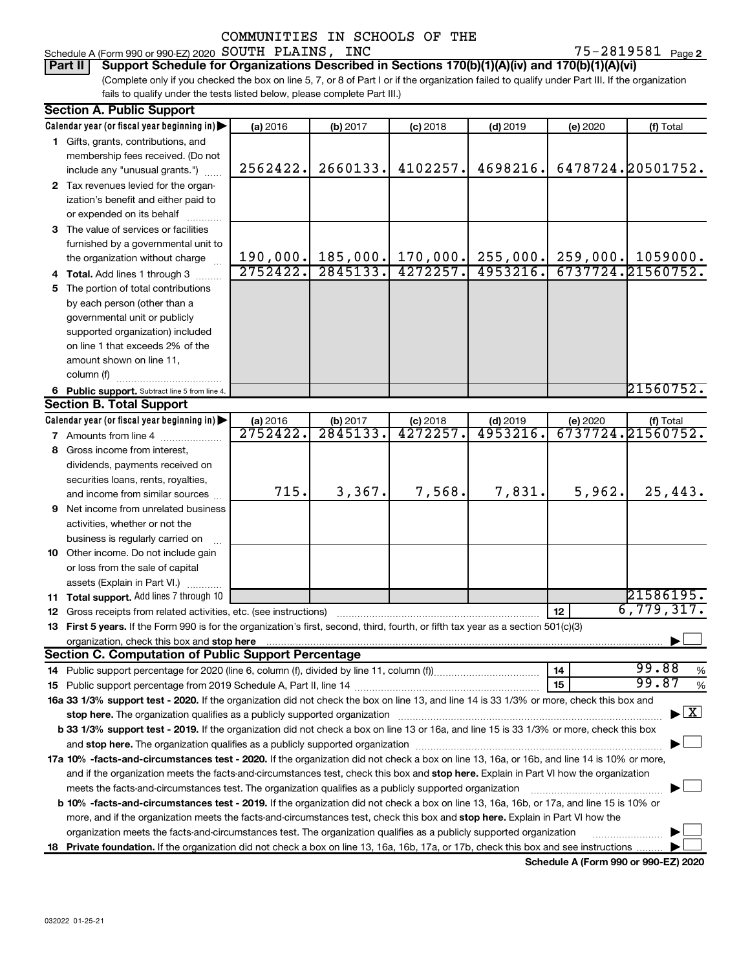#### Schedule A (Form 990 or 990-EZ) 2020 Page SOUTH PLAINS, INC 75-2819581

75-2819581 Page 2

(Complete only if you checked the box on line 5, 7, or 8 of Part I or if the organization failed to qualify under Part III. If the organization fails to qualify under the tests listed below, please complete Part III.) **Part II Support Schedule for Organizations Described in Sections 170(b)(1)(A)(iv) and 170(b)(1)(A)(vi)**

| <b>Section A. Public Support</b>                                                                                                                                                                                               |                      |                     |                        |                        |          |                                          |  |  |
|--------------------------------------------------------------------------------------------------------------------------------------------------------------------------------------------------------------------------------|----------------------|---------------------|------------------------|------------------------|----------|------------------------------------------|--|--|
| Calendar year (or fiscal year beginning in)                                                                                                                                                                                    | (a) 2016             | (b) 2017            | $(c)$ 2018             | $(d)$ 2019             | (e) 2020 | (f) Total                                |  |  |
| 1 Gifts, grants, contributions, and                                                                                                                                                                                            |                      |                     |                        |                        |          |                                          |  |  |
| membership fees received. (Do not                                                                                                                                                                                              |                      |                     |                        |                        |          |                                          |  |  |
| include any "unusual grants.")                                                                                                                                                                                                 | 2562422.             | 2660133.            | 4102257.               | 4698216.               |          | 6478724.20501752.                        |  |  |
| 2 Tax revenues levied for the organ-                                                                                                                                                                                           |                      |                     |                        |                        |          |                                          |  |  |
| ization's benefit and either paid to                                                                                                                                                                                           |                      |                     |                        |                        |          |                                          |  |  |
| or expended on its behalf                                                                                                                                                                                                      |                      |                     |                        |                        |          |                                          |  |  |
| 3 The value of services or facilities                                                                                                                                                                                          |                      |                     |                        |                        |          |                                          |  |  |
| furnished by a governmental unit to                                                                                                                                                                                            |                      |                     |                        |                        |          |                                          |  |  |
| the organization without charge                                                                                                                                                                                                |                      | $190,000.$ 185,000. | 170,000.               | 255,000.               |          | $259,000.$ 1059000.                      |  |  |
| 4 Total. Add lines 1 through 3                                                                                                                                                                                                 | 2752422.             | 2845133.            | 4272257.               | 4953216.               |          | 6737724.21560752.                        |  |  |
| 5 The portion of total contributions                                                                                                                                                                                           |                      |                     |                        |                        |          |                                          |  |  |
| by each person (other than a                                                                                                                                                                                                   |                      |                     |                        |                        |          |                                          |  |  |
| governmental unit or publicly                                                                                                                                                                                                  |                      |                     |                        |                        |          |                                          |  |  |
| supported organization) included                                                                                                                                                                                               |                      |                     |                        |                        |          |                                          |  |  |
| on line 1 that exceeds 2% of the                                                                                                                                                                                               |                      |                     |                        |                        |          |                                          |  |  |
| amount shown on line 11,                                                                                                                                                                                                       |                      |                     |                        |                        |          |                                          |  |  |
| column (f)                                                                                                                                                                                                                     |                      |                     |                        |                        |          |                                          |  |  |
| 6 Public support. Subtract line 5 from line 4.                                                                                                                                                                                 |                      |                     |                        |                        |          | 21560752.                                |  |  |
| <b>Section B. Total Support</b>                                                                                                                                                                                                |                      |                     |                        |                        |          |                                          |  |  |
| Calendar year (or fiscal year beginning in)                                                                                                                                                                                    |                      |                     |                        |                        |          | (f) Total                                |  |  |
| 7 Amounts from line 4                                                                                                                                                                                                          | (a) 2016<br>2752422. | (b) 2017<br>2845133 | $(c)$ 2018<br>4272257. | $(d)$ 2019<br>4953216. | (e) 2020 | 6737724.21560752.                        |  |  |
| 8 Gross income from interest,                                                                                                                                                                                                  |                      |                     |                        |                        |          |                                          |  |  |
|                                                                                                                                                                                                                                |                      |                     |                        |                        |          |                                          |  |  |
| dividends, payments received on                                                                                                                                                                                                |                      |                     |                        |                        |          |                                          |  |  |
| securities loans, rents, royalties,                                                                                                                                                                                            | 715.                 | 3,367.              | 7,568.                 | 7,831.                 | 5,962.   | 25,443.                                  |  |  |
| and income from similar sources                                                                                                                                                                                                |                      |                     |                        |                        |          |                                          |  |  |
| <b>9</b> Net income from unrelated business                                                                                                                                                                                    |                      |                     |                        |                        |          |                                          |  |  |
| activities, whether or not the                                                                                                                                                                                                 |                      |                     |                        |                        |          |                                          |  |  |
| business is regularly carried on                                                                                                                                                                                               |                      |                     |                        |                        |          |                                          |  |  |
| 10 Other income. Do not include gain                                                                                                                                                                                           |                      |                     |                        |                        |          |                                          |  |  |
| or loss from the sale of capital                                                                                                                                                                                               |                      |                     |                        |                        |          |                                          |  |  |
| assets (Explain in Part VI.)                                                                                                                                                                                                   |                      |                     |                        |                        |          |                                          |  |  |
| <b>11 Total support.</b> Add lines 7 through 10                                                                                                                                                                                |                      |                     |                        |                        |          | 21586195.                                |  |  |
| <b>12</b> Gross receipts from related activities, etc. (see instructions)                                                                                                                                                      |                      |                     |                        |                        | 12       | 6,779,317.                               |  |  |
| 13 First 5 years. If the Form 990 is for the organization's first, second, third, fourth, or fifth tax year as a section 501(c)(3)                                                                                             |                      |                     |                        |                        |          |                                          |  |  |
| organization, check this box and stop here [1, 1, 2008] The Construction of the constraint of the constraint of the constraint of the constraint of the constraint of the constraint of the constraint of the constraint of th |                      |                     |                        |                        |          |                                          |  |  |
| <b>Section C. Computation of Public Support Percentage</b>                                                                                                                                                                     |                      |                     |                        |                        |          |                                          |  |  |
|                                                                                                                                                                                                                                |                      |                     |                        |                        | 14       | 99.88<br>%                               |  |  |
|                                                                                                                                                                                                                                |                      |                     |                        |                        | 15       | 99.87<br>$\%$                            |  |  |
| 16a 33 1/3% support test - 2020. If the organization did not check the box on line 13, and line 14 is 33 1/3% or more, check this box and                                                                                      |                      |                     |                        |                        |          |                                          |  |  |
| stop here. The organization qualifies as a publicly supported organization manufactured content and the support of the state of the state of the state of the state of the state of the state of the state of the state of the |                      |                     |                        |                        |          | $\blacktriangleright$ $\boxed{\text{X}}$ |  |  |
| b 33 1/3% support test - 2019. If the organization did not check a box on line 13 or 16a, and line 15 is 33 1/3% or more, check this box                                                                                       |                      |                     |                        |                        |          |                                          |  |  |
|                                                                                                                                                                                                                                |                      |                     |                        |                        |          |                                          |  |  |
| 17a 10% -facts-and-circumstances test - 2020. If the organization did not check a box on line 13, 16a, or 16b, and line 14 is 10% or more,                                                                                     |                      |                     |                        |                        |          |                                          |  |  |
| and if the organization meets the facts-and-circumstances test, check this box and stop here. Explain in Part VI how the organization                                                                                          |                      |                     |                        |                        |          |                                          |  |  |
| meets the facts-and-circumstances test. The organization qualifies as a publicly supported organization                                                                                                                        |                      |                     |                        |                        |          |                                          |  |  |
| <b>b 10%</b> -facts-and-circumstances test - 2019. If the organization did not check a box on line 13, 16a, 16b, or 17a, and line 15 is 10% or                                                                                 |                      |                     |                        |                        |          |                                          |  |  |
| more, and if the organization meets the facts-and-circumstances test, check this box and stop here. Explain in Part VI how the                                                                                                 |                      |                     |                        |                        |          |                                          |  |  |
| organization meets the facts-and-circumstances test. The organization qualifies as a publicly supported organization                                                                                                           |                      |                     |                        |                        |          |                                          |  |  |
| 18 Private foundation. If the organization did not check a box on line 13, 16a, 16b, 17a, or 17b, check this box and see instructions                                                                                          |                      |                     |                        |                        |          |                                          |  |  |

**Schedule A (Form 990 or 990-EZ) 2020**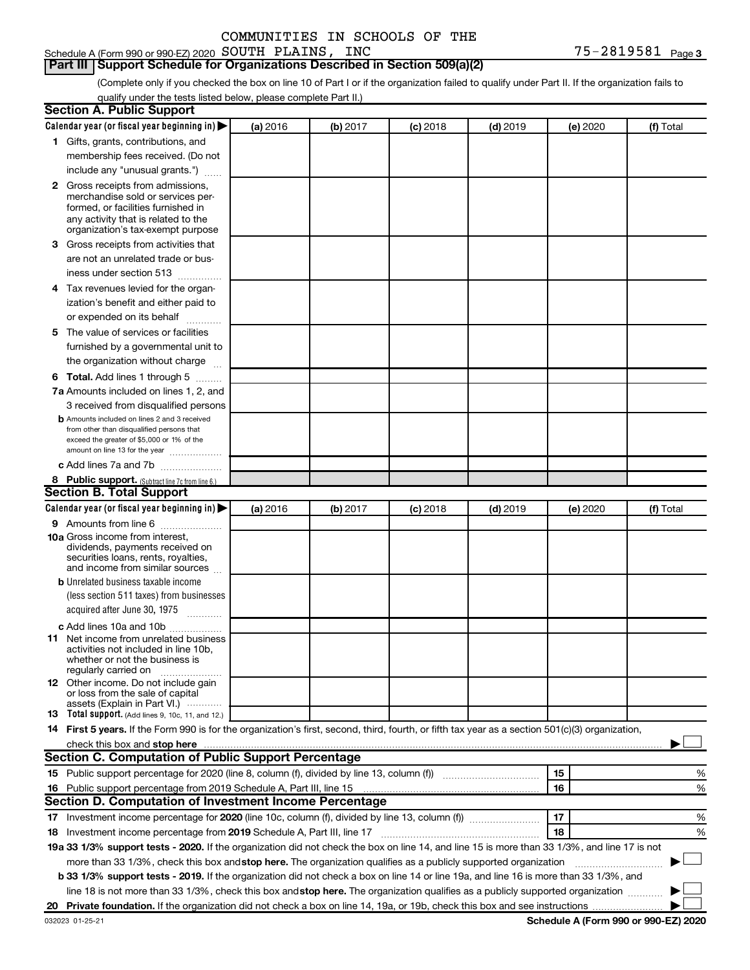#### **Part III Support Schedule for Organizations Described in Section 509(a)(2)**

(Complete only if you checked the box on line 10 of Part I or if the organization failed to qualify under Part II. If the organization fails to qualify under the tests listed below, please complete Part II.)

| <b>Section A. Public Support</b>                                                                                                                                                                                                                                                                |          |          |          |            |          |           |
|-------------------------------------------------------------------------------------------------------------------------------------------------------------------------------------------------------------------------------------------------------------------------------------------------|----------|----------|----------|------------|----------|-----------|
| Calendar year (or fiscal year beginning in)                                                                                                                                                                                                                                                     | (a) 2016 | (b) 2017 | (c) 2018 | $(d)$ 2019 | (e) 2020 | (f) Total |
| 1 Gifts, grants, contributions, and                                                                                                                                                                                                                                                             |          |          |          |            |          |           |
| membership fees received. (Do not                                                                                                                                                                                                                                                               |          |          |          |            |          |           |
| include any "unusual grants.")                                                                                                                                                                                                                                                                  |          |          |          |            |          |           |
| <b>2</b> Gross receipts from admissions,                                                                                                                                                                                                                                                        |          |          |          |            |          |           |
| merchandise sold or services per-                                                                                                                                                                                                                                                               |          |          |          |            |          |           |
| formed, or facilities furnished in                                                                                                                                                                                                                                                              |          |          |          |            |          |           |
| any activity that is related to the<br>organization's tax-exempt purpose                                                                                                                                                                                                                        |          |          |          |            |          |           |
| 3 Gross receipts from activities that                                                                                                                                                                                                                                                           |          |          |          |            |          |           |
| are not an unrelated trade or bus-                                                                                                                                                                                                                                                              |          |          |          |            |          |           |
| iness under section 513                                                                                                                                                                                                                                                                         |          |          |          |            |          |           |
| 4 Tax revenues levied for the organ-                                                                                                                                                                                                                                                            |          |          |          |            |          |           |
| ization's benefit and either paid to                                                                                                                                                                                                                                                            |          |          |          |            |          |           |
| or expended on its behalf                                                                                                                                                                                                                                                                       |          |          |          |            |          |           |
| .<br>5 The value of services or facilities                                                                                                                                                                                                                                                      |          |          |          |            |          |           |
|                                                                                                                                                                                                                                                                                                 |          |          |          |            |          |           |
| furnished by a governmental unit to                                                                                                                                                                                                                                                             |          |          |          |            |          |           |
| the organization without charge                                                                                                                                                                                                                                                                 |          |          |          |            |          |           |
| <b>6 Total.</b> Add lines 1 through 5                                                                                                                                                                                                                                                           |          |          |          |            |          |           |
| 7a Amounts included on lines 1, 2, and                                                                                                                                                                                                                                                          |          |          |          |            |          |           |
| 3 received from disqualified persons                                                                                                                                                                                                                                                            |          |          |          |            |          |           |
| <b>b</b> Amounts included on lines 2 and 3 received<br>from other than disqualified persons that                                                                                                                                                                                                |          |          |          |            |          |           |
| exceed the greater of \$5,000 or 1% of the                                                                                                                                                                                                                                                      |          |          |          |            |          |           |
| amount on line 13 for the year                                                                                                                                                                                                                                                                  |          |          |          |            |          |           |
| c Add lines 7a and 7b                                                                                                                                                                                                                                                                           |          |          |          |            |          |           |
| 8 Public support. (Subtract line 7c from line 6.)                                                                                                                                                                                                                                               |          |          |          |            |          |           |
| <b>Section B. Total Support</b>                                                                                                                                                                                                                                                                 |          |          |          |            |          |           |
| Calendar year (or fiscal year beginning in)                                                                                                                                                                                                                                                     | (a) 2016 | (b) 2017 | (c) 2018 | $(d)$ 2019 | (e) 2020 | (f) Total |
| <b>9</b> Amounts from line 6                                                                                                                                                                                                                                                                    |          |          |          |            |          |           |
| <b>10a</b> Gross income from interest,                                                                                                                                                                                                                                                          |          |          |          |            |          |           |
| dividends, payments received on<br>securities loans, rents, royalties,                                                                                                                                                                                                                          |          |          |          |            |          |           |
| and income from similar sources                                                                                                                                                                                                                                                                 |          |          |          |            |          |           |
| <b>b</b> Unrelated business taxable income                                                                                                                                                                                                                                                      |          |          |          |            |          |           |
| (less section 511 taxes) from businesses                                                                                                                                                                                                                                                        |          |          |          |            |          |           |
| acquired after June 30, 1975                                                                                                                                                                                                                                                                    |          |          |          |            |          |           |
| c Add lines 10a and 10b                                                                                                                                                                                                                                                                         |          |          |          |            |          |           |
| <b>11</b> Net income from unrelated business                                                                                                                                                                                                                                                    |          |          |          |            |          |           |
| activities not included in line 10b.                                                                                                                                                                                                                                                            |          |          |          |            |          |           |
| whether or not the business is<br>regularly carried on                                                                                                                                                                                                                                          |          |          |          |            |          |           |
| 12 Other income. Do not include gain                                                                                                                                                                                                                                                            |          |          |          |            |          |           |
| or loss from the sale of capital                                                                                                                                                                                                                                                                |          |          |          |            |          |           |
| assets (Explain in Part VI.)                                                                                                                                                                                                                                                                    |          |          |          |            |          |           |
| <b>13</b> Total support. (Add lines 9, 10c, 11, and 12.)                                                                                                                                                                                                                                        |          |          |          |            |          |           |
| 14 First 5 years. If the Form 990 is for the organization's first, second, third, fourth, or fifth tax year as a section 501(c)(3) organization,                                                                                                                                                |          |          |          |            |          |           |
| check this box and stop here <b>construction and construction</b> and check this box and stop here <b>construction</b> and construction and construction and construction and construction and construction and construction and constru<br>Section C. Computation of Public Support Percentage |          |          |          |            |          |           |
|                                                                                                                                                                                                                                                                                                 |          |          |          |            |          |           |
| 15 Public support percentage for 2020 (line 8, column (f), divided by line 13, column (f) <i>manumeronominium</i>                                                                                                                                                                               |          |          |          |            | 15       | %         |
| 16 Public support percentage from 2019 Schedule A, Part III, line 15                                                                                                                                                                                                                            |          |          |          |            | 16       | %         |
| Section D. Computation of Investment Income Percentage                                                                                                                                                                                                                                          |          |          |          |            |          |           |
| 17 Investment income percentage for 2020 (line 10c, column (f), divided by line 13, column (f))                                                                                                                                                                                                 |          |          |          |            | 17       | %         |
| 18 Investment income percentage from 2019 Schedule A, Part III, line 17                                                                                                                                                                                                                         |          |          |          |            | 18       | %         |
| 19a 33 1/3% support tests - 2020. If the organization did not check the box on line 14, and line 15 is more than 33 1/3%, and line 17 is not                                                                                                                                                    |          |          |          |            |          |           |
| more than 33 1/3%, check this box and stop here. The organization qualifies as a publicly supported organization                                                                                                                                                                                |          |          |          |            |          |           |
| b 33 1/3% support tests - 2019. If the organization did not check a box on line 14 or line 19a, and line 16 is more than 33 1/3%, and                                                                                                                                                           |          |          |          |            |          |           |
| line 18 is not more than 33 1/3%, check this box and stop here. The organization qualifies as a publicly supported organization                                                                                                                                                                 |          |          |          |            |          |           |
|                                                                                                                                                                                                                                                                                                 |          |          |          |            |          |           |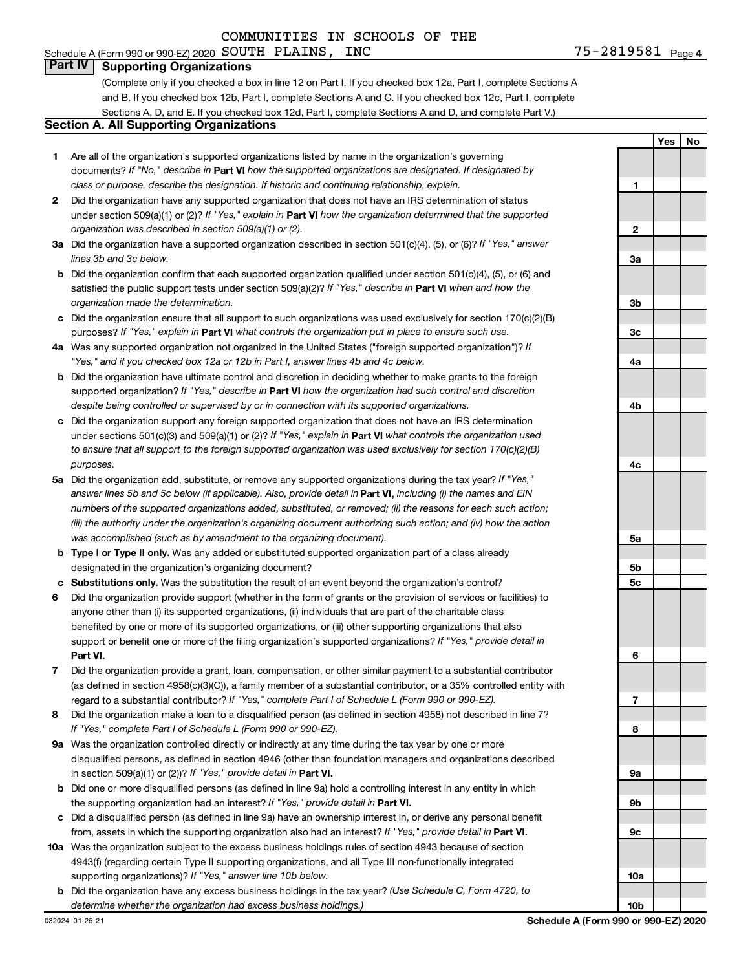#### 75-2819581 <sub>Page 4</sub> Schedule A (Form 990 or 990-EZ) 2020 Page SOUTH PLAINS, INC 75-2819581

#### **Part IV Supporting Organizations**

(Complete only if you checked a box in line 12 on Part I. If you checked box 12a, Part I, complete Sections A and B. If you checked box 12b, Part I, complete Sections A and C. If you checked box 12c, Part I, complete Sections A, D, and E. If you checked box 12d, Part I, complete Sections A and D, and complete Part V.)

#### **Section A. All Supporting Organizations**

- **1** Are all of the organization's supported organizations listed by name in the organization's governing documents? If "No," describe in Part VI how the supported organizations are designated. If designated by *class or purpose, describe the designation. If historic and continuing relationship, explain.*
- **2** Did the organization have any supported organization that does not have an IRS determination of status under section 509(a)(1) or (2)? If "Yes," explain in Part **VI** how the organization determined that the supported *organization was described in section 509(a)(1) or (2).*
- **3a** Did the organization have a supported organization described in section 501(c)(4), (5), or (6)? If "Yes," answer *lines 3b and 3c below.*
- **b** Did the organization confirm that each supported organization qualified under section 501(c)(4), (5), or (6) and satisfied the public support tests under section 509(a)(2)? If "Yes," describe in Part VI when and how the *organization made the determination.*
- **c** Did the organization ensure that all support to such organizations was used exclusively for section 170(c)(2)(B) purposes? If "Yes," explain in Part VI what controls the organization put in place to ensure such use.
- **4 a** *If* Was any supported organization not organized in the United States ("foreign supported organization")? *"Yes," and if you checked box 12a or 12b in Part I, answer lines 4b and 4c below.*
- **b** Did the organization have ultimate control and discretion in deciding whether to make grants to the foreign supported organization? If "Yes," describe in Part VI how the organization had such control and discretion *despite being controlled or supervised by or in connection with its supported organizations.*
- **c** Did the organization support any foreign supported organization that does not have an IRS determination under sections 501(c)(3) and 509(a)(1) or (2)? If "Yes," explain in Part VI what controls the organization used *to ensure that all support to the foreign supported organization was used exclusively for section 170(c)(2)(B) purposes.*
- **5a** Did the organization add, substitute, or remove any supported organizations during the tax year? If "Yes," answer lines 5b and 5c below (if applicable). Also, provide detail in **Part VI,** including (i) the names and EIN *numbers of the supported organizations added, substituted, or removed; (ii) the reasons for each such action; (iii) the authority under the organization's organizing document authorizing such action; and (iv) how the action was accomplished (such as by amendment to the organizing document).*
- **b Type I or Type II only.** Was any added or substituted supported organization part of a class already designated in the organization's organizing document?
- **c Substitutions only.**  Was the substitution the result of an event beyond the organization's control?
- **6** Did the organization provide support (whether in the form of grants or the provision of services or facilities) to **Part VI.** support or benefit one or more of the filing organization's supported organizations? If "Yes," provide detail in anyone other than (i) its supported organizations, (ii) individuals that are part of the charitable class benefited by one or more of its supported organizations, or (iii) other supporting organizations that also
- **7** Did the organization provide a grant, loan, compensation, or other similar payment to a substantial contributor regard to a substantial contributor? If "Yes," complete Part I of Schedule L (Form 990 or 990-EZ). (as defined in section 4958(c)(3)(C)), a family member of a substantial contributor, or a 35% controlled entity with
- **8** Did the organization make a loan to a disqualified person (as defined in section 4958) not described in line 7? *If "Yes," complete Part I of Schedule L (Form 990 or 990-EZ).*
- **9 a** Was the organization controlled directly or indirectly at any time during the tax year by one or more in section 509(a)(1) or (2))? If "Yes," provide detail in **Part VI.** disqualified persons, as defined in section 4946 (other than foundation managers and organizations described
- **b** Did one or more disqualified persons (as defined in line 9a) hold a controlling interest in any entity in which the supporting organization had an interest? If "Yes," provide detail in Part VI.
- **c** Did a disqualified person (as defined in line 9a) have an ownership interest in, or derive any personal benefit from, assets in which the supporting organization also had an interest? If "Yes," provide detail in Part VI.
- **10 a** Was the organization subject to the excess business holdings rules of section 4943 because of section supporting organizations)? If "Yes," answer line 10b below. 4943(f) (regarding certain Type II supporting organizations, and all Type III non-functionally integrated
- **b** Did the organization have any excess business holdings in the tax year? (Use Schedule C, Form 4720, to *determine whether the organization had excess business holdings.)*

**Yes No 1 2 3a 3b 3c 4a 4b 4c 5a 5b 5c 6 7 8 9a 9b 9c 10a 10b**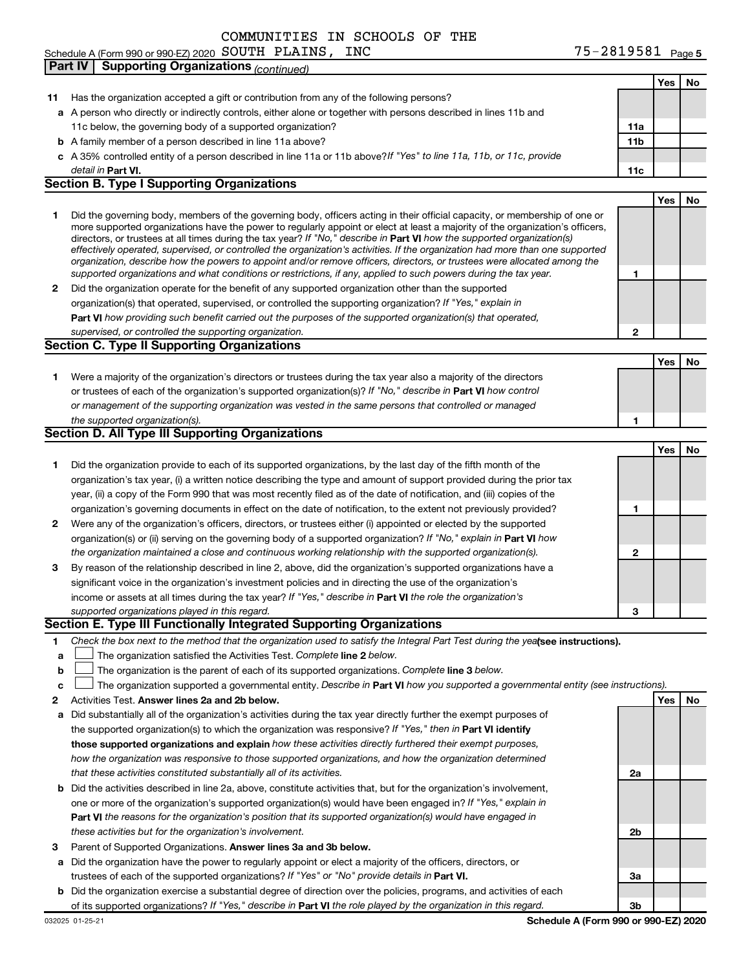Schedule A (Form 990 or 990-EZ) 2020 Page SOUTH PLAINS, INC 75-2819581

|    | <b>Supporting Organizations (continued)</b><br>Part IV                                                                                                                                                                                                    |     |            |     |
|----|-----------------------------------------------------------------------------------------------------------------------------------------------------------------------------------------------------------------------------------------------------------|-----|------------|-----|
|    |                                                                                                                                                                                                                                                           |     | Yes        | No  |
| 11 | Has the organization accepted a gift or contribution from any of the following persons?                                                                                                                                                                   |     |            |     |
|    | a A person who directly or indirectly controls, either alone or together with persons described in lines 11b and                                                                                                                                          |     |            |     |
|    | 11c below, the governing body of a supported organization?                                                                                                                                                                                                | 11a |            |     |
|    | <b>b</b> A family member of a person described in line 11a above?                                                                                                                                                                                         | 11b |            |     |
|    | c A 35% controlled entity of a person described in line 11a or 11b above?If "Yes" to line 11a, 11b, or 11c, provide                                                                                                                                       |     |            |     |
|    | detail in Part VI.                                                                                                                                                                                                                                        | 11c |            |     |
|    | <b>Section B. Type I Supporting Organizations</b>                                                                                                                                                                                                         |     |            |     |
|    |                                                                                                                                                                                                                                                           |     | <b>Yes</b> | No. |
| 1  | Did the governing body, members of the governing body, officers acting in their official capacity, or membership of one or                                                                                                                                |     |            |     |
|    | more supported organizations have the power to regularly appoint or elect at least a majority of the organization's officers,                                                                                                                             |     |            |     |
|    | directors, or trustees at all times during the tax year? If "No," describe in Part VI how the supported organization(s)<br>effectively operated, supervised, or controlled the organization's activities. If the organization had more than one supported |     |            |     |
|    | organization, describe how the powers to appoint and/or remove officers, directors, or trustees were allocated among the                                                                                                                                  |     |            |     |
|    | supported organizations and what conditions or restrictions, if any, applied to such powers during the tax year.                                                                                                                                          | 1   |            |     |
| 2  | Did the organization operate for the benefit of any supported organization other than the supported                                                                                                                                                       |     |            |     |
|    | organization(s) that operated, supervised, or controlled the supporting organization? If "Yes," explain in                                                                                                                                                |     |            |     |
|    | Part VI how providing such benefit carried out the purposes of the supported organization(s) that operated,                                                                                                                                               |     |            |     |
|    | supervised, or controlled the supporting organization.                                                                                                                                                                                                    | 2   |            |     |
|    | <b>Section C. Type II Supporting Organizations</b>                                                                                                                                                                                                        |     |            |     |
|    |                                                                                                                                                                                                                                                           |     | Yes        | No. |
| 1  | Were a majority of the organization's directors or trustees during the tax year also a majority of the directors                                                                                                                                          |     |            |     |
|    | or trustees of each of the organization's supported organization(s)? If "No," describe in Part VI how control                                                                                                                                             |     |            |     |
|    | or management of the supporting organization was vested in the same persons that controlled or managed                                                                                                                                                    |     |            |     |
|    | the supported organization(s).                                                                                                                                                                                                                            | 1   |            |     |
|    | Section D. All Type III Supporting Organizations                                                                                                                                                                                                          |     |            |     |
|    |                                                                                                                                                                                                                                                           |     | Yes        | No  |
| 1  | Did the organization provide to each of its supported organizations, by the last day of the fifth month of the                                                                                                                                            |     |            |     |
|    | organization's tax year, (i) a written notice describing the type and amount of support provided during the prior tax                                                                                                                                     |     |            |     |
|    | year, (ii) a copy of the Form 990 that was most recently filed as of the date of notification, and (iii) copies of the                                                                                                                                    |     |            |     |
|    | organization's governing documents in effect on the date of notification, to the extent not previously provided?                                                                                                                                          | 1   |            |     |
| 2  | Were any of the organization's officers, directors, or trustees either (i) appointed or elected by the supported                                                                                                                                          |     |            |     |
|    | organization(s) or (ii) serving on the governing body of a supported organization? If "No," explain in Part VI how                                                                                                                                        |     |            |     |
|    | the organization maintained a close and continuous working relationship with the supported organization(s).<br>By reason of the relationship described in line 2, above, did the organization's supported organizations have a                            | 2   |            |     |
| З  |                                                                                                                                                                                                                                                           |     |            |     |
|    | significant voice in the organization's investment policies and in directing the use of the organization's                                                                                                                                                |     |            |     |
|    | income or assets at all times during the tax year? If "Yes," describe in Part VI the role the organization's<br>supported organizations played in this regard.                                                                                            | 3   |            |     |
|    | Section E. Type III Functionally Integrated Supporting Organizations                                                                                                                                                                                      |     |            |     |
| 1  | Check the box next to the method that the organization used to satisfy the Integral Part Test during the yealsee instructions).                                                                                                                           |     |            |     |
| a  | The organization satisfied the Activities Test. Complete line 2 below.                                                                                                                                                                                    |     |            |     |
| b  | The organization is the parent of each of its supported organizations. Complete line 3 below.                                                                                                                                                             |     |            |     |
| c  | The organization supported a governmental entity. Describe in Part VI how you supported a governmental entity (see instructions).                                                                                                                         |     |            |     |
| 2  | Activities Test. Answer lines 2a and 2b below.                                                                                                                                                                                                            |     | Yes        | No  |
| а  | Did substantially all of the organization's activities during the tax year directly further the exempt purposes of                                                                                                                                        |     |            |     |
|    | the supported organization(s) to which the organization was responsive? If "Yes," then in Part VI identify                                                                                                                                                |     |            |     |
|    | those supported organizations and explain how these activities directly furthered their exempt purposes,                                                                                                                                                  |     |            |     |
|    | how the organization was responsive to those supported organizations, and how the organization determined                                                                                                                                                 |     |            |     |
|    | that these activities constituted substantially all of its activities.                                                                                                                                                                                    | 2a  |            |     |
|    | <b>b</b> Did the activities described in line 2a, above, constitute activities that, but for the organization's involvement,                                                                                                                              |     |            |     |
|    | one or more of the organization's supported organization(s) would have been engaged in? If "Yes," explain in                                                                                                                                              |     |            |     |
|    | <b>Part VI</b> the reasons for the organization's position that its supported organization(s) would have engaged in                                                                                                                                       |     |            |     |
|    | these activities but for the organization's involvement.                                                                                                                                                                                                  | 2b  |            |     |
| з  | Parent of Supported Organizations. Answer lines 3a and 3b below.                                                                                                                                                                                          |     |            |     |
| а  | Did the organization have the power to regularly appoint or elect a majority of the officers, directors, or                                                                                                                                               |     |            |     |
|    | trustees of each of the supported organizations? If "Yes" or "No" provide details in Part VI.                                                                                                                                                             | За  |            |     |
|    | <b>b</b> Did the organization exercise a substantial degree of direction over the policies, programs, and activities of each                                                                                                                              |     |            |     |

of its supported organizations? If "Yes," describe in Part VI the role played by the organization in this regard.

032025 01-25-21

**3b**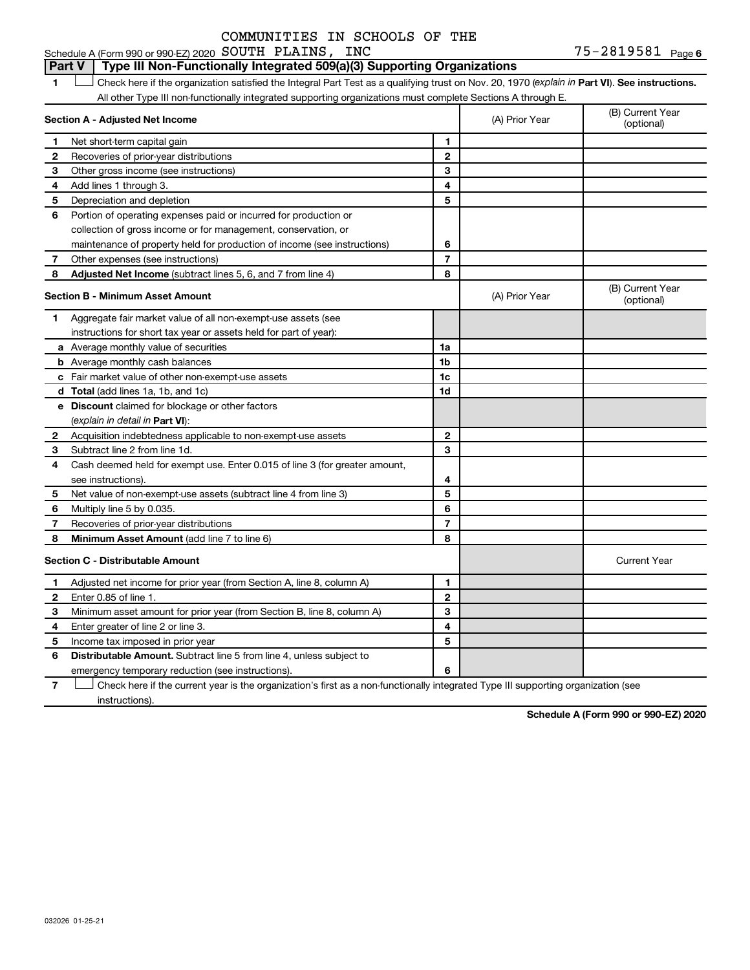#### **1 Part VI** Check here if the organization satisfied the Integral Part Test as a qualifying trust on Nov. 20, 1970 (*explain in* Part **VI**). See instructions. **Section A - Adjusted Net Income 1 2 3 4 5 6 7 8 1 2 3 4 5 6 7 Adjusted Net Income** (subtract lines 5, 6, and 7 from line 4) **8 8 Section B - Minimum Asset Amount 1 2 3 4 5 6 7 8 a** Average monthly value of securities **b** Average monthly cash balances **c** Fair market value of other non-exempt-use assets **d Total**  (add lines 1a, 1b, and 1c) **e Discount** claimed for blockage or other factors **1a 1b 1c 1d 2 3 4 5 6 7 8** (explain in detail in Part VI): **Minimum Asset Amount**  (add line 7 to line 6) **Section C - Distributable Amount 1 2 3 4 5 6 1 2 3 4 5 6** Distributable Amount. Subtract line 5 from line 4, unless subject to All other Type III non-functionally integrated supporting organizations must complete Sections A through E. (B) Current Year (A) Prior Year Net short-term capital gain Recoveries of prior-year distributions Other gross income (see instructions) Add lines 1 through 3. Depreciation and depletion Portion of operating expenses paid or incurred for production or collection of gross income or for management, conservation, or maintenance of property held for production of income (see instructions) Other expenses (see instructions) (B) Current Year  $(A)$  Prior Year  $\left\{\n\begin{array}{ccc}\n\end{array}\n\right\}$  (optional) Aggregate fair market value of all non-exempt-use assets (see instructions for short tax year or assets held for part of year): Acquisition indebtedness applicable to non-exempt-use assets Subtract line 2 from line 1d. Cash deemed held for exempt use. Enter 0.015 of line 3 (for greater amount, see instructions). Net value of non-exempt-use assets (subtract line 4 from line 3) Multiply line 5 by 0.035. Recoveries of prior-year distributions Current Year Adjusted net income for prior year (from Section A, line 8, column A) Enter 0.85 of line 1. Minimum asset amount for prior year (from Section B, line 8, column A) Enter greater of line 2 or line 3. Income tax imposed in prior year emergency temporary reduction (see instructions). **Part V Type III Non-Functionally Integrated 509(a)(3) Supporting Organizations**   $\Box$

**7** Check here if the current year is the organization's first as a non-functionally integrated Type III supporting organization (see † instructions).

**Schedule A (Form 990 or 990-EZ) 2020**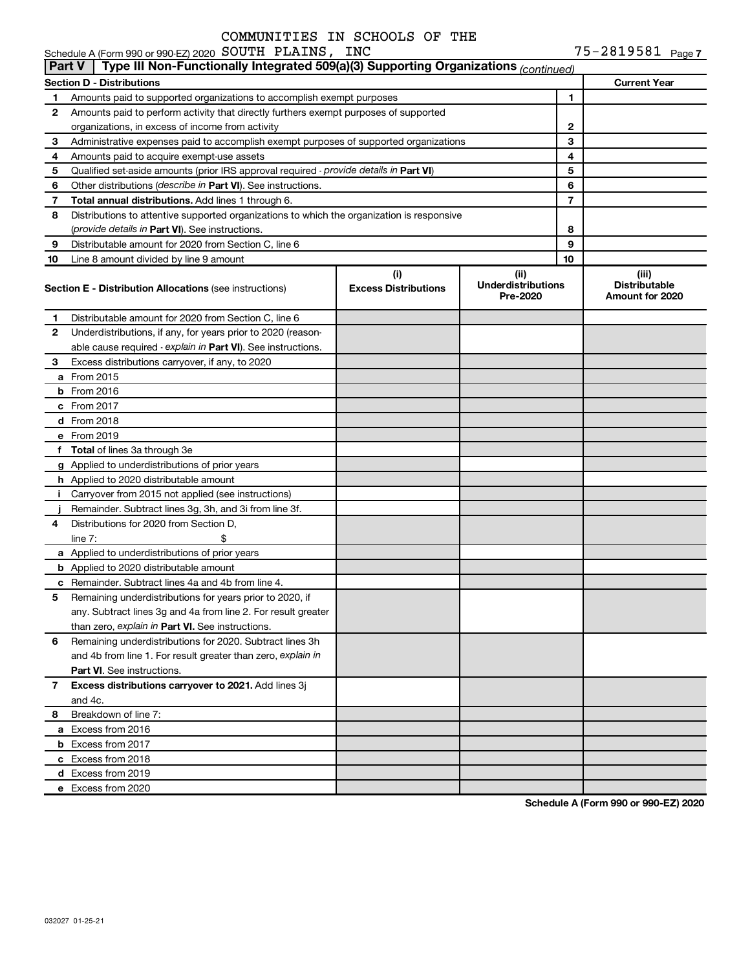Schedule A (Form 990 or 990-EZ) 2020 Page SOUTH PLAINS, INC 75-2819581

75-2819581 Page 7

|    | Type III Non-Functionally Integrated 509(a)(3) Supporting Organizations $_{(Continued)}$<br>  Part V |                                    |                                               |    |                                                  |
|----|------------------------------------------------------------------------------------------------------|------------------------------------|-----------------------------------------------|----|--------------------------------------------------|
|    | <b>Section D - Distributions</b>                                                                     |                                    |                                               |    | <b>Current Year</b>                              |
| 1  | Amounts paid to supported organizations to accomplish exempt purposes                                | 1                                  |                                               |    |                                                  |
| 2  | Amounts paid to perform activity that directly furthers exempt purposes of supported                 |                                    |                                               |    |                                                  |
|    | organizations, in excess of income from activity                                                     |                                    |                                               | 2  |                                                  |
| 3  | Administrative expenses paid to accomplish exempt purposes of supported organizations                |                                    |                                               | 3  |                                                  |
| 4  | Amounts paid to acquire exempt-use assets                                                            |                                    |                                               | 4  |                                                  |
| 5  | Qualified set-aside amounts (prior IRS approval required - provide details in Part VI)               |                                    |                                               | 5  |                                                  |
| 6  | Other distributions (describe in Part VI). See instructions.                                         |                                    |                                               | 6  |                                                  |
| 7  | Total annual distributions. Add lines 1 through 6.                                                   |                                    |                                               | 7  |                                                  |
| 8  | Distributions to attentive supported organizations to which the organization is responsive           |                                    |                                               |    |                                                  |
|    | (provide details in Part VI). See instructions.                                                      |                                    |                                               | 8  |                                                  |
| 9  | Distributable amount for 2020 from Section C, line 6                                                 |                                    |                                               | 9  |                                                  |
| 10 | Line 8 amount divided by line 9 amount                                                               |                                    |                                               | 10 |                                                  |
|    | <b>Section E - Distribution Allocations (see instructions)</b>                                       | (i)<br><b>Excess Distributions</b> | (ii)<br><b>Underdistributions</b><br>Pre-2020 |    | (iii)<br><b>Distributable</b><br>Amount for 2020 |
| 1. | Distributable amount for 2020 from Section C, line 6                                                 |                                    |                                               |    |                                                  |
| 2  | Underdistributions, if any, for years prior to 2020 (reason-                                         |                                    |                                               |    |                                                  |
|    | able cause required - explain in Part VI). See instructions.                                         |                                    |                                               |    |                                                  |
| 3  | Excess distributions carryover, if any, to 2020                                                      |                                    |                                               |    |                                                  |
|    | <b>a</b> From 2015                                                                                   |                                    |                                               |    |                                                  |
|    | <b>b</b> From 2016                                                                                   |                                    |                                               |    |                                                  |
|    | c From 2017                                                                                          |                                    |                                               |    |                                                  |
|    | d From 2018                                                                                          |                                    |                                               |    |                                                  |
|    | e From 2019                                                                                          |                                    |                                               |    |                                                  |
|    | f Total of lines 3a through 3e                                                                       |                                    |                                               |    |                                                  |
|    | g Applied to underdistributions of prior years                                                       |                                    |                                               |    |                                                  |
|    | h Applied to 2020 distributable amount                                                               |                                    |                                               |    |                                                  |
| i. | Carryover from 2015 not applied (see instructions)                                                   |                                    |                                               |    |                                                  |
|    | Remainder. Subtract lines 3g, 3h, and 3i from line 3f.                                               |                                    |                                               |    |                                                  |
| 4  | Distributions for 2020 from Section D,                                                               |                                    |                                               |    |                                                  |
|    | \$<br>line $7:$                                                                                      |                                    |                                               |    |                                                  |
|    | a Applied to underdistributions of prior years                                                       |                                    |                                               |    |                                                  |
|    | <b>b</b> Applied to 2020 distributable amount                                                        |                                    |                                               |    |                                                  |
|    | <b>c</b> Remainder. Subtract lines 4a and 4b from line 4.                                            |                                    |                                               |    |                                                  |
| 5  | Remaining underdistributions for years prior to 2020, if                                             |                                    |                                               |    |                                                  |
|    | any. Subtract lines 3g and 4a from line 2. For result greater                                        |                                    |                                               |    |                                                  |
|    | than zero, explain in Part VI. See instructions.                                                     |                                    |                                               |    |                                                  |
| 6  | Remaining underdistributions for 2020. Subtract lines 3h                                             |                                    |                                               |    |                                                  |
|    | and 4b from line 1. For result greater than zero, explain in                                         |                                    |                                               |    |                                                  |
|    | <b>Part VI.</b> See instructions.                                                                    |                                    |                                               |    |                                                  |
| 7  | Excess distributions carryover to 2021. Add lines 3j                                                 |                                    |                                               |    |                                                  |
|    | and 4c.                                                                                              |                                    |                                               |    |                                                  |
| 8  | Breakdown of line 7:                                                                                 |                                    |                                               |    |                                                  |
|    | a Excess from 2016                                                                                   |                                    |                                               |    |                                                  |
|    | <b>b</b> Excess from 2017                                                                            |                                    |                                               |    |                                                  |
|    | c Excess from 2018                                                                                   |                                    |                                               |    |                                                  |
|    | d Excess from 2019                                                                                   |                                    |                                               |    |                                                  |
|    | e Excess from 2020                                                                                   |                                    |                                               |    |                                                  |

**Schedule A (Form 990 or 990-EZ) 2020**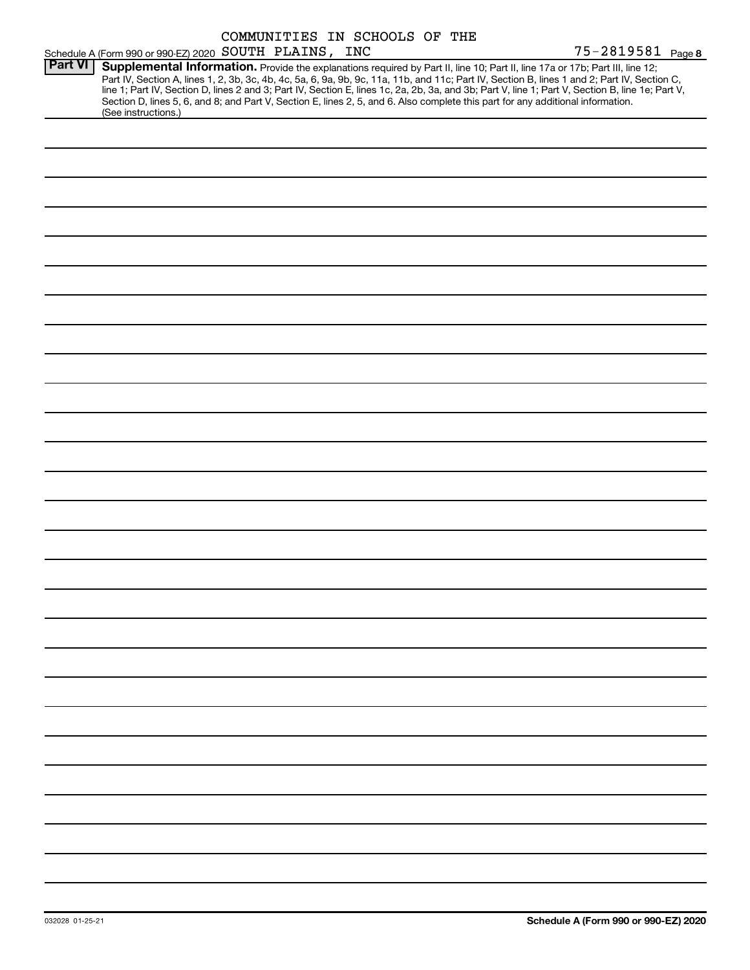|                |                                                                                                                                                                                                                                                                                                                                                                                                                                                                                                                                                                                             |  | COMMUNITIES IN SCHOOLS OF THE |                   |  |
|----------------|---------------------------------------------------------------------------------------------------------------------------------------------------------------------------------------------------------------------------------------------------------------------------------------------------------------------------------------------------------------------------------------------------------------------------------------------------------------------------------------------------------------------------------------------------------------------------------------------|--|-------------------------------|-------------------|--|
|                | Schedule A (Form 990 or 990-EZ) 2020 SOUTH PLAINS, INC                                                                                                                                                                                                                                                                                                                                                                                                                                                                                                                                      |  |                               | 75-2819581 Page 8 |  |
| <b>Part VI</b> | Supplemental Information. Provide the explanations required by Part II, line 10; Part II, line 17a or 17b; Part III, line 12;<br>Part IV, Section A, lines 1, 2, 3b, 3c, 4b, 4c, 5a, 6, 9a, 9b, 9c, 11a, 11b, and 11c; Part IV, Section B, lines 1 and 2; Part IV, Section C,<br>line 1; Part IV, Section D, lines 2 and 3; Part IV, Section E, lines 1c, 2a, 2b, 3a, and 3b; Part V, line 1; Part V, Section B, line 1e; Part V,<br>Section D, lines 5, 6, and 8; and Part V, Section E, lines 2, 5, and 6. Also complete this part for any additional information.<br>(See instructions.) |  |                               |                   |  |
|                |                                                                                                                                                                                                                                                                                                                                                                                                                                                                                                                                                                                             |  |                               |                   |  |
|                |                                                                                                                                                                                                                                                                                                                                                                                                                                                                                                                                                                                             |  |                               |                   |  |
|                |                                                                                                                                                                                                                                                                                                                                                                                                                                                                                                                                                                                             |  |                               |                   |  |
|                |                                                                                                                                                                                                                                                                                                                                                                                                                                                                                                                                                                                             |  |                               |                   |  |
|                |                                                                                                                                                                                                                                                                                                                                                                                                                                                                                                                                                                                             |  |                               |                   |  |
|                |                                                                                                                                                                                                                                                                                                                                                                                                                                                                                                                                                                                             |  |                               |                   |  |
|                |                                                                                                                                                                                                                                                                                                                                                                                                                                                                                                                                                                                             |  |                               |                   |  |
|                |                                                                                                                                                                                                                                                                                                                                                                                                                                                                                                                                                                                             |  |                               |                   |  |
|                |                                                                                                                                                                                                                                                                                                                                                                                                                                                                                                                                                                                             |  |                               |                   |  |
|                |                                                                                                                                                                                                                                                                                                                                                                                                                                                                                                                                                                                             |  |                               |                   |  |
|                |                                                                                                                                                                                                                                                                                                                                                                                                                                                                                                                                                                                             |  |                               |                   |  |
|                |                                                                                                                                                                                                                                                                                                                                                                                                                                                                                                                                                                                             |  |                               |                   |  |
|                |                                                                                                                                                                                                                                                                                                                                                                                                                                                                                                                                                                                             |  |                               |                   |  |
|                |                                                                                                                                                                                                                                                                                                                                                                                                                                                                                                                                                                                             |  |                               |                   |  |
|                |                                                                                                                                                                                                                                                                                                                                                                                                                                                                                                                                                                                             |  |                               |                   |  |
|                |                                                                                                                                                                                                                                                                                                                                                                                                                                                                                                                                                                                             |  |                               |                   |  |
|                |                                                                                                                                                                                                                                                                                                                                                                                                                                                                                                                                                                                             |  |                               |                   |  |
|                |                                                                                                                                                                                                                                                                                                                                                                                                                                                                                                                                                                                             |  |                               |                   |  |
|                |                                                                                                                                                                                                                                                                                                                                                                                                                                                                                                                                                                                             |  |                               |                   |  |
|                |                                                                                                                                                                                                                                                                                                                                                                                                                                                                                                                                                                                             |  |                               |                   |  |
|                |                                                                                                                                                                                                                                                                                                                                                                                                                                                                                                                                                                                             |  |                               |                   |  |
|                |                                                                                                                                                                                                                                                                                                                                                                                                                                                                                                                                                                                             |  |                               |                   |  |
|                |                                                                                                                                                                                                                                                                                                                                                                                                                                                                                                                                                                                             |  |                               |                   |  |
|                |                                                                                                                                                                                                                                                                                                                                                                                                                                                                                                                                                                                             |  |                               |                   |  |
|                |                                                                                                                                                                                                                                                                                                                                                                                                                                                                                                                                                                                             |  |                               |                   |  |
|                |                                                                                                                                                                                                                                                                                                                                                                                                                                                                                                                                                                                             |  |                               |                   |  |
|                |                                                                                                                                                                                                                                                                                                                                                                                                                                                                                                                                                                                             |  |                               |                   |  |
|                |                                                                                                                                                                                                                                                                                                                                                                                                                                                                                                                                                                                             |  |                               |                   |  |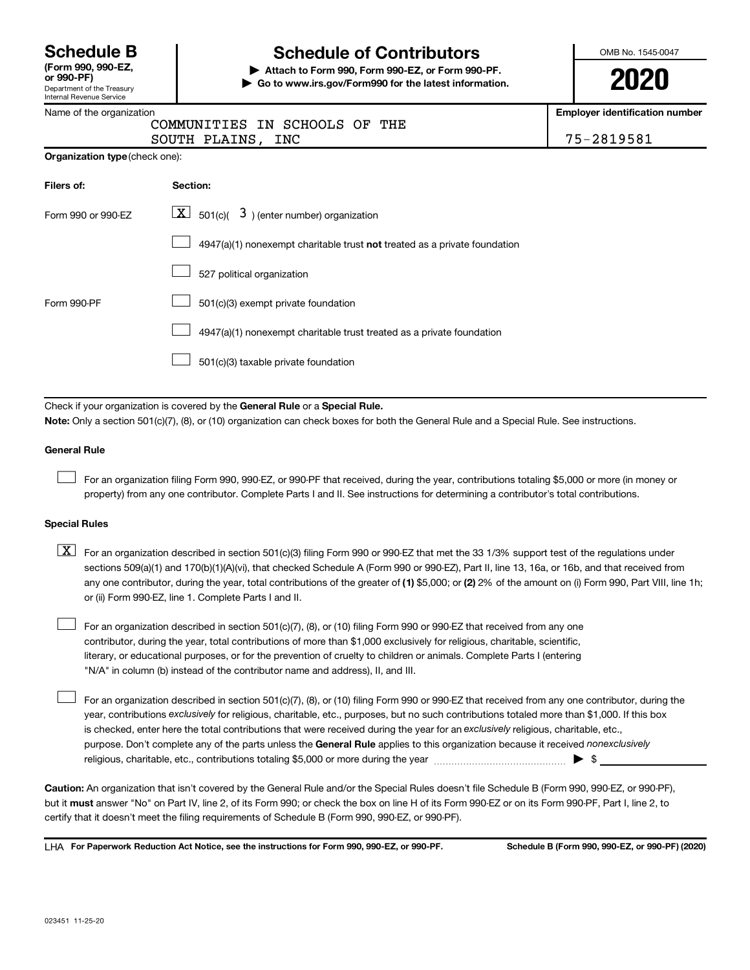| <b>Schedule B</b>  |  |
|--------------------|--|
| (Form 990, 990-EZ, |  |

#### Department of the Treasury Internal Revenue Service

## **Schedule of Contributors**

**or 990-PF) | Attach to Form 990, Form 990-EZ, or Form 990-PF. | Go to www.irs.gov/Form990 for the latest information.** OMB No. 1545-0047

**2020**

**Employer identification number**

**Organization type** (check one):

SOUTH PLAINS, INC 75-2819581

| Filers of:         | Section:                                                                  |
|--------------------|---------------------------------------------------------------------------|
| Form 990 or 990-EZ | $\lfloor x \rfloor$ 501(c)( 3) (enter number) organization                |
|                    | 4947(a)(1) nonexempt charitable trust not treated as a private foundation |
|                    | 527 political organization                                                |
| Form 990-PF        | 501(c)(3) exempt private foundation                                       |
|                    | 4947(a)(1) nonexempt charitable trust treated as a private foundation     |
|                    | 501(c)(3) taxable private foundation                                      |

Check if your organization is covered by the General Rule or a Special Rule.

**Note:**  Only a section 501(c)(7), (8), or (10) organization can check boxes for both the General Rule and a Special Rule. See instructions.

#### **General Rule**

 $\Box$ 

 $\Box$ 

For an organization filing Form 990, 990-EZ, or 990-PF that received, during the year, contributions totaling \$5,000 or more (in money or property) from any one contributor. Complete Parts I and II. See instructions for determining a contributor's total contributions.

#### **Special Rules**

any one contributor, during the year, total contributions of the greater of (1) \$5,000; or (2) 2% of the amount on (i) Form 990, Part VIII, line 1h;  $\boxed{\text{X}}$  For an organization described in section 501(c)(3) filing Form 990 or 990-EZ that met the 33 1/3% support test of the regulations under sections 509(a)(1) and 170(b)(1)(A)(vi), that checked Schedule A (Form 990 or 990-EZ), Part II, line 13, 16a, or 16b, and that received from or (ii) Form 990-EZ, line 1. Complete Parts I and II.

For an organization described in section 501(c)(7), (8), or (10) filing Form 990 or 990-EZ that received from any one contributor, during the year, total contributions of more than \$1,000 exclusively for religious, charitable, scientific, literary, or educational purposes, or for the prevention of cruelty to children or animals. Complete Parts I (entering "N/A" in column (b) instead of the contributor name and address), II, and III.  $\Box$ 

purpose. Don't complete any of the parts unless the General Rule applies to this organization because it received nonexclusively year, contributions exclusively for religious, charitable, etc., purposes, but no such contributions totaled more than \$1,000. If this box is checked, enter here the total contributions that were received during the year for an exclusively religious, charitable, etc., For an organization described in section 501(c)(7), (8), or (10) filing Form 990 or 990-EZ that received from any one contributor, during the religious, charitable, etc., contributions totaling \$5,000 or more during the year  $~\ldots\ldots\ldots\ldots\ldots\ldots\ldots\ldots\blacktriangleright~$ \$

**Caution:**  An organization that isn't covered by the General Rule and/or the Special Rules doesn't file Schedule B (Form 990, 990-EZ, or 990-PF),  **must** but it answer "No" on Part IV, line 2, of its Form 990; or check the box on line H of its Form 990-EZ or on its Form 990-PF, Part I, line 2, to certify that it doesn't meet the filing requirements of Schedule B (Form 990, 990-EZ, or 990-PF).

**For Paperwork Reduction Act Notice, see the instructions for Form 990, 990-EZ, or 990-PF. Schedule B (Form 990, 990-EZ, or 990-PF) (2020)** LHA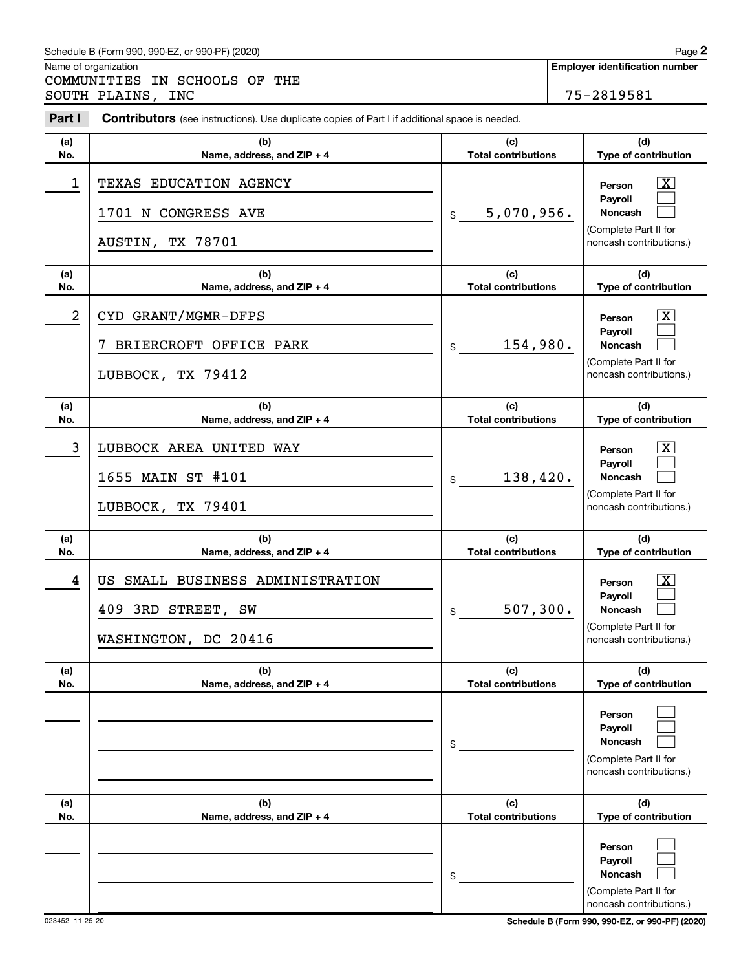#### Schedule B (Form 990, 990-EZ, or 990-PF) (2020)

Name of organization

COMMUNITIES IN SCHOOLS OF THE SOUTH PLAINS, INC 75-2819581

| Part I         | Contributors (see instructions). Use duplicate copies of Part I if additional space is needed. |                                   |                                                                                         |  |  |  |  |  |
|----------------|------------------------------------------------------------------------------------------------|-----------------------------------|-----------------------------------------------------------------------------------------|--|--|--|--|--|
| (a)            | (b)                                                                                            | (c)                               | (d)                                                                                     |  |  |  |  |  |
| No.            | Name, address, and ZIP + 4                                                                     | <b>Total contributions</b>        | Type of contribution                                                                    |  |  |  |  |  |
| $\mathbf 1$    | TEXAS EDUCATION AGENCY<br>1701 N CONGRESS AVE                                                  | 5,070,956.<br>\$                  | $\boxed{\textbf{X}}$<br>Person<br>Payroll<br><b>Noncash</b>                             |  |  |  |  |  |
|                | AUSTIN, TX 78701                                                                               |                                   | (Complete Part II for<br>noncash contributions.)                                        |  |  |  |  |  |
| (a)<br>No.     | (b)<br>Name, address, and ZIP + 4                                                              | (c)<br><b>Total contributions</b> | (d)<br>Type of contribution                                                             |  |  |  |  |  |
| $\overline{a}$ | CYD GRANT/MGMR-DFPS                                                                            |                                   | $\boxed{\textbf{X}}$<br>Person<br>Payroll                                               |  |  |  |  |  |
|                | BRIERCROFT OFFICE PARK                                                                         | 154,980.<br>\$                    | <b>Noncash</b>                                                                          |  |  |  |  |  |
|                | LUBBOCK, TX 79412                                                                              |                                   | (Complete Part II for<br>noncash contributions.)                                        |  |  |  |  |  |
| (a)<br>No.     | (b)<br>Name, address, and ZIP + 4                                                              | (c)<br><b>Total contributions</b> | (d)<br>Type of contribution                                                             |  |  |  |  |  |
| 3              | LUBBOCK AREA UNITED WAY                                                                        |                                   | $\boxed{\textbf{X}}$<br>Person<br>Payroll                                               |  |  |  |  |  |
|                | 1655 MAIN ST #101                                                                              | 138,420.<br>\$                    | <b>Noncash</b><br>(Complete Part II for                                                 |  |  |  |  |  |
|                | LUBBOCK, TX 79401                                                                              |                                   | noncash contributions.)                                                                 |  |  |  |  |  |
| (a)<br>No.     | (b)<br>Name, address, and ZIP + 4                                                              | (c)<br><b>Total contributions</b> | (d)<br>Type of contribution                                                             |  |  |  |  |  |
| 4              | SMALL BUSINESS ADMINISTRATION<br>US                                                            |                                   | $\boxed{\text{X}}$<br>Person                                                            |  |  |  |  |  |
|                | 409 3RD STREET, SW                                                                             | 507,300.<br>\$                    | Payroll<br><b>Noncash</b>                                                               |  |  |  |  |  |
|                | WASHINGTON, DC 20416                                                                           |                                   | (Complete Part II for<br>noncash contributions.)                                        |  |  |  |  |  |
| (a)<br>No.     | (b)<br>Name, address, and ZIP + 4                                                              | (c)<br><b>Total contributions</b> | (d)<br>Type of contribution                                                             |  |  |  |  |  |
|                |                                                                                                | \$                                | Person<br>Payroll<br><b>Noncash</b><br>(Complete Part II for<br>noncash contributions.) |  |  |  |  |  |
| (a)<br>No.     | (b)<br>Name, address, and ZIP + 4                                                              | (c)<br><b>Total contributions</b> | (d)<br>Type of contribution                                                             |  |  |  |  |  |
|                |                                                                                                | \$                                | Person<br>Payroll<br><b>Noncash</b><br>(Complete Part II for<br>noncash contributions.) |  |  |  |  |  |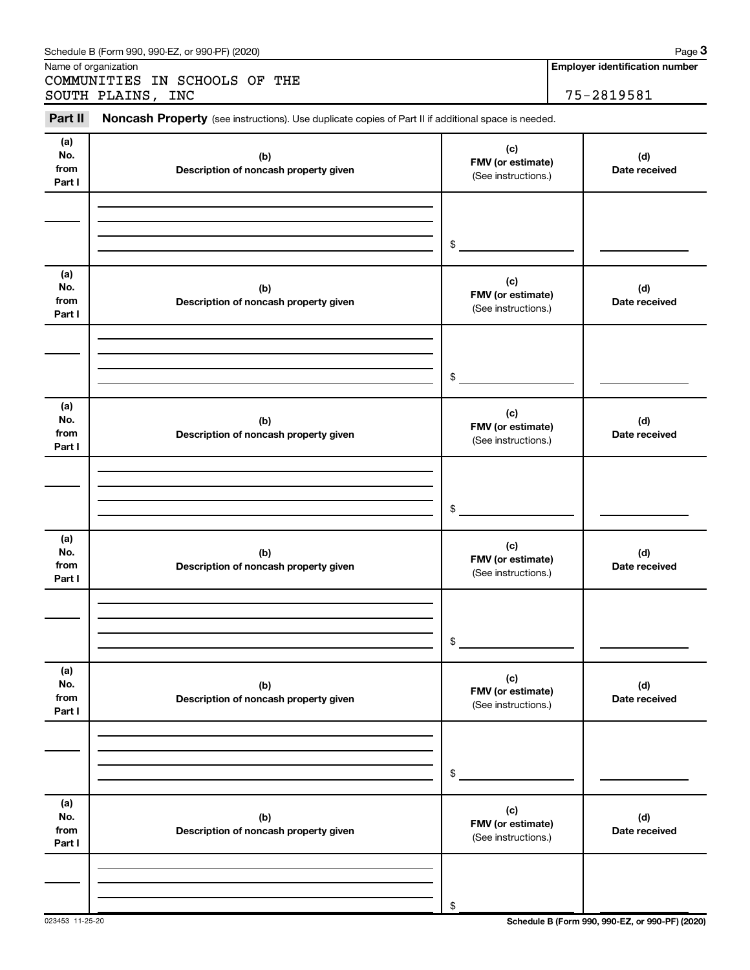|                              | Schedule B (Form 990, 990-EZ, or 990-PF) (2020)                                                     |                                                 | Page 3                                              |
|------------------------------|-----------------------------------------------------------------------------------------------------|-------------------------------------------------|-----------------------------------------------------|
|                              | Name of organization<br>COMMUNITIES IN SCHOOLS OF THE<br>SOUTH PLAINS, INC                          |                                                 | <b>Employer identification number</b><br>75-2819581 |
| Part II                      | Noncash Property (see instructions). Use duplicate copies of Part II if additional space is needed. |                                                 |                                                     |
| (a)<br>No.<br>from<br>Part I | (b)<br>Description of noncash property given                                                        | (c)<br>FMV (or estimate)<br>(See instructions.) | (d)<br>Date received                                |
|                              |                                                                                                     | \$                                              |                                                     |
| (a)<br>No.<br>from<br>Part I | (b)<br>Description of noncash property given                                                        | (c)<br>FMV (or estimate)<br>(See instructions.) | (d)<br>Date received                                |
|                              |                                                                                                     | \$                                              |                                                     |
| (a)<br>No.<br>from<br>Part I | (b)<br>Description of noncash property given                                                        | (c)<br>FMV (or estimate)<br>(See instructions.) | (d)<br>Date received                                |
|                              |                                                                                                     | \$                                              |                                                     |
| (a)<br>No.<br>from<br>Part I | (b)<br>Description of noncash property given                                                        | (c)<br>FMV (or estimate)<br>(See instructions.) | (d)<br>Date received                                |
|                              |                                                                                                     | \$                                              |                                                     |
| (a)<br>No.<br>from<br>Part I | (b)<br>Description of noncash property given                                                        | (c)<br>FMV (or estimate)<br>(See instructions.) | (d)<br>Date received                                |
|                              |                                                                                                     | \$                                              |                                                     |
| (a)<br>No.<br>from<br>Part I | (b)<br>Description of noncash property given                                                        | (c)<br>FMV (or estimate)<br>(See instructions.) | (d)<br>Date received                                |
|                              |                                                                                                     | \$                                              |                                                     |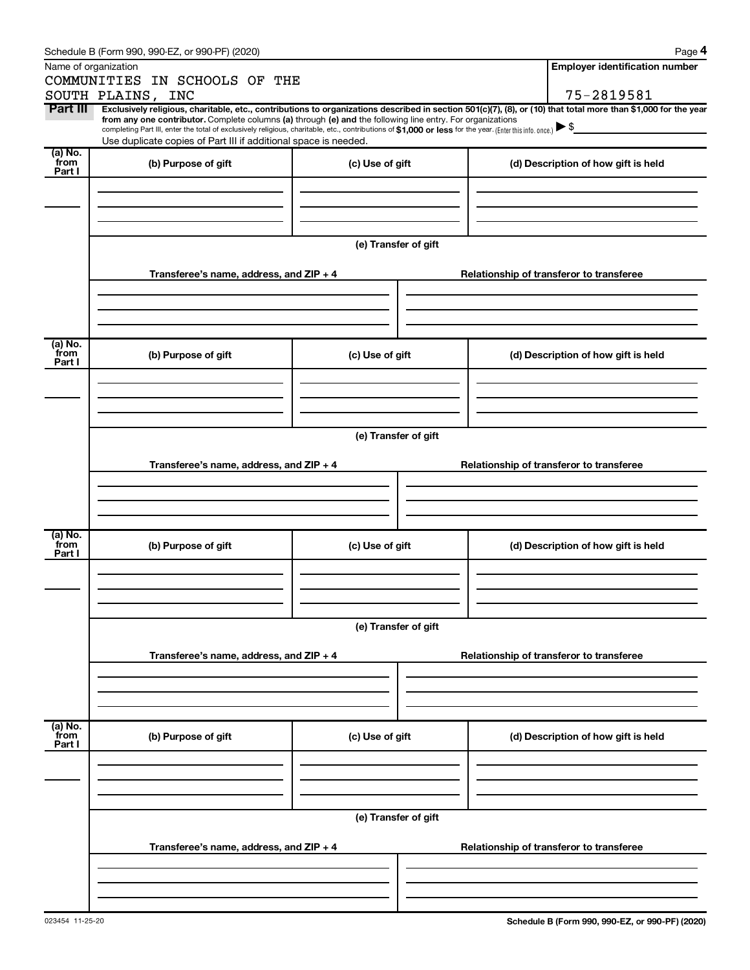|                           | Schedule B (Form 990, 990-EZ, or 990-PF) (2020)                                                                                                                                                                                                                                                                                                                                                                                          |                      |  | Page 4                                   |
|---------------------------|------------------------------------------------------------------------------------------------------------------------------------------------------------------------------------------------------------------------------------------------------------------------------------------------------------------------------------------------------------------------------------------------------------------------------------------|----------------------|--|------------------------------------------|
|                           | Name of organization                                                                                                                                                                                                                                                                                                                                                                                                                     |                      |  | <b>Employer identification number</b>    |
|                           | COMMUNITIES IN SCHOOLS OF THE                                                                                                                                                                                                                                                                                                                                                                                                            |                      |  |                                          |
|                           | SOUTH PLAINS, INC                                                                                                                                                                                                                                                                                                                                                                                                                        |                      |  | 75-2819581                               |
| Part III                  | Exclusively religious, charitable, etc., contributions to organizations described in section 501(c)(7), (8), or (10) that total more than \$1,000 for the year<br>from any one contributor. Complete columns (a) through (e) and the following line entry. For organizations<br>completing Part III, enter the total of exclusively religious, charitable, etc., contributions of \$1,000 or less for the year. (Enter this info. once.) |                      |  |                                          |
|                           | Use duplicate copies of Part III if additional space is needed.                                                                                                                                                                                                                                                                                                                                                                          |                      |  |                                          |
| (a) No.<br>from<br>Part I | (b) Purpose of gift                                                                                                                                                                                                                                                                                                                                                                                                                      | (c) Use of gift      |  | (d) Description of how gift is held      |
|                           |                                                                                                                                                                                                                                                                                                                                                                                                                                          |                      |  |                                          |
|                           |                                                                                                                                                                                                                                                                                                                                                                                                                                          | (e) Transfer of gift |  |                                          |
|                           | Transferee's name, address, and ZIP + 4                                                                                                                                                                                                                                                                                                                                                                                                  |                      |  | Relationship of transferor to transferee |
| (a) No.                   |                                                                                                                                                                                                                                                                                                                                                                                                                                          |                      |  |                                          |
| from<br>Part I            | (b) Purpose of gift                                                                                                                                                                                                                                                                                                                                                                                                                      | (c) Use of gift      |  | (d) Description of how gift is held      |
|                           |                                                                                                                                                                                                                                                                                                                                                                                                                                          |                      |  |                                          |
|                           |                                                                                                                                                                                                                                                                                                                                                                                                                                          | (e) Transfer of gift |  |                                          |
|                           | Transferee's name, address, and ZIP + 4                                                                                                                                                                                                                                                                                                                                                                                                  |                      |  | Relationship of transferor to transferee |
|                           |                                                                                                                                                                                                                                                                                                                                                                                                                                          |                      |  |                                          |
|                           |                                                                                                                                                                                                                                                                                                                                                                                                                                          |                      |  |                                          |
| (a) No.<br>from<br>Part I | (b) Purpose of gift                                                                                                                                                                                                                                                                                                                                                                                                                      | (c) Use of gift      |  | (d) Description of how gift is held      |
|                           |                                                                                                                                                                                                                                                                                                                                                                                                                                          |                      |  |                                          |
|                           |                                                                                                                                                                                                                                                                                                                                                                                                                                          | (e) Transfer of gift |  |                                          |
|                           | Transferee's name, address, and $ZIP + 4$                                                                                                                                                                                                                                                                                                                                                                                                |                      |  | Relationship of transferor to transferee |
|                           |                                                                                                                                                                                                                                                                                                                                                                                                                                          |                      |  |                                          |
| (a) No.<br>from<br>Part I | (b) Purpose of gift                                                                                                                                                                                                                                                                                                                                                                                                                      | (c) Use of gift      |  | (d) Description of how gift is held      |
|                           |                                                                                                                                                                                                                                                                                                                                                                                                                                          |                      |  |                                          |
|                           |                                                                                                                                                                                                                                                                                                                                                                                                                                          | (e) Transfer of gift |  |                                          |
|                           | Transferee's name, address, and ZIP + 4                                                                                                                                                                                                                                                                                                                                                                                                  |                      |  | Relationship of transferor to transferee |
|                           |                                                                                                                                                                                                                                                                                                                                                                                                                                          |                      |  |                                          |
|                           |                                                                                                                                                                                                                                                                                                                                                                                                                                          |                      |  |                                          |
|                           |                                                                                                                                                                                                                                                                                                                                                                                                                                          |                      |  |                                          |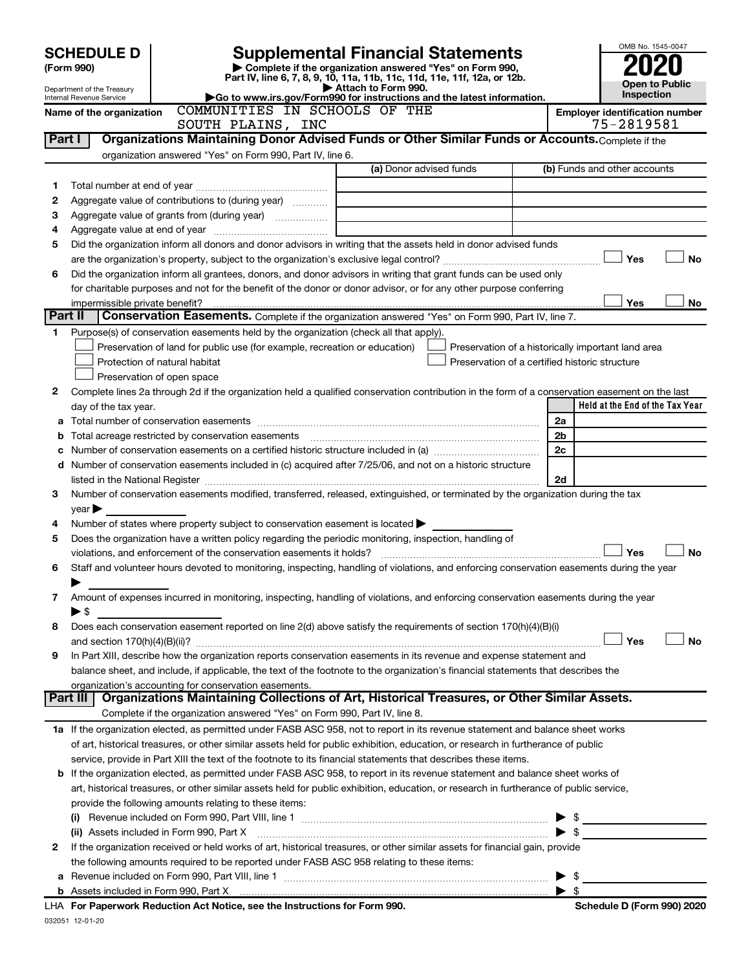|         | <b>Supplemental Financial Statements</b><br><b>SCHEDULE D</b><br>Complete if the organization answered "Yes" on Form 990,<br>(Form 990)<br>Part IV, line 6, 7, 8, 9, 10, 11a, 11b, 11c, 11d, 11e, 11f, 12a, or 12b.<br>Attach to Form 990.<br>Department of the Treasury |                                                                                                                                                |                                                                            |  |  |                          | OMB No. 1545-0047<br><b>Open to Public</b>         |           |  |  |
|---------|--------------------------------------------------------------------------------------------------------------------------------------------------------------------------------------------------------------------------------------------------------------------------|------------------------------------------------------------------------------------------------------------------------------------------------|----------------------------------------------------------------------------|--|--|--------------------------|----------------------------------------------------|-----------|--|--|
|         | Internal Revenue Service                                                                                                                                                                                                                                                 | Go to www.irs.gov/Form990 for instructions and the latest information.                                                                         |                                                                            |  |  |                          | Inspection                                         |           |  |  |
|         | Name of the organization                                                                                                                                                                                                                                                 | COMMUNITIES IN SCHOOLS OF THE                                                                                                                  |                                                                            |  |  |                          | <b>Employer identification number</b>              |           |  |  |
|         |                                                                                                                                                                                                                                                                          | SOUTH PLAINS, INC                                                                                                                              |                                                                            |  |  |                          | 75-2819581                                         |           |  |  |
| Part I  |                                                                                                                                                                                                                                                                          | Organizations Maintaining Donor Advised Funds or Other Similar Funds or Accounts. Complete if the                                              |                                                                            |  |  |                          |                                                    |           |  |  |
|         |                                                                                                                                                                                                                                                                          | organization answered "Yes" on Form 990, Part IV, line 6.                                                                                      |                                                                            |  |  |                          |                                                    |           |  |  |
|         |                                                                                                                                                                                                                                                                          |                                                                                                                                                | (a) Donor advised funds                                                    |  |  |                          | (b) Funds and other accounts                       |           |  |  |
| 1       |                                                                                                                                                                                                                                                                          |                                                                                                                                                |                                                                            |  |  |                          |                                                    |           |  |  |
| 2       |                                                                                                                                                                                                                                                                          | Aggregate value of contributions to (during year)                                                                                              |                                                                            |  |  |                          |                                                    |           |  |  |
| З       |                                                                                                                                                                                                                                                                          |                                                                                                                                                | the control of the control of the control of the control of the control of |  |  |                          |                                                    |           |  |  |
| 4       |                                                                                                                                                                                                                                                                          |                                                                                                                                                |                                                                            |  |  |                          |                                                    |           |  |  |
| 5       |                                                                                                                                                                                                                                                                          | Did the organization inform all donors and donor advisors in writing that the assets held in donor advised funds                               |                                                                            |  |  |                          |                                                    |           |  |  |
|         |                                                                                                                                                                                                                                                                          |                                                                                                                                                |                                                                            |  |  |                          | Yes                                                | <b>No</b> |  |  |
| 6       |                                                                                                                                                                                                                                                                          | Did the organization inform all grantees, donors, and donor advisors in writing that grant funds can be used only                              |                                                                            |  |  |                          |                                                    |           |  |  |
|         |                                                                                                                                                                                                                                                                          | for charitable purposes and not for the benefit of the donor or donor advisor, or for any other purpose conferring                             |                                                                            |  |  |                          |                                                    |           |  |  |
| Part II | impermissible private benefit?                                                                                                                                                                                                                                           |                                                                                                                                                |                                                                            |  |  |                          | Yes                                                | No        |  |  |
|         |                                                                                                                                                                                                                                                                          | Conservation Easements. Complete if the organization answered "Yes" on Form 990, Part IV, line 7.                                              |                                                                            |  |  |                          |                                                    |           |  |  |
| 1       |                                                                                                                                                                                                                                                                          | Purpose(s) of conservation easements held by the organization (check all that apply).                                                          |                                                                            |  |  |                          |                                                    |           |  |  |
|         |                                                                                                                                                                                                                                                                          | Preservation of land for public use (for example, recreation or education)                                                                     |                                                                            |  |  |                          | Preservation of a historically important land area |           |  |  |
|         |                                                                                                                                                                                                                                                                          | Protection of natural habitat                                                                                                                  |                                                                            |  |  |                          | Preservation of a certified historic structure     |           |  |  |
|         |                                                                                                                                                                                                                                                                          | Preservation of open space                                                                                                                     |                                                                            |  |  |                          |                                                    |           |  |  |
| 2       |                                                                                                                                                                                                                                                                          | Complete lines 2a through 2d if the organization held a qualified conservation contribution in the form of a conservation easement on the last |                                                                            |  |  |                          |                                                    |           |  |  |
|         | day of the tax year.                                                                                                                                                                                                                                                     |                                                                                                                                                |                                                                            |  |  |                          | Held at the End of the Tax Year                    |           |  |  |
|         |                                                                                                                                                                                                                                                                          |                                                                                                                                                |                                                                            |  |  | 2a                       |                                                    |           |  |  |
| b       |                                                                                                                                                                                                                                                                          |                                                                                                                                                |                                                                            |  |  | 2 <sub>b</sub>           |                                                    |           |  |  |
| c       |                                                                                                                                                                                                                                                                          |                                                                                                                                                |                                                                            |  |  | 2c                       |                                                    |           |  |  |
|         |                                                                                                                                                                                                                                                                          | d Number of conservation easements included in (c) acquired after 7/25/06, and not on a historic structure                                     |                                                                            |  |  | 2d                       |                                                    |           |  |  |
| 3       |                                                                                                                                                                                                                                                                          | Number of conservation easements modified, transferred, released, extinguished, or terminated by the organization during the tax               |                                                                            |  |  |                          |                                                    |           |  |  |
|         | $year \triangleright$                                                                                                                                                                                                                                                    |                                                                                                                                                |                                                                            |  |  |                          |                                                    |           |  |  |
| 4       |                                                                                                                                                                                                                                                                          | Number of states where property subject to conservation easement is located >                                                                  |                                                                            |  |  |                          |                                                    |           |  |  |
| 5       |                                                                                                                                                                                                                                                                          | Does the organization have a written policy regarding the periodic monitoring, inspection, handling of                                         |                                                                            |  |  |                          |                                                    |           |  |  |
|         |                                                                                                                                                                                                                                                                          | violations, and enforcement of the conservation easements it holds?                                                                            |                                                                            |  |  |                          | Yes                                                | <b>No</b> |  |  |
| 6       |                                                                                                                                                                                                                                                                          | Staff and volunteer hours devoted to monitoring, inspecting, handling of violations, and enforcing conservation easements during the year      |                                                                            |  |  |                          |                                                    |           |  |  |
|         |                                                                                                                                                                                                                                                                          |                                                                                                                                                |                                                                            |  |  |                          |                                                    |           |  |  |
| 7       |                                                                                                                                                                                                                                                                          | Amount of expenses incurred in monitoring, inspecting, handling of violations, and enforcing conservation easements during the year            |                                                                            |  |  |                          |                                                    |           |  |  |
|         | ► \$                                                                                                                                                                                                                                                                     |                                                                                                                                                |                                                                            |  |  |                          |                                                    |           |  |  |
| 8       |                                                                                                                                                                                                                                                                          | Does each conservation easement reported on line 2(d) above satisfy the requirements of section 170(h)(4)(B)(i)                                |                                                                            |  |  |                          |                                                    |           |  |  |
|         |                                                                                                                                                                                                                                                                          |                                                                                                                                                |                                                                            |  |  |                          | Yes                                                | <b>No</b> |  |  |
| 9       |                                                                                                                                                                                                                                                                          | In Part XIII, describe how the organization reports conservation easements in its revenue and expense statement and                            |                                                                            |  |  |                          |                                                    |           |  |  |
|         |                                                                                                                                                                                                                                                                          | balance sheet, and include, if applicable, the text of the footnote to the organization's financial statements that describes the              |                                                                            |  |  |                          |                                                    |           |  |  |
|         |                                                                                                                                                                                                                                                                          | organization's accounting for conservation easements.                                                                                          |                                                                            |  |  |                          |                                                    |           |  |  |
|         | Part III                                                                                                                                                                                                                                                                 | Organizations Maintaining Collections of Art, Historical Treasures, or Other Similar Assets.                                                   |                                                                            |  |  |                          |                                                    |           |  |  |
|         |                                                                                                                                                                                                                                                                          | Complete if the organization answered "Yes" on Form 990, Part IV, line 8.                                                                      |                                                                            |  |  |                          |                                                    |           |  |  |
|         |                                                                                                                                                                                                                                                                          | 1a If the organization elected, as permitted under FASB ASC 958, not to report in its revenue statement and balance sheet works                |                                                                            |  |  |                          |                                                    |           |  |  |
|         |                                                                                                                                                                                                                                                                          | of art, historical treasures, or other similar assets held for public exhibition, education, or research in furtherance of public              |                                                                            |  |  |                          |                                                    |           |  |  |
|         |                                                                                                                                                                                                                                                                          | service, provide in Part XIII the text of the footnote to its financial statements that describes these items.                                 |                                                                            |  |  |                          |                                                    |           |  |  |
|         |                                                                                                                                                                                                                                                                          | b If the organization elected, as permitted under FASB ASC 958, to report in its revenue statement and balance sheet works of                  |                                                                            |  |  |                          |                                                    |           |  |  |
|         |                                                                                                                                                                                                                                                                          | art, historical treasures, or other similar assets held for public exhibition, education, or research in furtherance of public service,        |                                                                            |  |  |                          |                                                    |           |  |  |
|         |                                                                                                                                                                                                                                                                          | provide the following amounts relating to these items:                                                                                         |                                                                            |  |  |                          |                                                    |           |  |  |
|         |                                                                                                                                                                                                                                                                          |                                                                                                                                                |                                                                            |  |  |                          | $\blacktriangleright$ \$                           |           |  |  |
|         |                                                                                                                                                                                                                                                                          | (ii) Assets included in Form 990, Part X [11] [2000] [2010] Assets included in Form 990, Part X [11] [11] [200                                 |                                                                            |  |  | $\blacktriangleright$ s  |                                                    |           |  |  |
| 2       |                                                                                                                                                                                                                                                                          | If the organization received or held works of art, historical treasures, or other similar assets for financial gain, provide                   |                                                                            |  |  |                          |                                                    |           |  |  |
|         |                                                                                                                                                                                                                                                                          | the following amounts required to be reported under FASB ASC 958 relating to these items:                                                      |                                                                            |  |  |                          |                                                    |           |  |  |
| а       |                                                                                                                                                                                                                                                                          |                                                                                                                                                |                                                                            |  |  | $\blacktriangleright$ \$ |                                                    |           |  |  |
| b       |                                                                                                                                                                                                                                                                          |                                                                                                                                                |                                                                            |  |  | $\blacktriangleright$ s  |                                                    |           |  |  |
|         |                                                                                                                                                                                                                                                                          | LHA For Paperwork Reduction Act Notice, see the Instructions for Form 990.                                                                     |                                                                            |  |  |                          | Schedule D (Form 990) 2020                         |           |  |  |

032051 12-01-20 LHA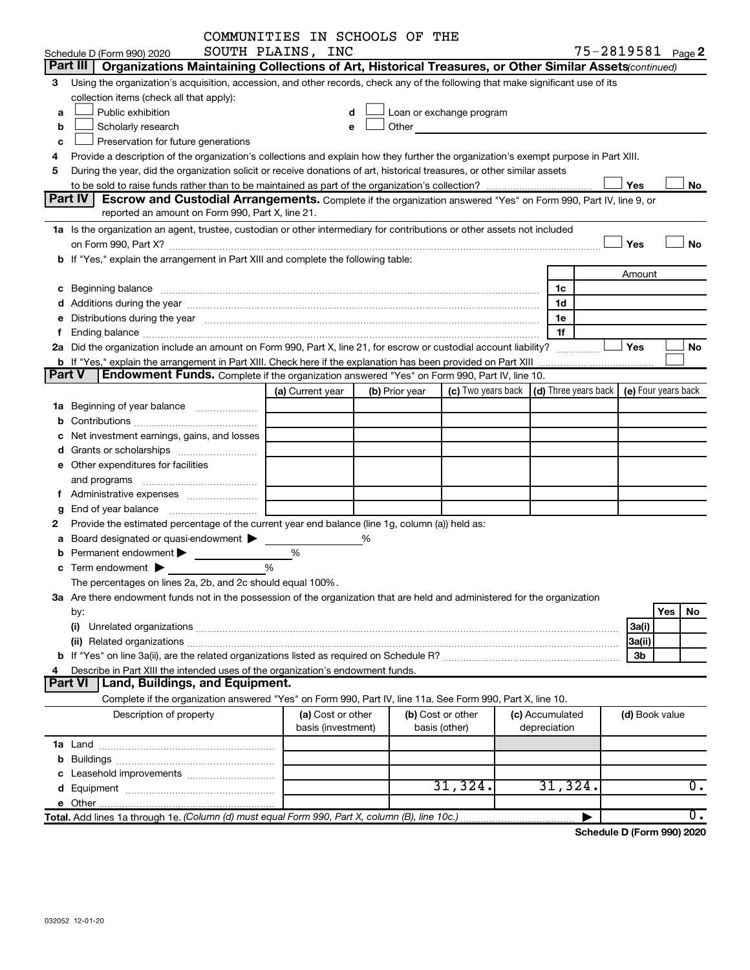|        |                                                                                                                                                                                                                                | COMMUNITIES IN SCHOOLS OF THE |   |                |                                                                                                                                                                                                                                |                                                                             |                   |     |                  |
|--------|--------------------------------------------------------------------------------------------------------------------------------------------------------------------------------------------------------------------------------|-------------------------------|---|----------------|--------------------------------------------------------------------------------------------------------------------------------------------------------------------------------------------------------------------------------|-----------------------------------------------------------------------------|-------------------|-----|------------------|
|        | Schedule D (Form 990) 2020                                                                                                                                                                                                     | SOUTH PLAINS, INC             |   |                |                                                                                                                                                                                                                                |                                                                             | 75-2819581 Page 2 |     |                  |
|        | Part III<br>Organizations Maintaining Collections of Art, Historical Treasures, or Other Similar Assets (continued)                                                                                                            |                               |   |                |                                                                                                                                                                                                                                |                                                                             |                   |     |                  |
| 3      | Using the organization's acquisition, accession, and other records, check any of the following that make significant use of its                                                                                                |                               |   |                |                                                                                                                                                                                                                                |                                                                             |                   |     |                  |
|        | collection items (check all that apply):                                                                                                                                                                                       |                               |   |                |                                                                                                                                                                                                                                |                                                                             |                   |     |                  |
| a      | Public exhibition                                                                                                                                                                                                              |                               | d |                | Loan or exchange program                                                                                                                                                                                                       |                                                                             |                   |     |                  |
| b      | Scholarly research                                                                                                                                                                                                             |                               | e |                | Other and the control of the control of the control of the control of the control of the control of the control of the control of the control of the control of the control of the control of the control of the control of th |                                                                             |                   |     |                  |
| c      | Preservation for future generations                                                                                                                                                                                            |                               |   |                |                                                                                                                                                                                                                                |                                                                             |                   |     |                  |
| 4      | Provide a description of the organization's collections and explain how they further the organization's exempt purpose in Part XIII.                                                                                           |                               |   |                |                                                                                                                                                                                                                                |                                                                             |                   |     |                  |
| 5      | During the year, did the organization solicit or receive donations of art, historical treasures, or other similar assets                                                                                                       |                               |   |                |                                                                                                                                                                                                                                |                                                                             |                   |     |                  |
|        |                                                                                                                                                                                                                                |                               |   |                |                                                                                                                                                                                                                                |                                                                             | Yes               |     | No               |
|        | Part IV<br>Escrow and Custodial Arrangements. Complete if the organization answered "Yes" on Form 990, Part IV, line 9, or                                                                                                     |                               |   |                |                                                                                                                                                                                                                                |                                                                             |                   |     |                  |
|        | reported an amount on Form 990, Part X, line 21.                                                                                                                                                                               |                               |   |                |                                                                                                                                                                                                                                |                                                                             |                   |     |                  |
|        | 1a Is the organization an agent, trustee, custodian or other intermediary for contributions or other assets not included                                                                                                       |                               |   |                |                                                                                                                                                                                                                                |                                                                             |                   |     |                  |
|        | on Form 990, Part X? [11] matter and the contract of the contract of the contract of the contract of the contract of the contract of the contract of the contract of the contract of the contract of the contract of the contr |                               |   |                |                                                                                                                                                                                                                                |                                                                             | Yes               |     | <b>No</b>        |
|        | b If "Yes," explain the arrangement in Part XIII and complete the following table:                                                                                                                                             |                               |   |                |                                                                                                                                                                                                                                |                                                                             |                   |     |                  |
|        |                                                                                                                                                                                                                                |                               |   |                |                                                                                                                                                                                                                                |                                                                             | Amount            |     |                  |
|        |                                                                                                                                                                                                                                |                               |   |                |                                                                                                                                                                                                                                | 1c                                                                          |                   |     |                  |
|        |                                                                                                                                                                                                                                |                               |   |                |                                                                                                                                                                                                                                | 1d                                                                          |                   |     |                  |
|        | e Distributions during the year manufactured and an account of the year manufactured and account of the year manufactured and account of the USA of the Distributions during the year                                          |                               |   |                |                                                                                                                                                                                                                                | 1e                                                                          |                   |     |                  |
|        | Ending balance <i>www.communicality.communicality.communicality.communicality.communicality.communicality.com</i>                                                                                                              |                               |   |                |                                                                                                                                                                                                                                | 1f                                                                          |                   |     |                  |
|        | 2a Did the organization include an amount on Form 990, Part X, line 21, for escrow or custodial account liability?                                                                                                             |                               |   |                |                                                                                                                                                                                                                                |                                                                             | Yes               |     | No               |
|        |                                                                                                                                                                                                                                |                               |   |                |                                                                                                                                                                                                                                |                                                                             |                   |     |                  |
| Part V | Endowment Funds. Complete if the organization answered "Yes" on Form 990, Part IV, line 10.                                                                                                                                    |                               |   |                |                                                                                                                                                                                                                                |                                                                             |                   |     |                  |
|        |                                                                                                                                                                                                                                | (a) Current year              |   | (b) Prior year |                                                                                                                                                                                                                                | (c) Two years back $\vert$ (d) Three years back $\vert$ (e) Four years back |                   |     |                  |
|        | 1a Beginning of year balance                                                                                                                                                                                                   |                               |   |                |                                                                                                                                                                                                                                |                                                                             |                   |     |                  |
| b      |                                                                                                                                                                                                                                |                               |   |                |                                                                                                                                                                                                                                |                                                                             |                   |     |                  |
|        | Net investment earnings, gains, and losses                                                                                                                                                                                     |                               |   |                |                                                                                                                                                                                                                                |                                                                             |                   |     |                  |
|        |                                                                                                                                                                                                                                |                               |   |                |                                                                                                                                                                                                                                |                                                                             |                   |     |                  |
|        | e Other expenditures for facilities                                                                                                                                                                                            |                               |   |                |                                                                                                                                                                                                                                |                                                                             |                   |     |                  |
|        | and programs                                                                                                                                                                                                                   |                               |   |                |                                                                                                                                                                                                                                |                                                                             |                   |     |                  |
| Ť.     |                                                                                                                                                                                                                                |                               |   |                |                                                                                                                                                                                                                                |                                                                             |                   |     |                  |
| g      | End of year balance                                                                                                                                                                                                            |                               |   |                |                                                                                                                                                                                                                                |                                                                             |                   |     |                  |
| 2      | Provide the estimated percentage of the current year end balance (line 1g, column (a)) held as:                                                                                                                                |                               |   |                |                                                                                                                                                                                                                                |                                                                             |                   |     |                  |
| а      | Board designated or quasi-endowment                                                                                                                                                                                            |                               | % |                |                                                                                                                                                                                                                                |                                                                             |                   |     |                  |
| b      | Permanent endowment                                                                                                                                                                                                            | %                             |   |                |                                                                                                                                                                                                                                |                                                                             |                   |     |                  |
|        | Term endowment $\blacktriangleright$                                                                                                                                                                                           | %                             |   |                |                                                                                                                                                                                                                                |                                                                             |                   |     |                  |
|        | The percentages on lines 2a, 2b, and 2c should equal 100%.                                                                                                                                                                     |                               |   |                |                                                                                                                                                                                                                                |                                                                             |                   |     |                  |
|        | 3a Are there endowment funds not in the possession of the organization that are held and administered for the organization                                                                                                     |                               |   |                |                                                                                                                                                                                                                                |                                                                             |                   |     |                  |
|        | by:                                                                                                                                                                                                                            |                               |   |                |                                                                                                                                                                                                                                |                                                                             |                   | Yes | No               |
|        |                                                                                                                                                                                                                                |                               |   |                |                                                                                                                                                                                                                                |                                                                             | 3a(i)             |     |                  |
|        |                                                                                                                                                                                                                                |                               |   |                |                                                                                                                                                                                                                                |                                                                             | 3a(ii)            |     |                  |
|        |                                                                                                                                                                                                                                |                               |   |                |                                                                                                                                                                                                                                |                                                                             | 3 <sub>b</sub>    |     |                  |
|        | Describe in Part XIII the intended uses of the organization's endowment funds.                                                                                                                                                 |                               |   |                |                                                                                                                                                                                                                                |                                                                             |                   |     |                  |
|        | Part VI<br>Land, Buildings, and Equipment.                                                                                                                                                                                     |                               |   |                |                                                                                                                                                                                                                                |                                                                             |                   |     |                  |
|        | Complete if the organization answered "Yes" on Form 990, Part IV, line 11a. See Form 990, Part X, line 10.                                                                                                                     |                               |   |                |                                                                                                                                                                                                                                |                                                                             |                   |     |                  |
|        | Description of property                                                                                                                                                                                                        | (a) Cost or other             |   |                | (b) Cost or other                                                                                                                                                                                                              | (c) Accumulated                                                             | (d) Book value    |     |                  |
|        |                                                                                                                                                                                                                                | basis (investment)            |   |                | basis (other)                                                                                                                                                                                                                  | depreciation                                                                |                   |     |                  |
|        |                                                                                                                                                                                                                                |                               |   |                |                                                                                                                                                                                                                                |                                                                             |                   |     |                  |
|        |                                                                                                                                                                                                                                |                               |   |                |                                                                                                                                                                                                                                |                                                                             |                   |     |                  |
|        |                                                                                                                                                                                                                                |                               |   |                |                                                                                                                                                                                                                                |                                                                             |                   |     |                  |
|        |                                                                                                                                                                                                                                |                               |   |                | 31,324.                                                                                                                                                                                                                        | 31,324.                                                                     |                   |     | $\overline{0}$ . |
|        |                                                                                                                                                                                                                                |                               |   |                |                                                                                                                                                                                                                                |                                                                             |                   |     |                  |
|        |                                                                                                                                                                                                                                |                               |   |                |                                                                                                                                                                                                                                |                                                                             |                   |     | $\overline{0}$ . |

**Schedule D (Form 990) 2020**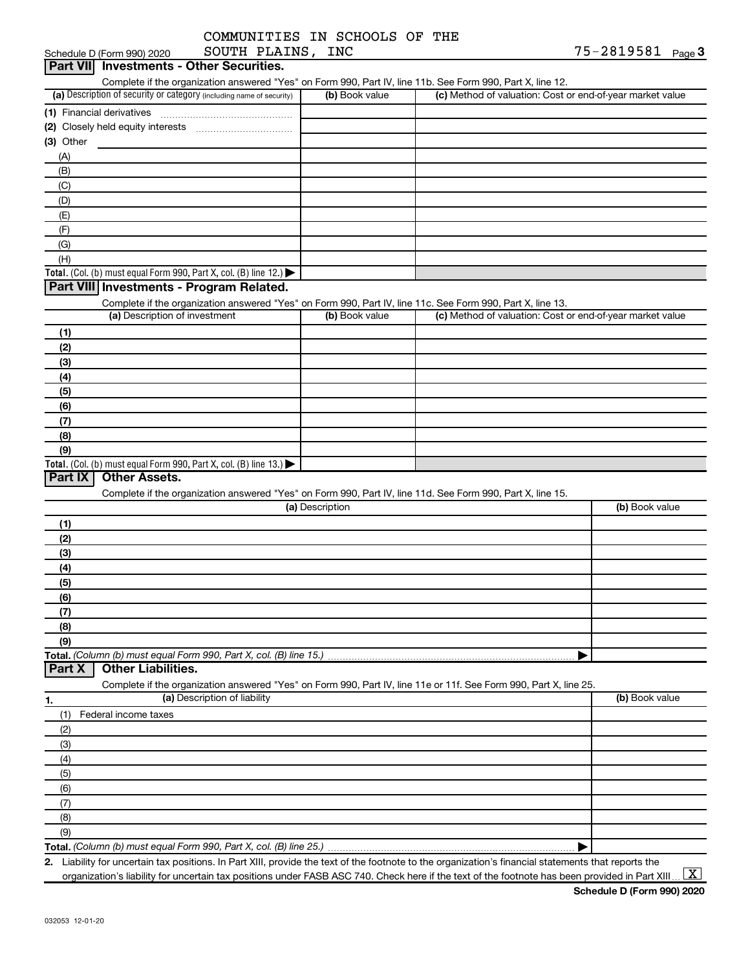| COMMUNITIES IN SCHOOLS OF THE |  |  |
|-------------------------------|--|--|
| -------- ------               |  |  |

|                 | SOUTH PLAINS, INC<br>Schedule D (Form 990) 2020                                                                   |                 |                                                           | 75-2819581 Page 3 |
|-----------------|-------------------------------------------------------------------------------------------------------------------|-----------------|-----------------------------------------------------------|-------------------|
| <b>Part VII</b> | <b>Investments - Other Securities.</b>                                                                            |                 |                                                           |                   |
|                 | Complete if the organization answered "Yes" on Form 990, Part IV, line 11b. See Form 990, Part X, line 12.        |                 |                                                           |                   |
|                 | (a) Description of security or category (including name of security)                                              | (b) Book value  | (c) Method of valuation: Cost or end-of-year market value |                   |
|                 | (1) Financial derivatives                                                                                         |                 |                                                           |                   |
|                 |                                                                                                                   |                 |                                                           |                   |
| $(3)$ Other     |                                                                                                                   |                 |                                                           |                   |
| (A)             |                                                                                                                   |                 |                                                           |                   |
| (B)             |                                                                                                                   |                 |                                                           |                   |
| (C)             |                                                                                                                   |                 |                                                           |                   |
| (D)             |                                                                                                                   |                 |                                                           |                   |
| (E)             |                                                                                                                   |                 |                                                           |                   |
| (F)             |                                                                                                                   |                 |                                                           |                   |
| (G)             |                                                                                                                   |                 |                                                           |                   |
| (H)             |                                                                                                                   |                 |                                                           |                   |
|                 | Total. (Col. (b) must equal Form 990, Part X, col. (B) line 12.)                                                  |                 |                                                           |                   |
|                 | Part VIII Investments - Program Related.                                                                          |                 |                                                           |                   |
|                 | Complete if the organization answered "Yes" on Form 990, Part IV, line 11c. See Form 990, Part X, line 13.        |                 |                                                           |                   |
|                 | (a) Description of investment                                                                                     | (b) Book value  | (c) Method of valuation: Cost or end-of-year market value |                   |
| (1)             |                                                                                                                   |                 |                                                           |                   |
| (2)             |                                                                                                                   |                 |                                                           |                   |
| (3)             |                                                                                                                   |                 |                                                           |                   |
|                 |                                                                                                                   |                 |                                                           |                   |
| (4)             |                                                                                                                   |                 |                                                           |                   |
| (5)             |                                                                                                                   |                 |                                                           |                   |
| (6)             |                                                                                                                   |                 |                                                           |                   |
| (7)             |                                                                                                                   |                 |                                                           |                   |
| (8)             |                                                                                                                   |                 |                                                           |                   |
| (9)             |                                                                                                                   |                 |                                                           |                   |
| <b>Part IX</b>  | Total. (Col. (b) must equal Form 990, Part X, col. (B) line 13.)<br><b>Other Assets.</b>                          |                 |                                                           |                   |
|                 |                                                                                                                   |                 |                                                           |                   |
|                 | Complete if the organization answered "Yes" on Form 990, Part IV, line 11d. See Form 990, Part X, line 15.        | (a) Description |                                                           | (b) Book value    |
|                 |                                                                                                                   |                 |                                                           |                   |
| (1)             |                                                                                                                   |                 |                                                           |                   |
| (2)             |                                                                                                                   |                 |                                                           |                   |
| (3)             |                                                                                                                   |                 |                                                           |                   |
| (4)             |                                                                                                                   |                 |                                                           |                   |
| (5)             |                                                                                                                   |                 |                                                           |                   |
| (6)             |                                                                                                                   |                 |                                                           |                   |
| (7)             |                                                                                                                   |                 |                                                           |                   |
| (8)             |                                                                                                                   |                 |                                                           |                   |
| (9)             |                                                                                                                   |                 |                                                           |                   |
|                 | Total. (Column (b) must equal Form 990, Part X, col. (B) line 15.)                                                |                 |                                                           |                   |
| <b>Part X</b>   | <b>Other Liabilities.</b>                                                                                         |                 |                                                           |                   |
|                 | Complete if the organization answered "Yes" on Form 990, Part IV, line 11e or 11f. See Form 990, Part X, line 25. |                 |                                                           |                   |
| 1.              | (a) Description of liability                                                                                      |                 |                                                           | (b) Book value    |
| (1)             | Federal income taxes                                                                                              |                 |                                                           |                   |
| (2)             |                                                                                                                   |                 |                                                           |                   |
| (3)             |                                                                                                                   |                 |                                                           |                   |
| (4)             |                                                                                                                   |                 |                                                           |                   |
| (5)             |                                                                                                                   |                 |                                                           |                   |
| (6)             |                                                                                                                   |                 |                                                           |                   |
| (7)             |                                                                                                                   |                 |                                                           |                   |
| (8)             |                                                                                                                   |                 |                                                           |                   |
| (9)             |                                                                                                                   |                 |                                                           |                   |
|                 | Total. (Column (b) must equal Form 990, Part X, col. (B) line 25.).                                               |                 |                                                           |                   |

**2.** Liability for uncertain tax positions. In Part XIII, provide the text of the footnote to the organization's financial statements that reports the organization's liability for uncertain tax positions under FASB ASC 740. Check here if the text of the footnote has been provided in Part XIII ...  $\fbox{\bf X}$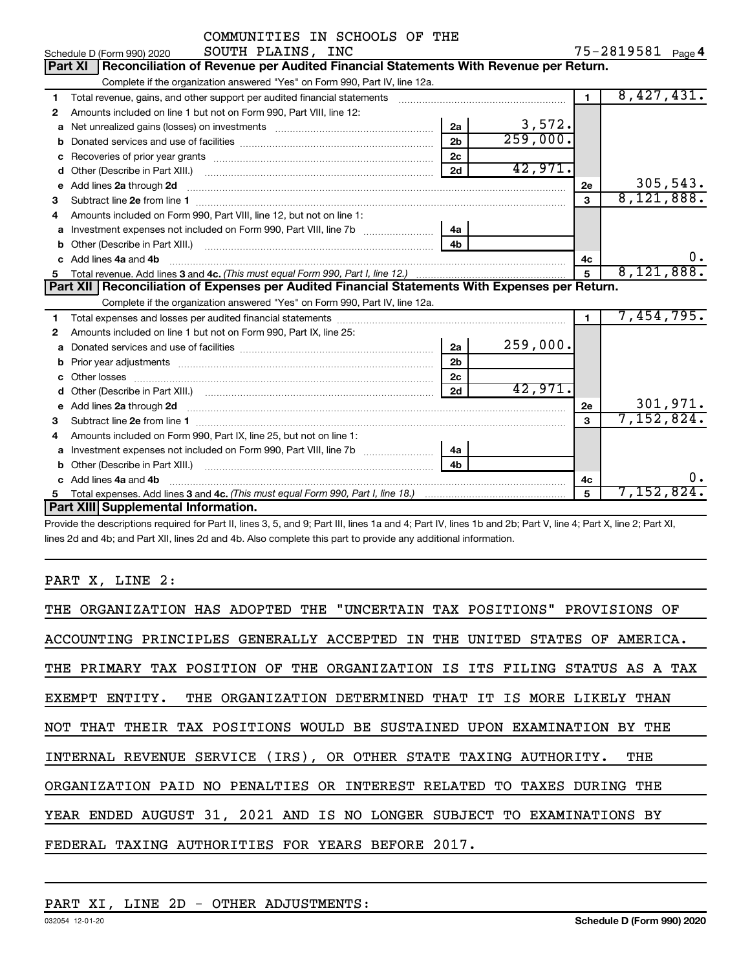|              | COMMUNITIES IN SCHOOLS OF THE                                                                                                                                                                                                  |                |          |                |                   |          |
|--------------|--------------------------------------------------------------------------------------------------------------------------------------------------------------------------------------------------------------------------------|----------------|----------|----------------|-------------------|----------|
|              | SOUTH PLAINS, INC<br>Schedule D (Form 990) 2020                                                                                                                                                                                |                |          |                | 75-2819581 Page 4 |          |
|              | Reconciliation of Revenue per Audited Financial Statements With Revenue per Return.<br><b>Part XI</b>                                                                                                                          |                |          |                |                   |          |
|              | Complete if the organization answered "Yes" on Form 990, Part IV, line 12a.                                                                                                                                                    |                |          |                |                   |          |
| 1            | Total revenue, gains, and other support per audited financial statements [111] [11] Total revenue, gains, and other support per audited financial statements                                                                   |                |          | $\overline{1}$ | 8,427,431.        |          |
| $\mathbf{2}$ | Amounts included on line 1 but not on Form 990, Part VIII, line 12:                                                                                                                                                            |                |          |                |                   |          |
| a            | Net unrealized gains (losses) on investments [111] [12] matter was uncontracted and was alleged and was uncontrolled to the uncontrolled and was uncontrolled and was uncontrolled and was uncontrolled and was uncontrolled a | 2a             | 3,572.   |                |                   |          |
| b            |                                                                                                                                                                                                                                | 2 <sub>b</sub> | 259,000. |                |                   |          |
| c            |                                                                                                                                                                                                                                | 2 <sub>c</sub> |          |                |                   |          |
| d            |                                                                                                                                                                                                                                | 2d             | 42,971.  |                |                   |          |
| e            | Add lines 2a through 2d                                                                                                                                                                                                        |                |          | 2е             |                   | 305,543. |
| 3            |                                                                                                                                                                                                                                |                |          | $\mathbf{a}$   | 8,121,888.        |          |
| 4            | Amounts included on Form 990, Part VIII, line 12, but not on line 1:                                                                                                                                                           |                |          |                |                   |          |
| a            |                                                                                                                                                                                                                                | 4a             |          |                |                   |          |
|              |                                                                                                                                                                                                                                | 4h             |          |                |                   |          |
|              | Add lines 4a and 4b                                                                                                                                                                                                            |                |          | 4c             |                   | 0.       |
| 5            |                                                                                                                                                                                                                                |                |          | $\overline{5}$ | 8,121,888.        |          |
|              | Part XII Reconciliation of Expenses per Audited Financial Statements With Expenses per Return.                                                                                                                                 |                |          |                |                   |          |
|              | Complete if the organization answered "Yes" on Form 990, Part IV, line 12a.                                                                                                                                                    |                |          |                |                   |          |
| 1            |                                                                                                                                                                                                                                |                |          | $\mathbf{1}$   | 7,454,795.        |          |
| 2            | Amounts included on line 1 but not on Form 990, Part IX, line 25:                                                                                                                                                              |                |          |                |                   |          |
| a            |                                                                                                                                                                                                                                | 2a             | 259,000. |                |                   |          |
|              |                                                                                                                                                                                                                                | 2 <sub>b</sub> |          |                |                   |          |
|              |                                                                                                                                                                                                                                | 2 <sub>c</sub> |          |                |                   |          |
| d            |                                                                                                                                                                                                                                | 2d             | 42,971.  |                |                   |          |
| e            | Add lines 2a through 2d <b>continuum contract and all and all and all and all and all and all and all and all and a</b>                                                                                                        |                |          | 2e             |                   | 301,971. |
| 3            |                                                                                                                                                                                                                                |                |          | $\mathbf{a}$   | 7,152,824.        |          |
| 4            | Amounts included on Form 990, Part IX, line 25, but not on line 1:                                                                                                                                                             |                |          |                |                   |          |
| a            |                                                                                                                                                                                                                                | 4a             |          |                |                   |          |
|              | Other (Describe in Part XIII.) <b>Construction Contract Construction</b> Chemistry Chemistry Chemistry Chemistry Chemistry                                                                                                     | 4 <sub>h</sub> |          |                |                   |          |
|              | Add lines 4a and 4b                                                                                                                                                                                                            |                |          | 4с             |                   | 0.       |
| 5            |                                                                                                                                                                                                                                |                |          | 5              | 7,152,824.        |          |
|              | Part XIII Supplemental Information.                                                                                                                                                                                            |                |          |                |                   |          |

Provide the descriptions required for Part II, lines 3, 5, and 9; Part III, lines 1a and 4; Part IV, lines 1b and 2b; Part V, line 4; Part X, line 2; Part XI, lines 2d and 4b; and Part XII, lines 2d and 4b. Also complete this part to provide any additional information.

#### PART X, LINE 2:

| THE ORGANIZATION HAS ADOPTED THE "UNCERTAIN TAX POSITIONS" PROVISIONS OF   |
|----------------------------------------------------------------------------|
| ACCOUNTING PRINCIPLES GENERALLY ACCEPTED IN THE UNITED STATES OF AMERICA.  |
| THE PRIMARY TAX POSITION OF THE ORGANIZATION IS ITS FILING STATUS AS A TAX |
| EXEMPT ENTITY. THE ORGANIZATION DETERMINED THAT IT IS MORE LIKELY THAN     |
| NOT THAT THEIR TAX POSITIONS WOULD BE SUSTAINED UPON EXAMINATION BY THE    |
| INTERNAL REVENUE SERVICE (IRS), OR OTHER STATE TAXING AUTHORITY.<br>THE    |
| ORGANIZATION PAID NO PENALTIES OR INTEREST RELATED TO TAXES DURING THE     |
| YEAR ENDED AUGUST 31, 2021 AND IS NO LONGER SUBJECT TO EXAMINATIONS BY     |
| FEDERAL TAXING AUTHORITIES FOR YEARS BEFORE 2017.                          |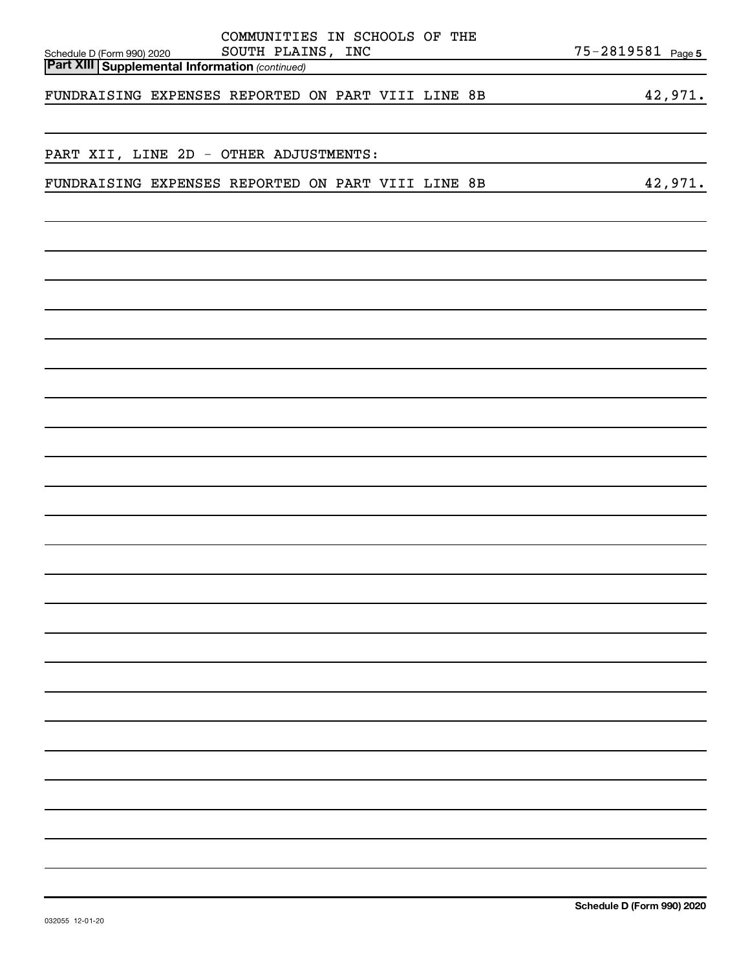| Schedule D (Form 990) 2020<br><b>Part XIII Supplemental Information</b> (continued) | COMMUNITIES IN SCHOOLS OF THE<br>SOUTH PLAINS, INC |  | 75-2819581 Page 5 |
|-------------------------------------------------------------------------------------|----------------------------------------------------|--|-------------------|
|                                                                                     |                                                    |  |                   |
| FUNDRAISING EXPENSES REPORTED ON PART VIII LINE 8B                                  |                                                    |  | 42,971.           |
|                                                                                     |                                                    |  |                   |
|                                                                                     |                                                    |  |                   |
| PART XII, LINE 2D - OTHER ADJUSTMENTS:                                              |                                                    |  |                   |
|                                                                                     |                                                    |  |                   |
| FUNDRAISING EXPENSES REPORTED ON PART VIII LINE 8B                                  |                                                    |  | 42,971.           |
|                                                                                     |                                                    |  |                   |
|                                                                                     |                                                    |  |                   |
|                                                                                     |                                                    |  |                   |
|                                                                                     |                                                    |  |                   |
|                                                                                     |                                                    |  |                   |
|                                                                                     |                                                    |  |                   |
|                                                                                     |                                                    |  |                   |
|                                                                                     |                                                    |  |                   |
|                                                                                     |                                                    |  |                   |
|                                                                                     |                                                    |  |                   |
|                                                                                     |                                                    |  |                   |
|                                                                                     |                                                    |  |                   |
|                                                                                     |                                                    |  |                   |
|                                                                                     |                                                    |  |                   |
|                                                                                     |                                                    |  |                   |
|                                                                                     |                                                    |  |                   |
|                                                                                     |                                                    |  |                   |
|                                                                                     |                                                    |  |                   |
|                                                                                     |                                                    |  |                   |
|                                                                                     |                                                    |  |                   |
|                                                                                     |                                                    |  |                   |
|                                                                                     |                                                    |  |                   |
|                                                                                     |                                                    |  |                   |
|                                                                                     |                                                    |  |                   |
|                                                                                     |                                                    |  |                   |
|                                                                                     |                                                    |  |                   |
|                                                                                     |                                                    |  |                   |
|                                                                                     |                                                    |  |                   |
|                                                                                     |                                                    |  |                   |
|                                                                                     |                                                    |  |                   |
|                                                                                     |                                                    |  |                   |
|                                                                                     |                                                    |  |                   |
|                                                                                     |                                                    |  |                   |
|                                                                                     |                                                    |  |                   |
|                                                                                     |                                                    |  |                   |
|                                                                                     |                                                    |  |                   |
|                                                                                     |                                                    |  |                   |
|                                                                                     |                                                    |  |                   |
|                                                                                     |                                                    |  |                   |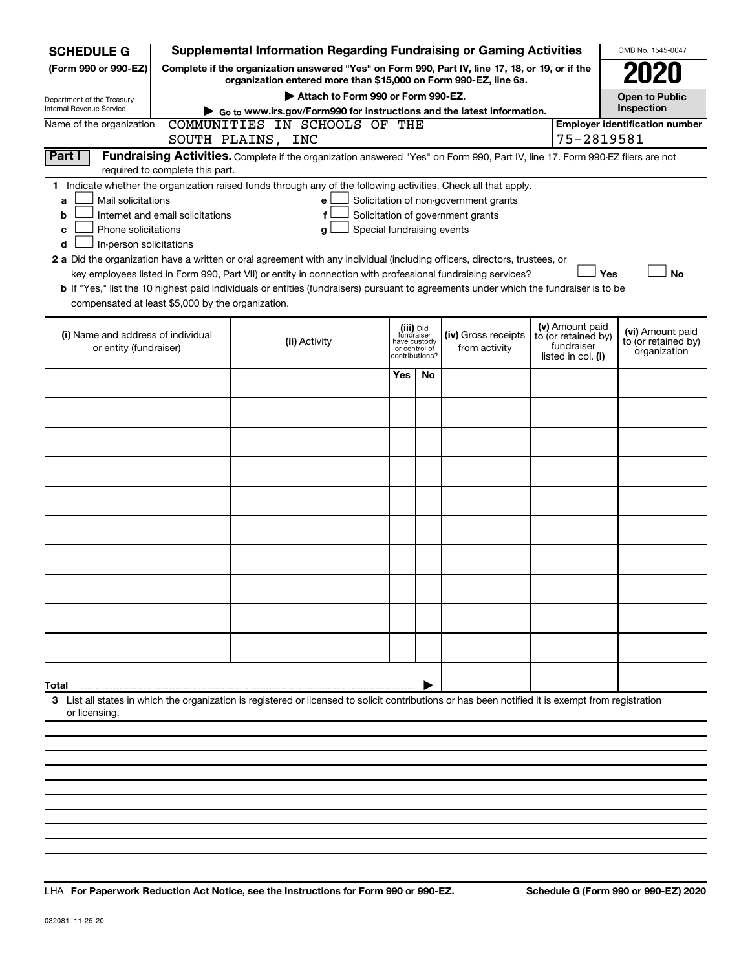| <b>SCHEDULE G</b>                                                                            |                                                                                                                                                                     | <b>Supplemental Information Regarding Fundraising or Gaming Activities</b>                                                                                                                                                                           |                                                                            |    |                                       |                                                                            |                                       | OMB No. 1545-0047                                       |  |
|----------------------------------------------------------------------------------------------|---------------------------------------------------------------------------------------------------------------------------------------------------------------------|------------------------------------------------------------------------------------------------------------------------------------------------------------------------------------------------------------------------------------------------------|----------------------------------------------------------------------------|----|---------------------------------------|----------------------------------------------------------------------------|---------------------------------------|---------------------------------------------------------|--|
| (Form 990 or 990-EZ)                                                                         | Complete if the organization answered "Yes" on Form 990, Part IV, line 17, 18, or 19, or if the<br>organization entered more than \$15,000 on Form 990-EZ, line 6a. |                                                                                                                                                                                                                                                      |                                                                            |    |                                       |                                                                            |                                       |                                                         |  |
| Department of the Treasury                                                                   |                                                                                                                                                                     | Attach to Form 990 or Form 990-EZ.                                                                                                                                                                                                                   |                                                                            |    |                                       |                                                                            |                                       | <b>Open to Public</b>                                   |  |
| <b>Internal Revenue Service</b>                                                              |                                                                                                                                                                     | Go to www.irs.gov/Form990 for instructions and the latest information.                                                                                                                                                                               |                                                                            |    |                                       |                                                                            |                                       | Inspection                                              |  |
| COMMUNITIES IN SCHOOLS OF THE<br>Name of the organization<br>75-2819581<br>SOUTH PLAINS, INC |                                                                                                                                                                     |                                                                                                                                                                                                                                                      |                                                                            |    |                                       |                                                                            | <b>Employer identification number</b> |                                                         |  |
| Part I                                                                                       | required to complete this part.                                                                                                                                     | Fundraising Activities. Complete if the organization answered "Yes" on Form 990, Part IV, line 17. Form 990-EZ filers are not                                                                                                                        |                                                                            |    |                                       |                                                                            |                                       |                                                         |  |
|                                                                                              | 1 Indicate whether the organization raised funds through any of the following activities. Check all that apply.                                                     |                                                                                                                                                                                                                                                      |                                                                            |    |                                       |                                                                            |                                       |                                                         |  |
| Mail solicitations<br>a                                                                      |                                                                                                                                                                     | e                                                                                                                                                                                                                                                    |                                                                            |    | Solicitation of non-government grants |                                                                            |                                       |                                                         |  |
| b<br>Phone solicitations<br>с                                                                | Internet and email solicitations                                                                                                                                    | f<br>Special fundraising events<br>g                                                                                                                                                                                                                 |                                                                            |    | Solicitation of government grants     |                                                                            |                                       |                                                         |  |
| In-person solicitations<br>d                                                                 |                                                                                                                                                                     |                                                                                                                                                                                                                                                      |                                                                            |    |                                       |                                                                            |                                       |                                                         |  |
|                                                                                              |                                                                                                                                                                     | 2 a Did the organization have a written or oral agreement with any individual (including officers, directors, trustees, or                                                                                                                           |                                                                            |    |                                       |                                                                            |                                       |                                                         |  |
|                                                                                              |                                                                                                                                                                     | key employees listed in Form 990, Part VII) or entity in connection with professional fundraising services?<br>b If "Yes," list the 10 highest paid individuals or entities (fundraisers) pursuant to agreements under which the fundraiser is to be |                                                                            |    |                                       |                                                                            | Yes                                   | <b>No</b>                                               |  |
| compensated at least \$5,000 by the organization.                                            |                                                                                                                                                                     |                                                                                                                                                                                                                                                      |                                                                            |    |                                       |                                                                            |                                       |                                                         |  |
| (i) Name and address of individual<br>or entity (fundraiser)                                 |                                                                                                                                                                     | (ii) Activity                                                                                                                                                                                                                                        | (iii) Did<br>fundraiser<br>have custody<br>or control of<br>contributions? |    | (iv) Gross receipts<br>from activity  | (v) Amount paid<br>to (or retained by)<br>fundraiser<br>listed in col. (i) |                                       | (vi) Amount paid<br>to (or retained by)<br>organization |  |
|                                                                                              |                                                                                                                                                                     |                                                                                                                                                                                                                                                      | Yes                                                                        | No |                                       |                                                                            |                                       |                                                         |  |
|                                                                                              |                                                                                                                                                                     |                                                                                                                                                                                                                                                      |                                                                            |    |                                       |                                                                            |                                       |                                                         |  |
|                                                                                              |                                                                                                                                                                     |                                                                                                                                                                                                                                                      |                                                                            |    |                                       |                                                                            |                                       |                                                         |  |
|                                                                                              |                                                                                                                                                                     |                                                                                                                                                                                                                                                      |                                                                            |    |                                       |                                                                            |                                       |                                                         |  |
|                                                                                              |                                                                                                                                                                     |                                                                                                                                                                                                                                                      |                                                                            |    |                                       |                                                                            |                                       |                                                         |  |
|                                                                                              |                                                                                                                                                                     |                                                                                                                                                                                                                                                      |                                                                            |    |                                       |                                                                            |                                       |                                                         |  |
|                                                                                              |                                                                                                                                                                     |                                                                                                                                                                                                                                                      |                                                                            |    |                                       |                                                                            |                                       |                                                         |  |
|                                                                                              |                                                                                                                                                                     |                                                                                                                                                                                                                                                      |                                                                            |    |                                       |                                                                            |                                       |                                                         |  |
|                                                                                              |                                                                                                                                                                     |                                                                                                                                                                                                                                                      |                                                                            |    |                                       |                                                                            |                                       |                                                         |  |
|                                                                                              |                                                                                                                                                                     |                                                                                                                                                                                                                                                      |                                                                            |    |                                       |                                                                            |                                       |                                                         |  |
|                                                                                              |                                                                                                                                                                     |                                                                                                                                                                                                                                                      |                                                                            |    |                                       |                                                                            |                                       |                                                         |  |
|                                                                                              |                                                                                                                                                                     |                                                                                                                                                                                                                                                      |                                                                            |    |                                       |                                                                            |                                       |                                                         |  |
| Total                                                                                        |                                                                                                                                                                     |                                                                                                                                                                                                                                                      |                                                                            |    |                                       |                                                                            |                                       |                                                         |  |
| or licensing                                                                                 |                                                                                                                                                                     | 3 List all states in which the organization is registered or licensed to solicit contributions or has been notified it is exempt from registration                                                                                                   |                                                                            |    |                                       |                                                                            |                                       |                                                         |  |
|                                                                                              |                                                                                                                                                                     |                                                                                                                                                                                                                                                      |                                                                            |    |                                       |                                                                            |                                       |                                                         |  |
|                                                                                              |                                                                                                                                                                     |                                                                                                                                                                                                                                                      |                                                                            |    |                                       |                                                                            |                                       |                                                         |  |

**For Paperwork Reduction Act Notice, see the Instructions for Form 990 or 990-EZ. Schedule G (Form 990 or 990-EZ) 2020** LHA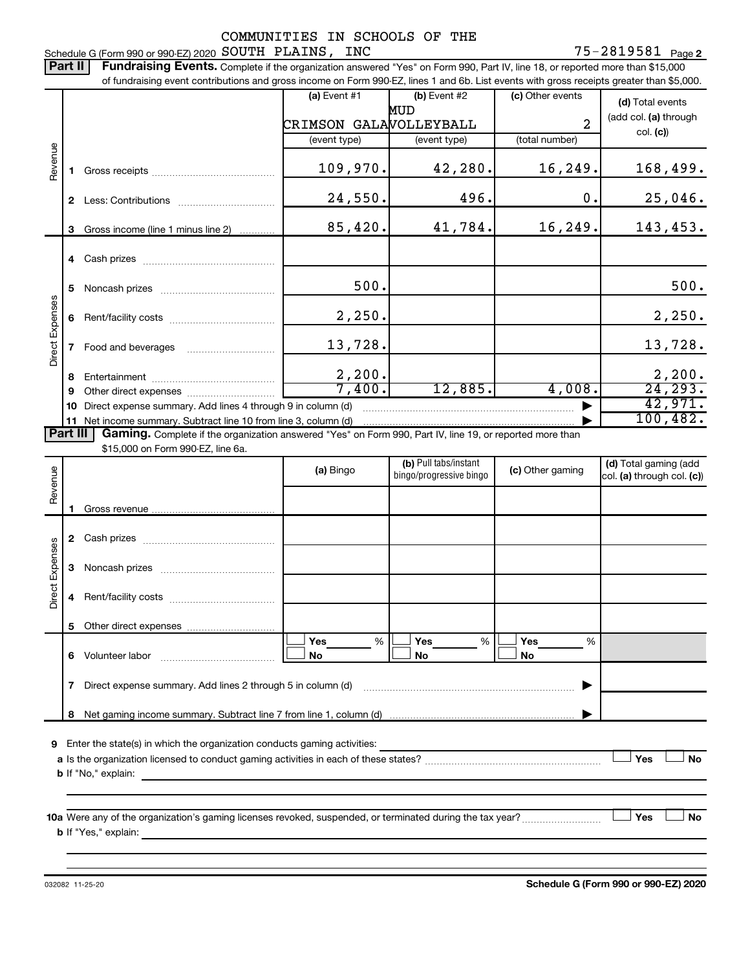75-2819581 Page 2 Schedule G (Form 990 or 990-EZ) 2020 Page SOUTH PLAINS, INC 75-2819581

Part II | Fundraising Events. Complete if the organization answered "Yes" on Form 990, Part IV, line 18, or reported more than \$15,000

|                 |    | of fundraising event contributions and gross income on Form 990-EZ, lines 1 and 6b. List events with gross receipts greater than \$5,000. |                        |                                                  |                  |                            |
|-----------------|----|-------------------------------------------------------------------------------------------------------------------------------------------|------------------------|--------------------------------------------------|------------------|----------------------------|
|                 |    |                                                                                                                                           | $(a)$ Event #1         | $(b)$ Event #2                                   | (c) Other events | (d) Total events           |
|                 |    |                                                                                                                                           |                        | MUD                                              |                  | (add col. (a) through      |
|                 |    |                                                                                                                                           | CRIMSON GALAVOLLEYBALL |                                                  | $\overline{2}$   | col. (c)                   |
|                 |    |                                                                                                                                           | (event type)           | (event type)                                     | (total number)   |                            |
| Revenue         |    |                                                                                                                                           |                        |                                                  |                  |                            |
|                 | 1. |                                                                                                                                           | 109,970.               | 42,280.                                          | 16,249.          | 168,499.                   |
|                 |    |                                                                                                                                           |                        |                                                  |                  |                            |
|                 |    |                                                                                                                                           | 24,550.                | 496.                                             | $\mathbf 0$ .    | 25,046.                    |
|                 |    |                                                                                                                                           |                        |                                                  |                  |                            |
|                 | 3  | Gross income (line 1 minus line 2)                                                                                                        | 85,420.                | 41,784.                                          | 16, 249.         | 143,453.                   |
|                 |    |                                                                                                                                           |                        |                                                  |                  |                            |
|                 |    |                                                                                                                                           |                        |                                                  |                  |                            |
|                 |    |                                                                                                                                           |                        |                                                  |                  |                            |
|                 | 5  |                                                                                                                                           | 500.                   |                                                  |                  | 500.                       |
|                 |    |                                                                                                                                           |                        |                                                  |                  |                            |
|                 | 6  |                                                                                                                                           | 2,250.                 |                                                  |                  | 2,250.                     |
| Direct Expenses |    |                                                                                                                                           |                        |                                                  |                  |                            |
|                 | 7  | Food and beverages                                                                                                                        | 13,728.                |                                                  |                  | 13,728.                    |
|                 |    |                                                                                                                                           |                        |                                                  |                  |                            |
|                 | 8  |                                                                                                                                           | $\frac{2,200}{7,400}$  |                                                  |                  | 2,200.                     |
|                 | 9  |                                                                                                                                           |                        | 12,885.                                          | 4,008.           | 24, 293.                   |
|                 | 10 | Direct expense summary. Add lines 4 through 9 in column (d)                                                                               |                        |                                                  |                  | 42,971.                    |
|                 |    | 11 Net income summary. Subtract line 10 from line 3, column (d)                                                                           |                        |                                                  |                  | 100, 482.                  |
| <b>Part III</b> |    | Gaming. Complete if the organization answered "Yes" on Form 990, Part IV, line 19, or reported more than                                  |                        |                                                  |                  |                            |
|                 |    | \$15,000 on Form 990-EZ, line 6a.                                                                                                         |                        |                                                  |                  |                            |
|                 |    |                                                                                                                                           | (a) Bingo              | (b) Pull tabs/instant<br>bingo/progressive bingo | (c) Other gaming | (d) Total gaming (add      |
| Revenue         |    |                                                                                                                                           |                        |                                                  |                  | col. (a) through col. (c)) |
|                 |    |                                                                                                                                           |                        |                                                  |                  |                            |
|                 | 1. |                                                                                                                                           |                        |                                                  |                  |                            |
|                 |    |                                                                                                                                           |                        |                                                  |                  |                            |
|                 |    |                                                                                                                                           |                        |                                                  |                  |                            |
| Direct Expenses |    |                                                                                                                                           |                        |                                                  |                  |                            |
|                 | 3  |                                                                                                                                           |                        |                                                  |                  |                            |
|                 |    |                                                                                                                                           |                        |                                                  |                  |                            |
|                 | 4  |                                                                                                                                           |                        |                                                  |                  |                            |
|                 |    |                                                                                                                                           |                        |                                                  |                  |                            |
|                 |    | 5 Other direct expenses                                                                                                                   |                        |                                                  |                  |                            |
|                 |    |                                                                                                                                           | Yes<br>%               | %<br>Yes                                         | Yes<br>%         |                            |
|                 | 6  | Volunteer labor                                                                                                                           | No                     | No                                               | No               |                            |
|                 |    |                                                                                                                                           |                        |                                                  |                  |                            |
|                 | 7  | Direct expense summary. Add lines 2 through 5 in column (d)                                                                               |                        |                                                  |                  |                            |
|                 |    |                                                                                                                                           |                        |                                                  |                  |                            |
|                 |    |                                                                                                                                           |                        |                                                  |                  |                            |

**9** Enter the state(s) in which the organization conducts gaming activities:

| a Is the organization licensed to conduct gaming activities in each of these states? |  | Yes | No |
|--------------------------------------------------------------------------------------|--|-----|----|
| <b>b</b> If "No." explain:                                                           |  |     |    |

**10 a Yes No** Were any of the organization's gaming licenses revoked, suspended, or terminated during the tax year? ~~~~~~~~~ † † **b** If "Yes," explain: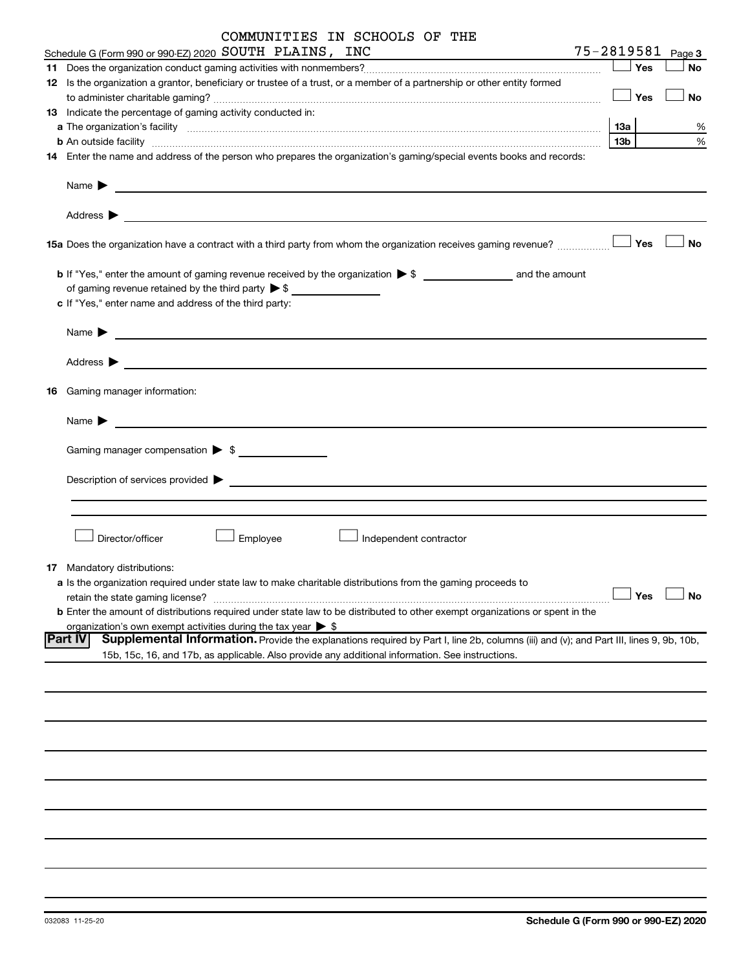| COMMUNITIES IN SCHOOLS OF THE                                                                                                                                                                                                             |                   |           |
|-------------------------------------------------------------------------------------------------------------------------------------------------------------------------------------------------------------------------------------------|-------------------|-----------|
| Schedule G (Form 990 or 990-EZ) 2020 SOUTH PLAINS, INC                                                                                                                                                                                    | 75-2819581 Page 3 |           |
|                                                                                                                                                                                                                                           | Yes               | No        |
| 12 Is the organization a grantor, beneficiary or trustee of a trust, or a member of a partnership or other entity formed                                                                                                                  |                   |           |
|                                                                                                                                                                                                                                           | $\Box$ Yes        | <b>No</b> |
| 13 Indicate the percentage of gaming activity conducted in:                                                                                                                                                                               |                   |           |
|                                                                                                                                                                                                                                           | 1За               | %         |
|                                                                                                                                                                                                                                           | 13 <sub>b</sub>   | %         |
| 14 Enter the name and address of the person who prepares the organization's gaming/special events books and records:                                                                                                                      |                   |           |
| Name ▶ <u>───────────────</u>                                                                                                                                                                                                             |                   |           |
| Address $\blacktriangleright$<br><u> 1989 - Johann Barn, fransk politik (d. 1989)</u>                                                                                                                                                     |                   |           |
|                                                                                                                                                                                                                                           |                   | <b>No</b> |
| of gaming revenue retained by the third party $\triangleright$ \$                                                                                                                                                                         |                   |           |
| c If "Yes," enter name and address of the third party:                                                                                                                                                                                    |                   |           |
|                                                                                                                                                                                                                                           |                   |           |
| Address $\blacktriangleright$                                                                                                                                                                                                             |                   |           |
| 16 Gaming manager information:                                                                                                                                                                                                            |                   |           |
| Name $\blacktriangleright$<br><u> 1980 - John Stein, Amerikaansk politiker (</u>                                                                                                                                                          |                   |           |
|                                                                                                                                                                                                                                           |                   |           |
| Description of services provided <b>by the contract of the contract of the contract of the contract of the contract of the contract of the contract of the contract of the contract of the contract of the contract of the contr</b>      |                   |           |
|                                                                                                                                                                                                                                           |                   |           |
|                                                                                                                                                                                                                                           |                   |           |
| Director/officer<br>Employee<br>Independent contractor                                                                                                                                                                                    |                   |           |
| <b>17</b> Mandatory distributions:                                                                                                                                                                                                        |                   |           |
| a Is the organization required under state law to make charitable distributions from the gaming proceeds to                                                                                                                               |                   |           |
| retain the state gaming license?                                                                                                                                                                                                          | Yes               | No        |
| <b>b</b> Enter the amount of distributions required under state law to be distributed to other exempt organizations or spent in the                                                                                                       |                   |           |
| organization's own exempt activities during the tax year $\triangleright$ \$<br>Supplemental Information. Provide the explanations required by Part I, line 2b, columns (iii) and (v); and Part III, lines 9, 9b, 10b,<br><b>IPart IV</b> |                   |           |
| 15b, 15c, 16, and 17b, as applicable. Also provide any additional information. See instructions.                                                                                                                                          |                   |           |
|                                                                                                                                                                                                                                           |                   |           |
|                                                                                                                                                                                                                                           |                   |           |
|                                                                                                                                                                                                                                           |                   |           |
|                                                                                                                                                                                                                                           |                   |           |
|                                                                                                                                                                                                                                           |                   |           |
|                                                                                                                                                                                                                                           |                   |           |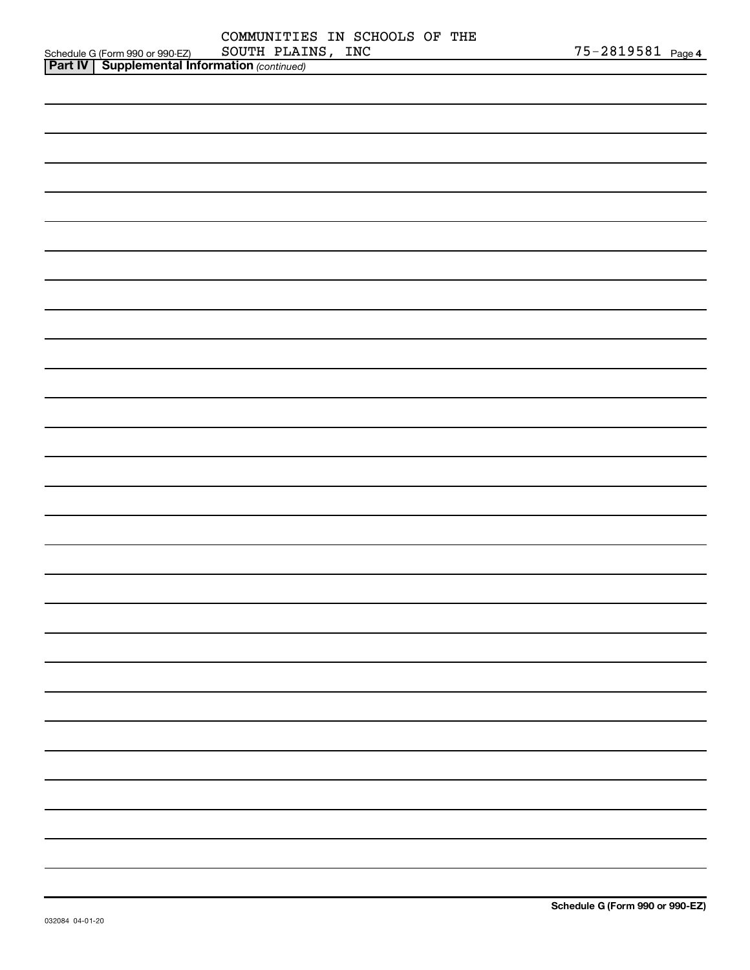| <b>Part IV   Supplemental Information (continued)</b> |                               |                       |
|-------------------------------------------------------|-------------------------------|-----------------------|
| Schedule G (Form 990 or 990-EZ)                       | SOUTH PLAINS, INC             | $75 - 2819581$ Page 4 |
|                                                       | COMMUNITIES IN SCHOOLS OF THE |                       |

| <u></u> | $\mathbf{r}$<br>$\overline{\phantom{a}}$ |  |    |
|---------|------------------------------------------|--|----|
|         |                                          |  |    |
|         |                                          |  |    |
|         |                                          |  |    |
|         |                                          |  |    |
|         |                                          |  |    |
|         |                                          |  |    |
|         |                                          |  |    |
|         |                                          |  |    |
|         |                                          |  |    |
|         |                                          |  |    |
|         |                                          |  |    |
|         |                                          |  |    |
|         |                                          |  |    |
|         |                                          |  |    |
|         |                                          |  |    |
|         |                                          |  |    |
|         |                                          |  |    |
|         |                                          |  |    |
|         |                                          |  |    |
|         |                                          |  |    |
|         |                                          |  |    |
|         |                                          |  | ۰  |
|         |                                          |  | Ĩ. |
|         |                                          |  | Ĩ. |
|         |                                          |  | Ĩ. |
|         |                                          |  | Ĩ. |
|         |                                          |  |    |
|         |                                          |  |    |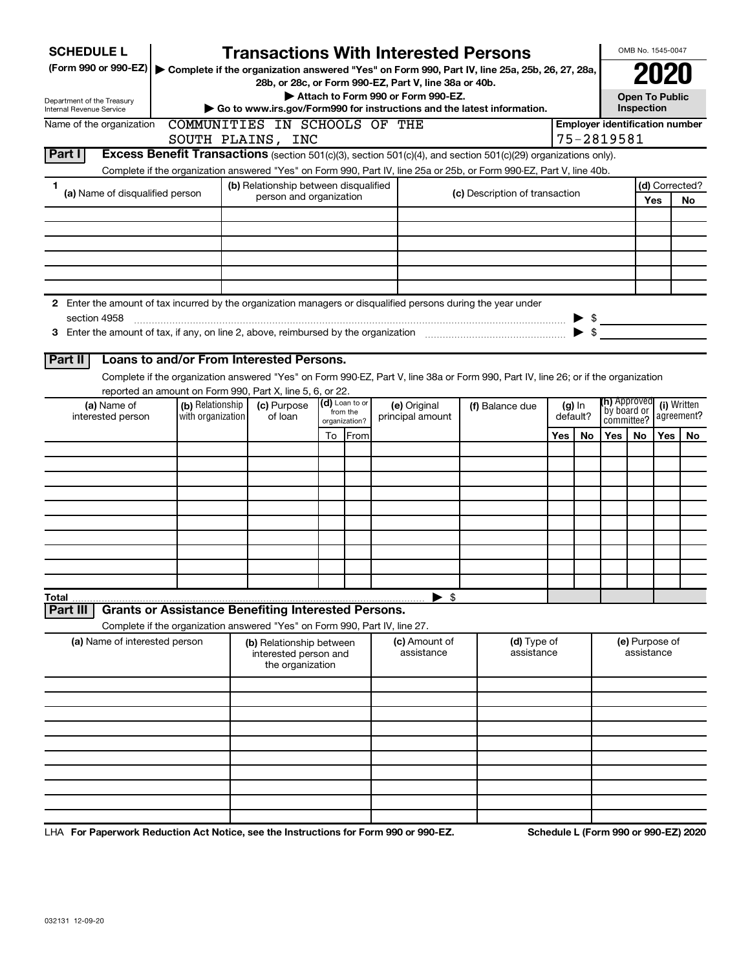| <b>SCHEDULE L</b>                                                                                                                                                                                                                                       | <b>Transactions With Interested Persons</b>                                                   |                           |  |                                  |                                |                                      |    |                                       | OMB No. 1545-0047            |                           |
|---------------------------------------------------------------------------------------------------------------------------------------------------------------------------------------------------------------------------------------------------------|-----------------------------------------------------------------------------------------------|---------------------------|--|----------------------------------|--------------------------------|--------------------------------------|----|---------------------------------------|------------------------------|---------------------------|
| (Form 990 or 990-EZ)                                                                                                                                                                                                                                    | Complete if the organization answered "Yes" on Form 990, Part IV, line 25a, 25b, 26, 27, 28a, |                           |  |                                  |                                |                                      |    |                                       | 2021                         |                           |
| 28b, or 28c, or Form 990-EZ, Part V, line 38a or 40b.<br>Attach to Form 990 or Form 990-EZ.                                                                                                                                                             |                                                                                               |                           |  |                                  |                                |                                      |    |                                       | <b>Open To Public</b>        |                           |
| Department of the Treasury<br>Internal Revenue Service                                                                                                                                                                                                  | Inspection<br>Go to www.irs.gov/Form990 for instructions and the latest information.          |                           |  |                                  |                                |                                      |    |                                       |                              |                           |
| Name of the organization                                                                                                                                                                                                                                | COMMUNITIES IN SCHOOLS OF THE                                                                 |                           |  |                                  |                                |                                      |    | <b>Employer identification number</b> |                              |                           |
|                                                                                                                                                                                                                                                         | SOUTH PLAINS, INC                                                                             |                           |  |                                  |                                |                                      |    | 75-2819581                            |                              |                           |
| <b>Part I</b><br>Excess Benefit Transactions (section 501(c)(3), section 501(c)(4), and section 501(c)(29) organizations only).<br>Complete if the organization answered "Yes" on Form 990, Part IV, line 25a or 25b, or Form 990-EZ, Part V, line 40b. |                                                                                               |                           |  |                                  |                                |                                      |    |                                       |                              |                           |
| 1                                                                                                                                                                                                                                                       | (b) Relationship between disqualified                                                         |                           |  |                                  |                                |                                      |    |                                       |                              | (d) Corrected?            |
| (a) Name of disqualified person                                                                                                                                                                                                                         | person and organization                                                                       |                           |  |                                  | (c) Description of transaction |                                      |    |                                       | Yes                          | No                        |
|                                                                                                                                                                                                                                                         |                                                                                               |                           |  |                                  |                                |                                      |    |                                       |                              |                           |
|                                                                                                                                                                                                                                                         |                                                                                               |                           |  |                                  |                                |                                      |    |                                       |                              |                           |
|                                                                                                                                                                                                                                                         |                                                                                               |                           |  |                                  |                                |                                      |    |                                       |                              |                           |
|                                                                                                                                                                                                                                                         |                                                                                               |                           |  |                                  |                                |                                      |    |                                       |                              |                           |
|                                                                                                                                                                                                                                                         |                                                                                               |                           |  |                                  |                                |                                      |    |                                       |                              |                           |
| 2 Enter the amount of tax incurred by the organization managers or disqualified persons during the year under                                                                                                                                           |                                                                                               |                           |  |                                  |                                |                                      |    |                                       |                              |                           |
| section 4958                                                                                                                                                                                                                                            |                                                                                               |                           |  |                                  |                                |                                      |    | $\triangleright$ \$                   |                              |                           |
|                                                                                                                                                                                                                                                         |                                                                                               |                           |  |                                  |                                |                                      |    | $\blacktriangleright$ \$              |                              |                           |
| Loans to and/or From Interested Persons.<br><b>Part II</b>                                                                                                                                                                                              |                                                                                               |                           |  |                                  |                                |                                      |    |                                       |                              |                           |
| Complete if the organization answered "Yes" on Form 990-EZ, Part V, line 38a or Form 990, Part IV, line 26; or if the organization                                                                                                                      |                                                                                               |                           |  |                                  |                                |                                      |    |                                       |                              |                           |
| reported an amount on Form 990, Part X, line 5, 6, or 22.                                                                                                                                                                                               |                                                                                               | (d) Loan to or            |  |                                  |                                |                                      |    | <b>(h)</b> Approved                   |                              |                           |
| (b) Relationship<br>(a) Name of<br>with organization<br>interested person                                                                                                                                                                               | (c) Purpose<br>of loan                                                                        | from the<br>organization? |  | (e) Original<br>principal amount | (f) Balance due                | $(g)$ In<br>default?                 |    | `by board or<br>committee?            |                              | (i) Written<br>agreement? |
|                                                                                                                                                                                                                                                         |                                                                                               | From<br>To                |  |                                  |                                | Yes                                  | No | Yes<br>No                             | Yes                          | No                        |
|                                                                                                                                                                                                                                                         |                                                                                               |                           |  |                                  |                                |                                      |    |                                       |                              |                           |
|                                                                                                                                                                                                                                                         |                                                                                               |                           |  |                                  |                                |                                      |    |                                       |                              |                           |
|                                                                                                                                                                                                                                                         |                                                                                               |                           |  |                                  |                                |                                      |    |                                       |                              |                           |
|                                                                                                                                                                                                                                                         |                                                                                               |                           |  |                                  |                                |                                      |    |                                       |                              |                           |
|                                                                                                                                                                                                                                                         |                                                                                               |                           |  |                                  |                                |                                      |    |                                       |                              |                           |
|                                                                                                                                                                                                                                                         |                                                                                               |                           |  |                                  |                                |                                      |    |                                       |                              |                           |
|                                                                                                                                                                                                                                                         |                                                                                               |                           |  |                                  |                                |                                      |    |                                       |                              |                           |
|                                                                                                                                                                                                                                                         |                                                                                               |                           |  |                                  |                                |                                      |    |                                       |                              |                           |
| Total                                                                                                                                                                                                                                                   |                                                                                               |                           |  | - \$<br>▶                        |                                |                                      |    |                                       |                              |                           |
| <b>Grants or Assistance Benefiting Interested Persons.</b><br>Part III                                                                                                                                                                                  |                                                                                               |                           |  |                                  |                                |                                      |    |                                       |                              |                           |
| Complete if the organization answered "Yes" on Form 990, Part IV, line 27.                                                                                                                                                                              |                                                                                               |                           |  |                                  |                                |                                      |    |                                       |                              |                           |
| (a) Name of interested person                                                                                                                                                                                                                           | (b) Relationship between<br>interested person and<br>the organization                         |                           |  | (c) Amount of<br>assistance      | (d) Type of<br>assistance      |                                      |    |                                       | (e) Purpose of<br>assistance |                           |
|                                                                                                                                                                                                                                                         |                                                                                               |                           |  |                                  |                                |                                      |    |                                       |                              |                           |
|                                                                                                                                                                                                                                                         |                                                                                               |                           |  |                                  |                                |                                      |    |                                       |                              |                           |
|                                                                                                                                                                                                                                                         |                                                                                               |                           |  |                                  |                                |                                      |    |                                       |                              |                           |
|                                                                                                                                                                                                                                                         |                                                                                               |                           |  |                                  |                                |                                      |    |                                       |                              |                           |
|                                                                                                                                                                                                                                                         |                                                                                               |                           |  |                                  |                                |                                      |    |                                       |                              |                           |
|                                                                                                                                                                                                                                                         |                                                                                               |                           |  |                                  |                                |                                      |    |                                       |                              |                           |
|                                                                                                                                                                                                                                                         |                                                                                               |                           |  |                                  |                                |                                      |    |                                       |                              |                           |
|                                                                                                                                                                                                                                                         |                                                                                               |                           |  |                                  |                                |                                      |    |                                       |                              |                           |
| LHA For Paperwork Reduction Act Notice, see the Instructions for Form 990 or 990-EZ.                                                                                                                                                                    |                                                                                               |                           |  |                                  |                                | Schedule L (Form 990 or 990-EZ) 2020 |    |                                       |                              |                           |

032131 12-09-20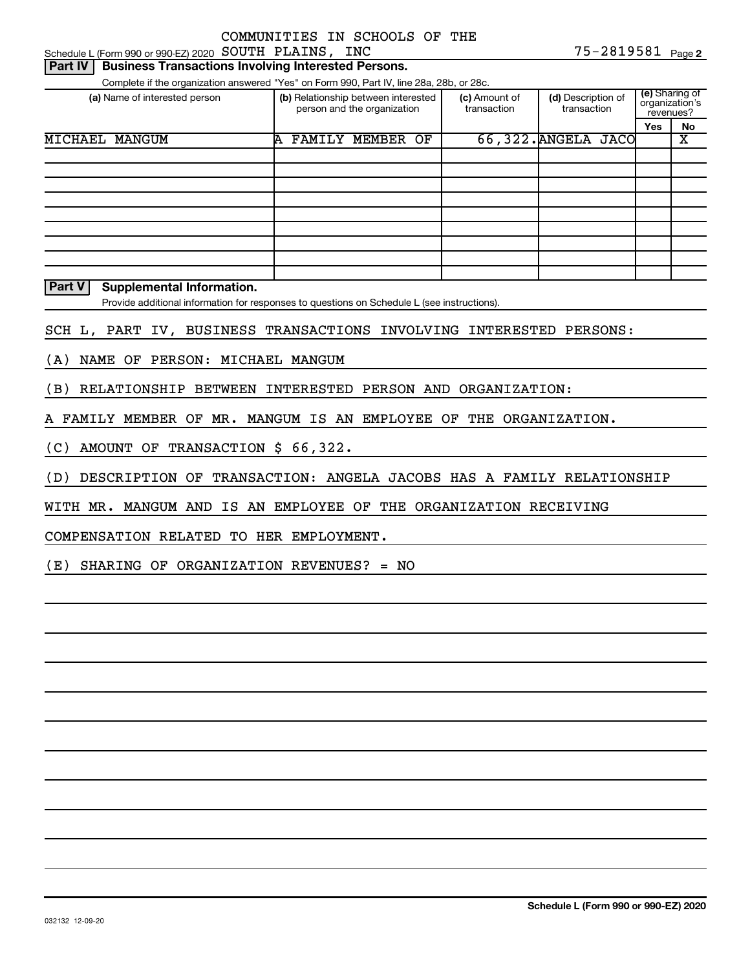Schedule L (Form 990 or 990-EZ) 2020 Page SOUTH PLAINS, INC 75-2819581

| Part IV<br><b>Business Transactions Involving Interested Persons.</b>                                                                            |                                                                    |                              |                                   |                                               |  |  |
|--------------------------------------------------------------------------------------------------------------------------------------------------|--------------------------------------------------------------------|------------------------------|-----------------------------------|-----------------------------------------------|--|--|
| Complete if the organization answered "Yes" on Form 990, Part IV, line 28a, 28b, or 28c.                                                         |                                                                    |                              |                                   |                                               |  |  |
| (a) Name of interested person                                                                                                                    | (b) Relationship between interested<br>person and the organization | (c) Amount of<br>transaction | (d) Description of<br>transaction | (e) Sharing of<br>organization's<br>revenues? |  |  |
|                                                                                                                                                  |                                                                    |                              |                                   | No<br>Yes                                     |  |  |
| MICHAEL MANGUM                                                                                                                                   | <b>FAMILY MEMBER</b><br>OF<br>A                                    |                              | 66,322. ANGELA JACO               | X                                             |  |  |
|                                                                                                                                                  |                                                                    |                              |                                   |                                               |  |  |
|                                                                                                                                                  |                                                                    |                              |                                   |                                               |  |  |
|                                                                                                                                                  |                                                                    |                              |                                   |                                               |  |  |
|                                                                                                                                                  |                                                                    |                              |                                   |                                               |  |  |
|                                                                                                                                                  |                                                                    |                              |                                   |                                               |  |  |
|                                                                                                                                                  |                                                                    |                              |                                   |                                               |  |  |
|                                                                                                                                                  |                                                                    |                              |                                   |                                               |  |  |
|                                                                                                                                                  |                                                                    |                              |                                   |                                               |  |  |
|                                                                                                                                                  |                                                                    |                              |                                   |                                               |  |  |
| <b>Part V</b><br><b>Supplemental Information.</b><br>Provide additional information for responses to questions on Schedule L (see instructions). |                                                                    |                              |                                   |                                               |  |  |
| SCH L, PART IV, BUSINESS TRANSACTIONS INVOLVING INTERESTED PERSONS:                                                                              |                                                                    |                              |                                   |                                               |  |  |
| NAME OF<br>PERSON: MICHAEL MANGUM<br>(A)                                                                                                         |                                                                    |                              |                                   |                                               |  |  |
| (B)<br>RELATIONSHIP BETWEEN INTERESTED PERSON AND ORGANIZATION:                                                                                  |                                                                    |                              |                                   |                                               |  |  |

A FAMILY MEMBER OF MR. MANGUM IS AN EMPLOYEE OF THE ORGANIZATION.

(C) AMOUNT OF TRANSACTION \$ 66,322.

(D) DESCRIPTION OF TRANSACTION: ANGELA JACOBS HAS A FAMILY RELATIONSHIP

WITH MR. MANGUM AND IS AN EMPLOYEE OF THE ORGANIZATION RECEIVING

COMPENSATION RELATED TO HER EMPLOYMENT.

(E) SHARING OF ORGANIZATION REVENUES? = NO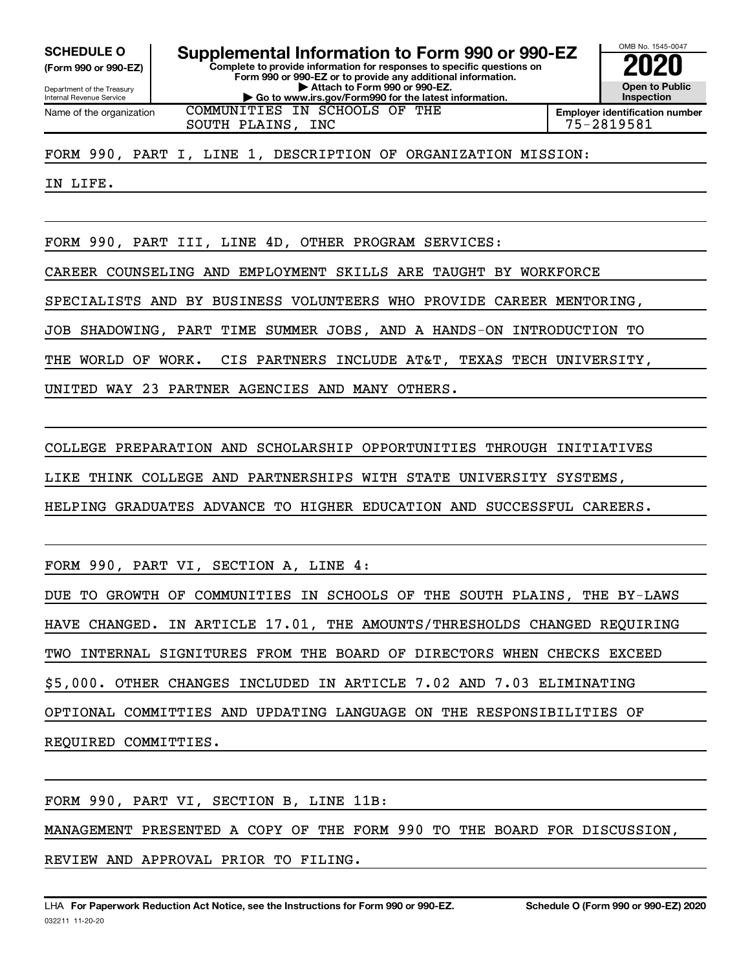**(Form 990 or 990-EZ)**

Department of the Treasury Internal Revenue Service Name of the organization

**Complete to provide information for responses to specific questions on Form 990 or 990-EZ or to provide any additional information. | Attach to Form 990 or 990-EZ. | Go to www.irs.gov/Form990 for the latest information. SCHEDULE O Supplemental Information to Form 990 or 990-EZ 2020**<br>(Form 990 or 990-EZ) Complete to provide information for responses to specific questions on COMMUNITIES IN SCHOOLS OF THE



SOUTH PLAINS, INC 75-2819581

FORM 990, PART I, LINE 1, DESCRIPTION OF ORGANIZATION MISSION:

IN LIFE.

FORM 990, PART III, LINE 4D, OTHER PROGRAM SERVICES:

CAREER COUNSELING AND EMPLOYMENT SKILLS ARE TAUGHT BY WORKFORCE

SPECIALISTS AND BY BUSINESS VOLUNTEERS WHO PROVIDE CAREER MENTORING,

JOB SHADOWING, PART TIME SUMMER JOBS, AND A HANDS-ON INTRODUCTION TO

THE WORLD OF WORK. CIS PARTNERS INCLUDE AT&T, TEXAS TECH UNIVERSITY,

UNITED WAY 23 PARTNER AGENCIES AND MANY OTHERS.

COLLEGE PREPARATION AND SCHOLARSHIP OPPORTUNITIES THROUGH INITIATIVES

LIKE THINK COLLEGE AND PARTNERSHIPS WITH STATE UNIVERSITY SYSTEMS,

HELPING GRADUATES ADVANCE TO HIGHER EDUCATION AND SUCCESSFUL CAREERS.

FORM 990, PART VI, SECTION A, LINE 4:

DUE TO GROWTH OF COMMUNITIES IN SCHOOLS OF THE SOUTH PLAINS, THE BY-LAWS

HAVE CHANGED. IN ARTICLE 17.01, THE AMOUNTS/THRESHOLDS CHANGED REQUIRING

TWO INTERNAL SIGNITURES FROM THE BOARD OF DIRECTORS WHEN CHECKS EXCEED

\$5,000. OTHER CHANGES INCLUDED IN ARTICLE 7.02 AND 7.03 ELIMINATING

OPTIONAL COMMITTIES AND UPDATING LANGUAGE ON THE RESPONSIBILITIES OF

REQUIRED COMMITTIES.

FORM 990, PART VI, SECTION B, LINE 11B:

MANAGEMENT PRESENTED A COPY OF THE FORM 990 TO THE BOARD FOR DISCUSSION,

REVIEW AND APPROVAL PRIOR TO FILING.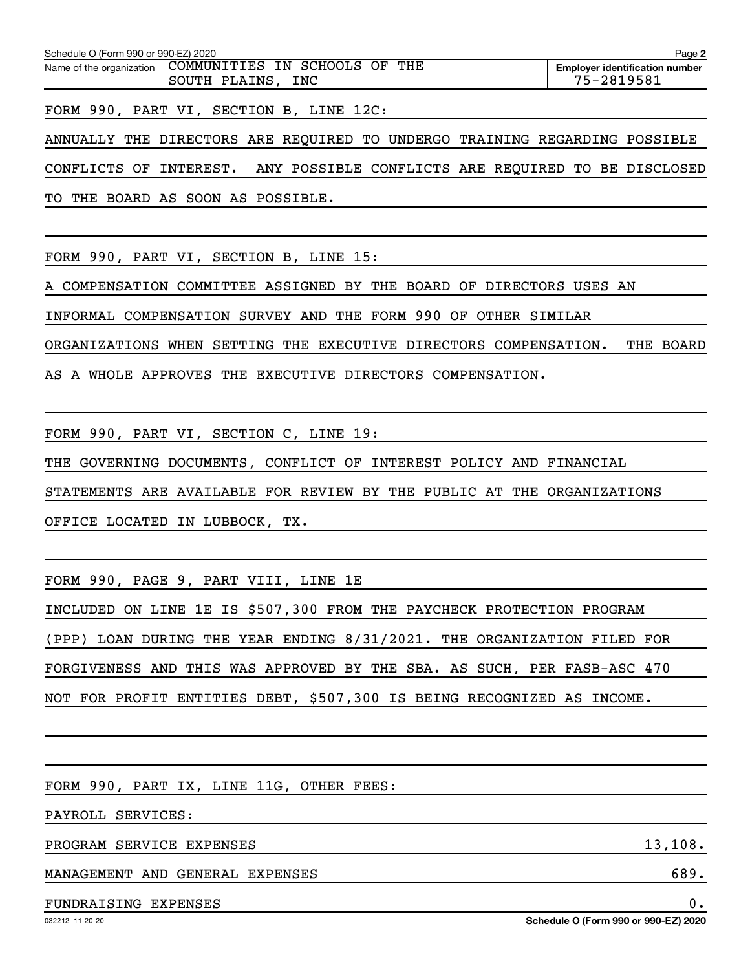| Schedule O (Form 990 or 990-EZ) 2020 |                                                       | Page 2                                              |
|--------------------------------------|-------------------------------------------------------|-----------------------------------------------------|
| Name of the organization             | COMMUNITIES IN SCHOOLS OF THE<br>INC<br>SOUTH PLAINS, | <b>Employer identification number</b><br>75-2819581 |
|                                      |                                                       |                                                     |

FORM 990, PART VI, SECTION B, LINE 12C:

ANNUALLY THE DIRECTORS ARE REQUIRED TO UNDERGO TRAINING REGARDING POSSIBLE

CONFLICTS OF INTEREST. ANY POSSIBLE CONFLICTS ARE REQUIRED TO BE DISCLOSED

TO THE BOARD AS SOON AS POSSIBLE.

FORM 990, PART VI, SECTION B, LINE 15:

A COMPENSATION COMMITTEE ASSIGNED BY THE BOARD OF DIRECTORS USES AN

INFORMAL COMPENSATION SURVEY AND THE FORM 990 OF OTHER SIMILAR

ORGANIZATIONS WHEN SETTING THE EXECUTIVE DIRECTORS COMPENSATION. THE BOARD

AS A WHOLE APPROVES THE EXECUTIVE DIRECTORS COMPENSATION.

FORM 990, PART VI, SECTION C, LINE 19:

THE GOVERNING DOCUMENTS, CONFLICT OF INTEREST POLICY AND FINANCIAL

STATEMENTS ARE AVAILABLE FOR REVIEW BY THE PUBLIC AT THE ORGANIZATIONS

OFFICE LOCATED IN LUBBOCK, TX.

FORM 990, PAGE 9, PART VIII, LINE 1E

INCLUDED ON LINE 1E IS \$507,300 FROM THE PAYCHECK PROTECTION PROGRAM (PPP) LOAN DURING THE YEAR ENDING 8/31/2021. THE ORGANIZATION FILED FOR FORGIVENESS AND THIS WAS APPROVED BY THE SBA. AS SUCH, PER FASB-ASC 470 NOT FOR PROFIT ENTITIES DEBT, \$507,300 IS BEING RECOGNIZED AS INCOME.

FORM 990, PART IX, LINE 11G, OTHER FEES:

PAYROLL SERVICES:

PROGRAM SERVICE EXPENSES 13, 108.

MANAGEMENT AND GENERAL EXPENSES 689.

#### FUNDRAISING EXPENSES 0.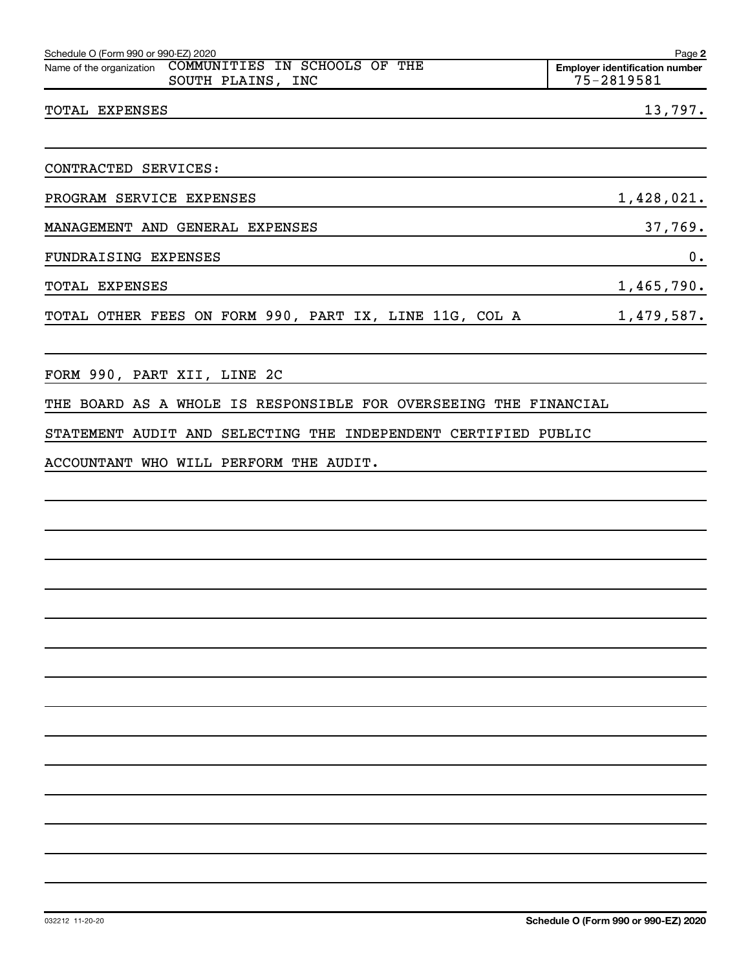| Schedule O (Form 990 or 990-EZ) 2020 |                                                                             | Page 2                                              |
|--------------------------------------|-----------------------------------------------------------------------------|-----------------------------------------------------|
|                                      | Name of the organization COMMUNITIES IN SCHOOLS OF THE<br>SOUTH PLAINS, INC | <b>Employer identification number</b><br>75-2819581 |
| TOTAL EXPENSES                       |                                                                             | 13,797.                                             |

PROGRAM SERVICE EXPENSES 1,428,021.

MANAGEMENT AND GENERAL EXPENSES 37,769.

FUNDRAISING EXPENSES 0.

TOTAL EXPENSES 1,465,790.

TOTAL OTHER FEES ON FORM 990, PART IX, LINE 11G, COL A 1,479,587.

FORM 990, PART XII, LINE 2C

THE BOARD AS A WHOLE IS RESPONSIBLE FOR OVERSEEING THE FINANCIAL

STATEMENT AUDIT AND SELECTING THE INDEPENDENT CERTIFIED PUBLIC

ACCOUNTANT WHO WILL PERFORM THE AUDIT.